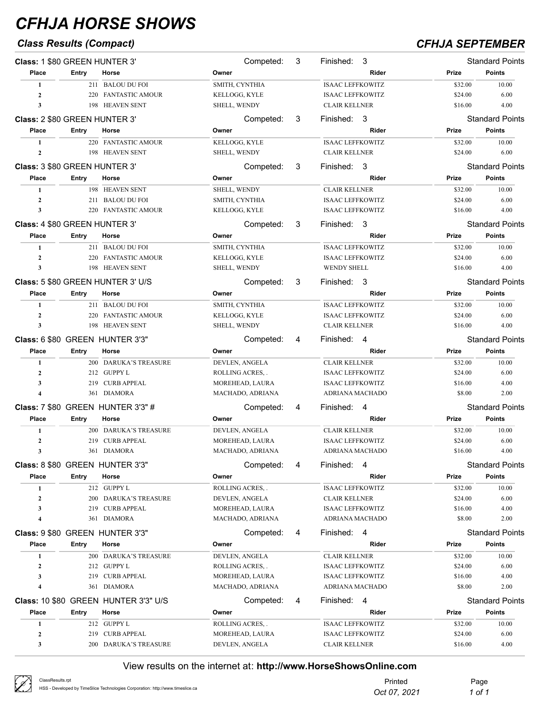## *Class Results (Compact) CFHJA SEPTEMBER*

| Class: 1 \$80 GREEN HUNTER 3'        |       |                                          | Competed:                           | 3 | Finished:<br>3                             |                   | <b>Standard Points</b> |
|--------------------------------------|-------|------------------------------------------|-------------------------------------|---|--------------------------------------------|-------------------|------------------------|
| Place                                | Entry | Horse                                    | Owner                               |   | Rider                                      | Prize             | <b>Points</b>          |
| 1                                    |       | 211 BALOU DU FOI                         | SMITH, CYNTHIA                      |   | <b>ISAAC LEFFKOWITZ</b>                    | \$32.00           | 10.00                  |
| $\overline{2}$                       |       | 220 FANTASTIC AMOUR                      | KELLOGG, KYLE                       |   | <b>ISAAC LEFFKOWITZ</b>                    | \$24.00           | 6.00                   |
| 3                                    |       | 198 HEAVEN SENT                          | SHELL, WENDY                        |   | <b>CLAIR KELLNER</b>                       | \$16.00           | 4.00                   |
| Class: 2 \$80 GREEN HUNTER 3'        |       |                                          | Competed:                           | 3 | Finished: 3                                |                   | <b>Standard Points</b> |
| Place                                | Entry | Horse                                    | Owner                               |   | Rider                                      | Prize             | <b>Points</b>          |
| 1                                    |       | 220 FANTASTIC AMOUR                      | KELLOGG, KYLE                       |   | <b>ISAAC LEFFKOWITZ</b>                    | \$32.00           | 10.00                  |
| $\mathbf{2}$                         |       | 198 HEAVEN SENT                          | SHELL, WENDY                        |   | <b>CLAIR KELLNER</b>                       | \$24.00           | 6.00                   |
| <b>Class: 3 \$80 GREEN HUNTER 3'</b> |       |                                          | Competed:                           | 3 | Finished: 3                                |                   | <b>Standard Points</b> |
| Place                                | Entry | Horse                                    | Owner                               |   | Rider                                      | Prize             | <b>Points</b>          |
| 1                                    |       | 198 HEAVEN SENT                          | SHELL, WENDY                        |   | <b>CLAIR KELLNER</b>                       | \$32.00           | 10.00                  |
| $\overline{2}$                       |       | 211 BALOU DU FOI                         | SMITH, CYNTHIA                      |   | <b>ISAAC LEFFKOWITZ</b>                    | \$24.00           | 6.00                   |
| 3                                    |       | 220 FANTASTIC AMOUR                      | KELLOGG, KYLE                       |   | <b>ISAAC LEFFKOWITZ</b>                    | \$16.00           | 4.00                   |
|                                      |       |                                          |                                     |   |                                            |                   |                        |
| <b>Class: 4 \$80 GREEN HUNTER 3'</b> |       |                                          | Competed:                           | 3 | Finished: 3                                |                   | <b>Standard Points</b> |
| Place                                | Entry | Horse                                    | Owner                               |   | Rider                                      | Prize             | Points                 |
| 1                                    |       | 211 BALOU DU FOI                         | SMITH, CYNTHIA                      |   | <b>ISAAC LEFFKOWITZ</b>                    | \$32.00           | 10.00                  |
| $\boldsymbol{2}$                     |       | 220 FANTASTIC AMOUR                      | KELLOGG, KYLE                       |   | <b>ISAAC LEFFKOWITZ</b>                    | \$24.00           | 6.00                   |
| 3                                    |       | 198 HEAVEN SENT                          | SHELL, WENDY                        |   | <b>WENDY SHELL</b>                         | \$16.00           | 4.00                   |
|                                      |       | <b>Class: 5 \$80 GREEN HUNTER 3' U/S</b> | Competed:                           | 3 | - 3<br>Finished:                           |                   | <b>Standard Points</b> |
| Place                                | Entry | Horse                                    | Owner                               |   | Rider                                      | Prize             | Points                 |
| $\mathbf{1}$                         |       | 211 BALOU DU FOI                         | SMITH, CYNTHIA                      |   | <b>ISAAC LEFFKOWITZ</b>                    | \$32.00           | 10.00                  |
| $\mathbf{2}$                         |       | 220 FANTASTIC AMOUR                      | KELLOGG, KYLE                       |   | <b>ISAAC LEFFKOWITZ</b>                    | \$24.00           | 6.00                   |
| 3                                    |       | 198 HEAVEN SENT                          | SHELL, WENDY                        |   | <b>CLAIR KELLNER</b>                       | \$16.00           | 4.00                   |
|                                      |       | Class: 6 \$80 GREEN HUNTER 3'3"          | Competed:                           | 4 | Finished: 4                                |                   | <b>Standard Points</b> |
| Place                                | Entry | Horse                                    | Owner                               |   | Rider                                      | Prize             | <b>Points</b>          |
| 1                                    |       | 200 DARUKA'S TREASURE                    | DEVLEN, ANGELA                      |   | <b>CLAIR KELLNER</b>                       | \$32.00           | 10.00                  |
| $\overline{2}$                       |       | 212 GUPPY L                              | ROLLING ACRES,.                     |   | <b>ISAAC LEFFKOWITZ</b>                    | \$24.00           | 6.00                   |
| 3                                    | 219   | <b>CURB APPEAL</b>                       | MOREHEAD, LAURA                     |   | <b>ISAAC LEFFKOWITZ</b>                    | \$16.00           | 4.00                   |
| 4                                    |       | 361 DIAMORA                              | MACHADO, ADRIANA                    |   | ADRIANA MACHADO                            | \$8.00            | 2.00                   |
|                                      |       | <b>Class: 7 \$80 GREEN HUNTER 3'3" #</b> | Competed:                           | 4 | Finished: 4                                |                   | <b>Standard Points</b> |
| Place                                | Entry | Horse                                    | Owner                               |   | Rider                                      | Prize             | <b>Points</b>          |
| 1                                    |       | 200 DARUKA'S TREASURE                    | DEVLEN, ANGELA                      |   | <b>CLAIR KELLNER</b>                       | \$32.00           | 10.00                  |
| $\mathbf{2}$                         | 219   | <b>CURB APPEAL</b>                       | MOREHEAD, LAURA                     |   | <b>ISAAC LEFFKOWITZ</b>                    | \$24.00           | 6.00                   |
| $\mathbf{3}$                         |       | 361 DIAMORA                              | MACHADO, ADRIANA                    |   | ADRIANA MACHADO                            | \$16.00           | 4.00                   |
|                                      |       | Class: 8 \$80 GREEN HUNTER 3'3"          | Competed:                           | 4 | Finished: 4                                |                   | <b>Standard Points</b> |
| Place                                | Entry | Horse                                    | Owner                               |   | Rider                                      | Prize             | <b>Points</b>          |
| 1                                    |       | 212 GUPPY L                              | ROLLING ACRES,.                     |   | <b>ISAAC LEFFKOWITZ</b>                    | \$32.00           | 10.00                  |
| $\overline{2}$                       |       | 200 DARUKA'S TREASURE                    | DEVLEN, ANGELA                      |   | <b>CLAIR KELLNER</b>                       | \$24.00           | 6.00                   |
| 3                                    | 219   | <b>CURB APPEAL</b>                       | MOREHEAD, LAURA                     |   | <b>ISAAC LEFFKOWITZ</b>                    | \$16.00           | 4.00                   |
| 4                                    |       | 361 DIAMORA                              | MACHADO, ADRIANA                    |   | ADRIANA MACHADO                            | \$8.00            | 2.00                   |
|                                      |       |                                          | Competed:                           |   |                                            |                   | <b>Standard Points</b> |
|                                      |       | Class: 9 \$80 GREEN HUNTER 3'3"          |                                     | 4 | Finished: 4                                |                   |                        |
| Place                                | Entry | Horse                                    | Owner                               |   | Rider                                      | Prize             | Points                 |
| 1                                    |       | 200 DARUKA'S TREASURE                    | DEVLEN, ANGELA                      |   | <b>CLAIR KELLNER</b>                       | \$32.00           | 10.00                  |
| $\mathbf{2}$                         |       | 212 GUPPY L                              | ROLLING ACRES, .                    |   | <b>ISAAC LEFFKOWITZ</b>                    | \$24.00           | 6.00                   |
| 3<br>4                               |       | 219 CURB APPEAL<br>361 DIAMORA           | MOREHEAD, LAURA<br>MACHADO, ADRIANA |   | <b>ISAAC LEFFKOWITZ</b><br>ADRIANA MACHADO | \$16.00<br>\$8.00 | 4.00<br>2.00           |
|                                      |       |                                          |                                     |   |                                            |                   |                        |
|                                      |       | Class: 10 \$80 GREEN HUNTER 3'3" U/S     | Competed:                           | 4 | Finished: 4                                |                   | <b>Standard Points</b> |
| Place                                | Entry | Horse                                    | Owner                               |   | Rider                                      | Prize             | <b>Points</b>          |
| 1                                    |       | 212 GUPPY L                              | ROLLING ACRES,.                     |   | <b>ISAAC LEFFKOWITZ</b>                    | \$32.00           | 10.00                  |
| $\mathbf{2}$                         |       | 219 CURB APPEAL                          | MOREHEAD, LAURA                     |   | <b>ISAAC LEFFKOWITZ</b>                    | \$24.00           | 6.00                   |
| 3                                    |       | 200 DARUKA'S TREASURE                    | DEVLEN, ANGELA                      |   | CLAIR KELLNER                              | \$16.00           | 4.00                   |

| ClassResults.rpt<br>HSS - Developed by TimeSlice Technologies Corporation: http://www.timeslice.ca | Printed<br>Oct 07, 2021 | Page<br>1 of 1 |
|----------------------------------------------------------------------------------------------------|-------------------------|----------------|
|----------------------------------------------------------------------------------------------------|-------------------------|----------------|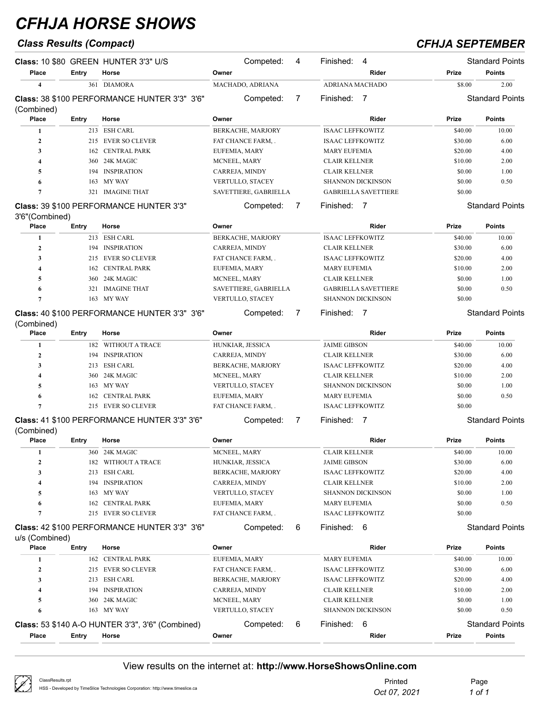## *Class Results (Compact) CFHJA SEPTEMBER*

|                |       | Class: 10 \$80 GREEN HUNTER 3'3" U/S         | Competed:               | 4 | Finished:<br>4              |              | <b>Standard Points</b> |
|----------------|-------|----------------------------------------------|-------------------------|---|-----------------------------|--------------|------------------------|
| Place          | Entry | Horse                                        | Owner                   |   | Rider                       | <b>Prize</b> | <b>Points</b>          |
| 4              | 361   | DIAMORA                                      | MACHADO, ADRIANA        |   | <b>ADRIANA MACHADO</b>      | \$8.00       | 2.00                   |
| (Combined)     |       | Class: 38 \$100 PERFORMANCE HUNTER 3'3" 3'6" | Competed:               |   | Finished:                   |              | <b>Standard Points</b> |
| Place          | Entry | Horse                                        | Owner                   |   | Rider                       | <b>Prize</b> | <b>Points</b>          |
|                | 213   | <b>ESH CARL</b>                              | BERKACHE, MARJORY       |   | <b>ISAAC LEFFKOWITZ</b>     | \$40.00      | 10.00                  |
| $\overline{2}$ | 215   | <b>EVER SO CLEVER</b>                        | FAT CHANCE FARM, .      |   | <b>ISAAC LEFFKOWITZ</b>     | \$30.00      | 6.00                   |
| 3              | 162   | <b>CENTRAL PARK</b>                          | EUFEMIA, MARY           |   | <b>MARY EUFEMIA</b>         | \$20.00      | 4.00                   |
| 4              | 360.  | 24K MAGIC                                    | MCNEEL, MARY            |   | <b>CLAIR KELLNER</b>        | \$10.00      | 2.00                   |
| 5              | 194   | <b>INSPIRATION</b>                           | CARREJA, MINDY          |   | <b>CLAIR KELLNER</b>        | \$0.00       | 1.00                   |
| 6              | 163   | <b>MY WAY</b>                                | <b>VERTULLO, STACEY</b> |   | <b>SHANNON DICKINSON</b>    | \$0.00       | 0.50                   |
| n              | 321   | <b>IMAGINE THAT</b>                          | SAVETTIERE, GABRIELLA   |   | <b>GABRIELLA SAVETTIERE</b> | \$0.00       |                        |
|                |       | Class: 39 \$100 PERFORMANCE HUNTER 3'3"      | Competed:               |   | Finished:                   |              | <b>Standard Points</b> |

### **Class:** 39 \$100 PERFORMANCE HUNTER 3'3" 3'6"(Combined)

| Place | Entry | Horse                                               | Owner                                  | Rider                       | Prize   | <b>Points</b>          |
|-------|-------|-----------------------------------------------------|----------------------------------------|-----------------------------|---------|------------------------|
|       | 213   | <b>ESH CARL</b>                                     | BERKACHE, MARJORY                      | <b>ISAAC LEFFKOWITZ</b>     | \$40.00 | 10.00                  |
|       |       | 194 INSPIRATION                                     | CARREJA, MINDY<br><b>CLAIR KELLNER</b> |                             | \$30.00 | 6.00                   |
|       |       | 215 EVER SO CLEVER                                  | FAT CHANCE FARM, .                     | <b>ISAAC LEFFKOWITZ</b>     | \$20.00 | 4.00                   |
|       |       | 162 CENTRAL PARK                                    | EUFEMIA, MARY                          | <b>MARY EUFEMIA</b>         | \$10.00 | 2.00                   |
|       |       | 360 24K MAGIC                                       | MCNEEL, MARY                           | <b>CLAIR KELLNER</b>        | \$0.00  | 1.00                   |
| 6     | 321   | <b>IMAGINE THAT</b>                                 | SAVETTIERE, GABRIELLA                  | <b>GABRIELLA SAVETTIERE</b> | \$0.00  | 0.50                   |
|       |       | 163 MY WAY                                          | VERTULLO, STACEY                       | <b>SHANNON DICKINSON</b>    | \$0.00  |                        |
|       |       | <b>Class: 40 \$100 PERFORMANCE HUNTER 3'3" 3'6"</b> | Competed:                              | Finished:                   |         | <b>Standard Points</b> |

### **Class:** 40 \$100 PERFORMANCE HUNTER 3'3" 3'6" (Combined)

| Place | Entry | Horse              | Owner                    | Rider                    | Prize   | <b>Points</b> |
|-------|-------|--------------------|--------------------------|--------------------------|---------|---------------|
|       | 182.  | WITHOUT A TRACE    | HUNKIAR, JESSICA         | <b>JAIME GIBSON</b>      | \$40.00 | 10.00         |
|       | 194   | <b>INSPIRATION</b> | CARREJA, MINDY           | <b>CLAIR KELLNER</b>     | \$30.00 | 6.00          |
|       | 213   | ESH CARL           | <b>BERKACHE, MARJORY</b> | <b>ISAAC LEFFKOWITZ</b>  | \$20.00 | 4.00          |
|       |       | 360 24K MAGIC      | MCNEEL, MARY             | <b>CLAIR KELLNER</b>     | \$10.00 | 2.00          |
|       |       | 163 MY WAY         | <b>VERTULLO, STACEY</b>  | <b>SHANNON DICKINSON</b> | \$0.00  | 1.00          |
| 6     |       | 162 CENTRAL PARK   | EUFEMIA, MARY            | <b>MARY EUFEMIA</b>      | \$0.00  | 0.50          |
|       |       | 215 EVER SO CLEVER | FAT CHANCE FARM, .       | <b>ISAAC LEFFKOWITZ</b>  | \$0.00  |               |
|       |       |                    |                          |                          |         |               |

Competed: 7 Finished: 7 Standard Points

Competed: 6 Finished: 6 Standard Points

### **Class:** 41 \$100 PERFORMANCE HUNTER 3'3" 3'6"  $(Combinod)$

| (Combined) |       |                    |                          |                          |         |               |
|------------|-------|--------------------|--------------------------|--------------------------|---------|---------------|
| Place      | Entry | Horse              | Owner                    | Rider                    | Prize   | <b>Points</b> |
|            | 360   | 24K MAGIC          | MCNEEL, MARY             | <b>CLAIR KELLNER</b>     | \$40.00 | 10.00         |
|            | 182.  | WITHOUT A TRACE    | HUNKIAR, JESSICA         | <b>JAIME GIBSON</b>      | \$30.00 | 6.00          |
|            |       | 213 ESH CARL       | <b>BERKACHE, MARJORY</b> | <b>ISAAC LEFFKOWITZ</b>  | \$20.00 | 4.00          |
|            | 194   | <b>INSPIRATION</b> | <b>CARREJA, MINDY</b>    | <b>CLAIR KELLNER</b>     | \$10.00 | 2.00          |
|            |       | 163 MY WAY         | <b>VERTULLO, STACEY</b>  | <b>SHANNON DICKINSON</b> | \$0.00  | 1.00          |
| 6          |       | 162 CENTRAL PARK   | EUFEMIA, MARY            | <b>MARY EUFEMIA</b>      | \$0.00  | 0.50          |
|            | 215   | EVER SO CLEVER     | <b>FAT CHANCE FARM</b>   | <b>ISAAC LEFFKOWITZ</b>  | \$0.00  |               |
|            |       |                    |                          |                          |         |               |

### **Class:** 42 \$100 PERFORMANCE HUNTER 3'3" 3'6"

| uva (Ovinonicu) |       |                                                         |                          |                          |              |                        |
|-----------------|-------|---------------------------------------------------------|--------------------------|--------------------------|--------------|------------------------|
| Place           | Entry | Horse                                                   | Owner                    | Rider                    | Prize        | <b>Points</b>          |
|                 |       | 162 CENTRAL PARK                                        | EUFEMIA, MARY            | <b>MARY EUFEMIA</b>      | \$40.00      | 10.00                  |
|                 |       | 215 EVER SO CLEVER                                      | FAT CHANCE FARM, .       | <b>ISAAC LEFFKOWITZ</b>  | \$30.00      | 6.00                   |
|                 |       | 213 ESH CARL                                            | <b>BERKACHE, MARJORY</b> | <b>ISAAC LEFFKOWITZ</b>  | \$20.00      | 4.00                   |
|                 |       | 194 INSPIRATION                                         | CARREJA, MINDY           | <b>CLAIR KELLNER</b>     | \$10.00      | 2.00                   |
|                 |       | 360 24K MAGIC                                           | MCNEEL, MARY             | <b>CLAIR KELLNER</b>     | \$0.00       | 1.00                   |
| 6               |       | 163 MY WAY                                              | <b>VERTULLO, STACEY</b>  | <b>SHANNON DICKINSON</b> | \$0.00       | 0.50                   |
|                 |       | <b>Class: 53 \$140 A-O HUNTER 3'3", 3'6" (Combined)</b> | 6<br>Competed:           | Finished:<br>6           |              | <b>Standard Points</b> |
| Place           | Entry | Horse                                                   | Owner                    | Rider                    | <b>Prize</b> | <b>Points</b>          |

| ClassResults.rpt<br>HSS - Developed by TimeSlice Technologies Corporation: http://www.timeslice.ca | Printec<br>Oct 07, 2021 | Page<br>1 of 1 |
|----------------------------------------------------------------------------------------------------|-------------------------|----------------|
|----------------------------------------------------------------------------------------------------|-------------------------|----------------|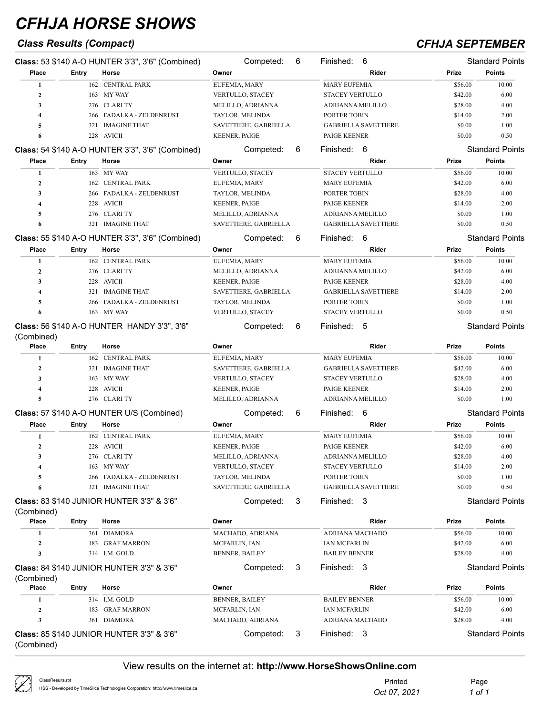## *Class Results (Compact) CFHJA SEPTEMBER*

|                         |       | Class: 53 \$140 A-O HUNTER 3'3", 3'6" (Combined)        | Competed:               | 6 | Finished: 6                 |         | <b>Standard Points</b> |
|-------------------------|-------|---------------------------------------------------------|-------------------------|---|-----------------------------|---------|------------------------|
| Place                   | Entry | Horse                                                   | Owner                   |   | Rider                       | Prize   | <b>Points</b>          |
| 1                       |       | 162 CENTRAL PARK                                        | EUFEMIA, MARY           |   | <b>MARY EUFEMIA</b>         | \$56.00 | 10.00                  |
| $\boldsymbol{2}$        |       | 163 MY WAY                                              | VERTULLO, STACEY        |   | <b>STACEY VERTULLO</b>      | \$42.00 | 6.00                   |
| 3                       |       | 276 CLARI TY                                            | MELILLO, ADRIANNA       |   | ADRIANNA MELILLO            | \$28.00 | 4.00                   |
| 4                       | 266   | FADALKA - ZELDENRUST                                    | TAYLOR, MELINDA         |   | PORTER TOBIN                | \$14.00 | 2.00                   |
| 5                       | 321   | <b>IMAGINE THAT</b>                                     | SAVETTIERE, GABRIELLA   |   | <b>GABRIELLA SAVETTIERE</b> | \$0.00  | 1.00                   |
| 6                       |       | 228 AVICII                                              | <b>KEENER, PAIGE</b>    |   | PAIGE KEENER                | \$0.00  | 0.50                   |
|                         |       | <b>Class: 54 \$140 A-O HUNTER 3'3", 3'6" (Combined)</b> | Competed:               | 6 | Finished: 6                 |         | <b>Standard Points</b> |
| Place                   | Entry | Horse                                                   | Owner                   |   | Rider                       | Prize   | <b>Points</b>          |
| 1                       |       | 163 MY WAY                                              | VERTULLO, STACEY        |   | <b>STACEY VERTULLO</b>      | \$56.00 | 10.00                  |
| $\mathbf{2}$            |       | 162 CENTRAL PARK                                        | EUFEMIA, MARY           |   | <b>MARY EUFEMIA</b>         | \$42.00 | 6.00                   |
| 3                       |       | 266 FADALKA - ZELDENRUST                                | TAYLOR, MELINDA         |   | PORTER TOBIN                | \$28.00 | 4.00                   |
| $\overline{\mathbf{4}}$ |       | 228 AVICII                                              | <b>KEENER, PAIGE</b>    |   | PAIGE KEENER                | \$14.00 | 2.00                   |
| 5                       |       | 276 CLARI TY                                            | MELILLO, ADRIANNA       |   | ADRIANNA MELILLO            | \$0.00  | 1.00                   |
| 6                       |       | 321 IMAGINE THAT                                        | SAVETTIERE, GABRIELLA   |   | <b>GABRIELLA SAVETTIERE</b> | \$0.00  | 0.50                   |
|                         |       | Class: 55 \$140 A-O HUNTER 3'3", 3'6" (Combined)        | Competed:               | 6 | Finished: 6                 |         | <b>Standard Points</b> |
| Place                   | Entry | Horse                                                   | Owner                   |   | Rider                       | Prize   | <b>Points</b>          |
| 1                       |       | 162 CENTRAL PARK                                        | EUFEMIA, MARY           |   | <b>MARY EUFEMIA</b>         | \$56.00 | 10.00                  |
| $\mathbf{2}$            |       | 276 CLARI TY                                            | MELILLO, ADRIANNA       |   | ADRIANNA MELILLO            | \$42.00 | 6.00                   |
| 3                       |       | 228 AVICII                                              | <b>KEENER, PAIGE</b>    |   | PAIGE KEENER                | \$28.00 | 4.00                   |
| 4                       | 321   | <b>IMAGINE THAT</b>                                     | SAVETTIERE, GABRIELLA   |   | <b>GABRIELLA SAVETTIERE</b> | \$14.00 | 2.00                   |
| 5                       | 266   | FADALKA - ZELDENRUST                                    | TAYLOR, MELINDA         |   | PORTER TOBIN                | \$0.00  | 1.00                   |
| 6                       |       | 163 MY WAY                                              | VERTULLO, STACEY        |   | <b>STACEY VERTULLO</b>      | \$0.00  | 0.50                   |
|                         |       |                                                         |                         |   |                             |         |                        |
|                         |       | Class: 56 \$140 A-O HUNTER HANDY 3'3", 3'6"             | Competed:               | 6 | Finished: 5                 |         | <b>Standard Points</b> |
| (Combined)<br>Place     | Entry | Horse                                                   | Owner                   |   | Rider                       | Prize   | <b>Points</b>          |
| 1                       |       | 162 CENTRAL PARK                                        | EUFEMIA, MARY           |   | <b>MARY EUFEMIA</b>         | \$56.00 | 10.00                  |
| $\boldsymbol{2}$        |       | 321 IMAGINE THAT                                        | SAVETTIERE, GABRIELLA   |   | <b>GABRIELLA SAVETTIERE</b> | \$42.00 | 6.00                   |
| 3                       |       | 163 MY WAY                                              | <b>VERTULLO, STACEY</b> |   | <b>STACEY VERTULLO</b>      | \$28.00 | 4.00                   |
| 4                       | 228   | AVICII                                                  | <b>KEENER, PAIGE</b>    |   | PAIGE KEENER                | \$14.00 | 2.00                   |
| 5                       |       | 276 CLARI TY                                            | MELILLO, ADRIANNA       |   | ADRIANNA MELILLO            | \$0.00  | 1.00                   |
|                         |       |                                                         |                         |   |                             |         |                        |
|                         |       | Class: 57 \$140 A-O HUNTER U/S (Combined)               | Competed:               | 6 | Finished: 6                 |         | <b>Standard Points</b> |
| Place                   | Entry | Horse                                                   | Owner                   |   | Rider                       | Prize   | <b>Points</b>          |
| 1                       |       | 162 CENTRAL PARK                                        | EUFEMIA, MARY           |   | <b>MARY EUFEMIA</b>         | \$56.00 | 10.00                  |
| $\mathbf{2}$            |       | 228 AVICII                                              | <b>KEENER, PAIGE</b>    |   | PAIGE KEENER                | \$42.00 | 6.00                   |
| 3                       |       | 276 CLARI TY                                            | MELILLO, ADRIANNA       |   | ADRIANNA MELILLO            | \$28.00 | 4.00                   |
| 4                       |       | 163 MY WAY                                              | VERTULLO, STACEY        |   | <b>STACEY VERTULLO</b>      | \$14.00 | 2.00                   |
| 5                       |       | 266 FADALKA - ZELDENRUST                                | TAYLOR, MELINDA         |   | PORTER TOBIN                | \$0.00  | 1.00                   |
| 6                       |       | 321 IMAGINE THAT                                        | SAVETTIERE, GABRIELLA   |   | <b>GABRIELLA SAVETTIERE</b> | \$0.00  | 0.50                   |
| (Combined)              |       | Class: 83 \$140 JUNIOR HUNTER 3'3" & 3'6"               | Competed:               | 3 | Finished: 3                 |         | <b>Standard Points</b> |
| Place                   | Entry | Horse                                                   | Owner                   |   | Rider                       | Prize   | <b>Points</b>          |
| 1                       |       | 361 DIAMORA                                             | MACHADO, ADRIANA        |   | ADRIANA MACHADO             | \$56.00 | 10.00                  |
| $\mathbf{2}$            |       | 183 GRAF MARRON                                         | MCFARLIN, IAN           |   | <b>IAN MCFARLIN</b>         | \$42.00 | 6.00                   |
| 3                       |       | 314 I.M. GOLD                                           | <b>BENNER, BAILEY</b>   |   | <b>BAILEY BENNER</b>        | \$28.00 | 4.00                   |
| (Combined)              |       | Class: 84 \$140 JUNIOR HUNTER 3'3" & 3'6"               | Competed:               | 3 | Finished: 3                 |         | <b>Standard Points</b> |
| Place                   | Entry | Horse                                                   | Owner                   |   | Rider                       | Prize   | <b>Points</b>          |
| 1                       |       | 314 I.M. GOLD                                           | <b>BENNER, BAILEY</b>   |   | <b>BAILEY BENNER</b>        | \$56.00 | 10.00                  |
| $\mathbf{2}$            |       | 183 GRAF MARRON                                         | MCFARLIN, IAN           |   | IAN MCFARLIN                | \$42.00 | 6.00                   |
| 3                       |       | 361 DIAMORA                                             | MACHADO, ADRIANA        |   | ADRIANA MACHADO             | \$28.00 | 4.00                   |
| (Combined)              |       | <b>Class: 85 \$140 JUNIOR HUNTER 3'3" &amp; 3'6"</b>    | Competed:               | 3 | Finished: 3                 |         | <b>Standard Points</b> |

| $\oslash$ | ClassResults.rpt                                                               | Printed      | Page   |
|-----------|--------------------------------------------------------------------------------|--------------|--------|
|           | HSS - Developed by TimeSlice Technologies Corporation: http://www.timeslice.ca | Oct 07, 2021 | 1 of 1 |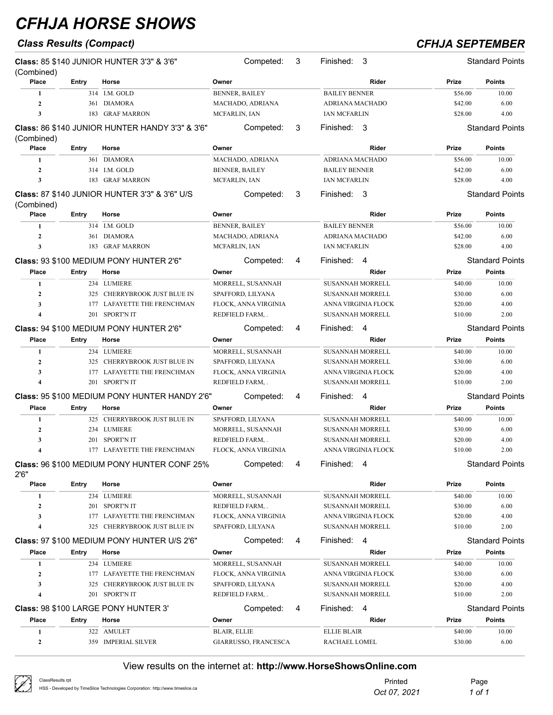## *Class Results (Compact) CFHJA SEPTEMBER*

| (Combined)          |              | Class: 85 \$140 JUNIOR HUNTER 3'3" & 3'6"       |                       | Competed:            | 3 | Finished:<br>3          |         | <b>Standard Points</b> |
|---------------------|--------------|-------------------------------------------------|-----------------------|----------------------|---|-------------------------|---------|------------------------|
| Place               | Entry        | Horse                                           | Owner                 |                      |   | Rider                   | Prize   | <b>Points</b>          |
| 1                   |              | 314 I.M. GOLD                                   | <b>BENNER, BAILEY</b> |                      |   | <b>BAILEY BENNER</b>    | \$56.00 | 10.00                  |
| $\mathbf{2}$        |              | 361 DIAMORA                                     | MACHADO, ADRIANA      |                      |   | ADRIANA MACHADO         | \$42.00 | 6.00                   |
| 3                   | 183          | <b>GRAF MARRON</b>                              | MCFARLIN, IAN         |                      |   | <b>IAN MCFARLIN</b>     | \$28.00 | 4.00                   |
| (Combined)          |              | Class: 86 \$140 JUNIOR HUNTER HANDY 3'3" & 3'6" |                       | Competed:            | 3 | Finished: 3             |         | <b>Standard Points</b> |
| Place               | Entry        | Horse                                           | Owner                 |                      |   | Rider                   | Prize   | <b>Points</b>          |
| 1                   |              | 361 DIAMORA                                     | MACHADO, ADRIANA      |                      |   | ADRIANA MACHADO         | \$56.00 | 10.00                  |
| $\mathbf{2}$        |              | 314 I.M. GOLD                                   | <b>BENNER, BAILEY</b> |                      |   | <b>BAILEY BENNER</b>    | \$42.00 | 6.00                   |
| 3                   |              | 183 GRAF MARRON                                 | MCFARLIN, IAN         |                      |   | <b>IAN MCFARLIN</b>     | \$28.00 | 4.00                   |
|                     |              | Class: 87 \$140 JUNIOR HUNTER 3'3" & 3'6" U/S   |                       | Competed:            | 3 | Finished: 3             |         | <b>Standard Points</b> |
| (Combined)<br>Place | Entry        | Horse                                           | Owner                 |                      |   | Rider                   | Prize   | <b>Points</b>          |
| 1                   |              | 314 I.M. GOLD                                   | <b>BENNER, BAILEY</b> |                      |   | <b>BAILEY BENNER</b>    | \$56.00 | 10.00                  |
| $\mathbf{2}$        |              |                                                 |                       |                      |   | <b>ADRIANA MACHADO</b>  | \$42.00 | 6.00                   |
| 3                   |              | 361 DIAMORA<br>183 GRAF MARRON                  | MACHADO, ADRIANA      |                      |   |                         |         | 4.00                   |
|                     |              |                                                 | MCFARLIN, IAN         |                      |   | <b>IAN MCFARLIN</b>     | \$28.00 |                        |
|                     |              | Class: 93 \$100 MEDIUM PONY HUNTER 2'6"         |                       | Competed:            | 4 | Finished: 4             |         | <b>Standard Points</b> |
| Place               | Entry        | Horse                                           | Owner                 |                      |   | Rider                   | Prize   | <b>Points</b>          |
| 1                   |              | 234 LUMIERE                                     |                       | MORRELL, SUSANNAH    |   | <b>SUSANNAH MORRELL</b> | \$40.00 | 10.00                  |
| $\mathbf{2}$        |              | 325 CHERRYBROOK JUST BLUE IN                    | SPAFFORD, LILYANA     |                      |   | <b>SUSANNAH MORRELL</b> | \$30.00 | 6.00                   |
| 3                   |              | 177 LAFAYETTE THE FRENCHMAN                     |                       | FLOCK, ANNA VIRGINIA |   | ANNA VIRGINIA FLOCK     | \$20.00 | 4.00                   |
| 4                   |              | 201 SPORT'N IT                                  | REDFIELD FARM,.       |                      |   | <b>SUSANNAH MORRELL</b> | \$10.00 | 2.00                   |
|                     |              | Class: 94 \$100 MEDIUM PONY HUNTER 2'6"         |                       | Competed:            | 4 | Finished:<br>-4         |         | <b>Standard Points</b> |
| Place               | Entry        | Horse                                           | Owner                 |                      |   | Rider                   | Prize   | <b>Points</b>          |
| 1                   |              | 234 LUMIERE                                     |                       | MORRELL, SUSANNAH    |   | SUSANNAH MORRELL        | \$40.00 | 10.00                  |
| $\mathbf{2}$        | 325          | CHERRYBROOK JUST BLUE IN                        | SPAFFORD, LILYANA     |                      |   | <b>SUSANNAH MORRELL</b> | \$30.00 | 6.00                   |
| 3                   | 177          | LAFAYETTE THE FRENCHMAN                         |                       | FLOCK, ANNA VIRGINIA |   | ANNA VIRGINIA FLOCK     | \$20.00 | 4.00                   |
| 4                   |              | 201 SPORT'N IT                                  | REDFIELD FARM,.       |                      |   | <b>SUSANNAH MORRELL</b> | \$10.00 | 2.00                   |
|                     |              | Class: 95 \$100 MEDIUM PONY HUNTER HANDY 2'6"   |                       | Competed:            | 4 | Finished: 4             |         | <b>Standard Points</b> |
| <b>Place</b>        | <b>Entry</b> | Horse                                           | Owner                 |                      |   | Rider                   | Prize   | <b>Points</b>          |
| 1                   |              | 325 CHERRYBROOK JUST BLUE IN                    | SPAFFORD, LILYANA     |                      |   | <b>SUSANNAH MORRELL</b> | \$40.00 | 10.00                  |
| $\mathbf{2}$        |              | 234 LUMIERE                                     |                       | MORRELL, SUSANNAH    |   | SUSANNAH MORRELL        | \$30.00 | 6.00                   |
| 3                   | 201          | SPORT'N IT                                      | REDFIELD FARM,.       |                      |   | <b>SUSANNAH MORRELL</b> | \$20.00 | 4.00                   |
| 4                   |              | 177 LAFAYETTE THE FRENCHMAN                     |                       | FLOCK, ANNA VIRGINIA |   | ANNA VIRGINIA FLOCK     | \$10.00 | 2.00                   |
| 2'6''               |              | Class: 96 \$100 MEDIUM PONY HUNTER CONF 25%     |                       | Competed:            | 4 | Finished: 4             |         | <b>Standard Points</b> |
| Place               | Entry        | Horse                                           | Owner                 |                      |   | Rider                   | Prize   | <b>Points</b>          |
| 1                   |              | 234 LUMIERE                                     |                       | MORRELL, SUSANNAH    |   | SUSANNAH MORRELL        | \$40.00 | 10.00                  |
| 2                   |              | 201 SPORT'N IT                                  | REDFIELD FARM, .      |                      |   | SUSANNAH MORRELL        | \$30.00 | 6.00                   |
| 3                   |              | 177 LAFAYETTE THE FRENCHMAN                     |                       | FLOCK, ANNA VIRGINIA |   | ANNA VIRGINIA FLOCK     | \$20.00 | 4.00                   |
| 4                   |              | 325 CHERRYBROOK JUST BLUE IN                    | SPAFFORD, LILYANA     |                      |   | <b>SUSANNAH MORRELL</b> | \$10.00 | 2.00                   |
|                     |              | Class: 97 \$100 MEDIUM PONY HUNTER U/S 2'6"     |                       | Competed:            | 4 | Finished: 4             |         | <b>Standard Points</b> |
| Place               | <b>Entry</b> | Horse                                           | Owner                 |                      |   | Rider                   | Prize   | <b>Points</b>          |
|                     |              | 234 LUMIERE                                     |                       | MORRELL, SUSANNAH    |   | SUSANNAH MORRELL        | \$40.00 | 10.00                  |
| 1<br>$\mathbf{2}$   |              | 177 LAFAYETTE THE FRENCHMAN                     |                       | FLOCK, ANNA VIRGINIA |   | ANNA VIRGINIA FLOCK     | \$30.00 | 6.00                   |
| 3                   | 325          | CHERRYBROOK JUST BLUE IN                        | SPAFFORD, LILYANA     |                      |   | SUSANNAH MORRELL        | \$20.00 | 4.00                   |
| 4                   |              | 201 SPORT'N IT                                  | REDFIELD FARM, .      |                      |   | SUSANNAH MORRELL        | \$10.00 | 2.00                   |
|                     |              |                                                 |                       |                      |   |                         |         |                        |
|                     |              | Class: 98 \$100 LARGE PONY HUNTER 3'            |                       | Competed:            | 4 | Finished: 4             |         | <b>Standard Points</b> |
| Place               | Entry        | Horse                                           | Owner                 |                      |   | Rider                   | Prize   | <b>Points</b>          |
| 1                   |              | 322 AMULET                                      | <b>BLAIR, ELLIE</b>   |                      |   | <b>ELLIE BLAIR</b>      | \$40.00 | 10.00                  |
| $\mathbf{2}$        |              | 359 IMPERIAL SILVER                             |                       | GIARRUSSO, FRANCESCA |   | RACHAEL LOMEL           | \$30.00 | 6.00                   |

| ClassResults.rpt<br>HSS - Developed by TimeSlice Technologies Corporation: http://www.timeslice.ca | Printed<br>Oct 07, 2021 | Page<br>1 of 1 |
|----------------------------------------------------------------------------------------------------|-------------------------|----------------|
|                                                                                                    |                         |                |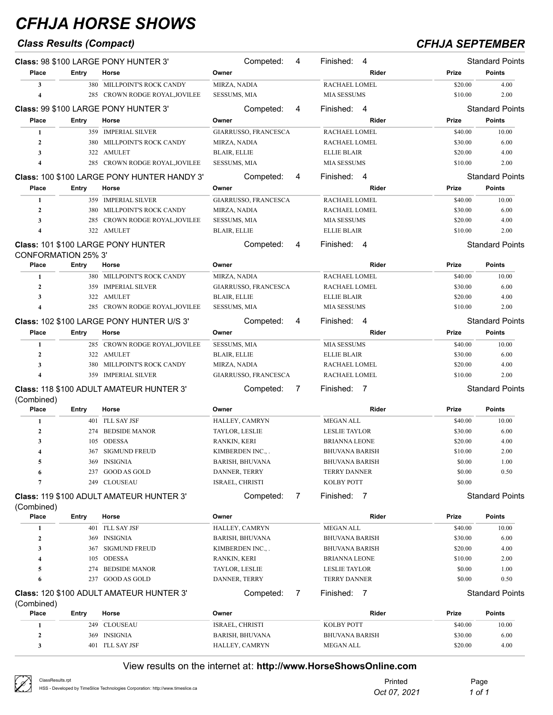## *Class Results (Compact) CFHJA SEPTEMBER*

|                            |              | Class: 98 \$100 LARGE PONY HUNTER 3'               | Competed:              | 4 | Finished: 4                 |         | <b>Standard Points</b> |
|----------------------------|--------------|----------------------------------------------------|------------------------|---|-----------------------------|---------|------------------------|
| Place                      | Entry        | Horse                                              | Owner                  |   | Rider                       | Prize   | <b>Points</b>          |
| 3                          |              | 380 MILLPOINT'S ROCK CANDY                         | MIRZA, NADIA           |   | RACHAEL LOMEL               | \$20.00 | 4.00                   |
| $\boldsymbol{4}$           |              | 285 CROWN RODGE ROYAL, JOVILEE                     | SESSUMS, MIA           |   | <b>MIA SESSUMS</b>          | \$10.00 | 2.00                   |
|                            |              | Class: 99 \$100 LARGE PONY HUNTER 3'               | Competed:              | 4 | Finished:<br>-4             |         | <b>Standard Points</b> |
| Place                      | Entry        | Horse                                              | Owner                  |   | Rider                       | Prize   | <b>Points</b>          |
| 1                          |              | 359 IMPERIAL SILVER                                | GIARRUSSO, FRANCESCA   |   | RACHAEL LOMEL               | \$40.00 | 10.00                  |
| $\mathbf{2}$               | 380          | MILLPOINT'S ROCK CANDY                             | MIRZA, NADIA           |   | RACHAEL LOMEL               | \$30.00 | 6.00                   |
| 3                          |              | 322 AMULET                                         | BLAIR, ELLIE           |   | <b>ELLIE BLAIR</b>          | \$20.00 | 4.00                   |
| 4                          |              | 285 CROWN RODGE ROYAL, JOVILEE                     | SESSUMS, MIA           |   | <b>MIA SESSUMS</b>          | \$10.00 | 2.00                   |
|                            |              | <b>Class: 100 \$100 LARGE PONY HUNTER HANDY 3'</b> | Competed:              | 4 | Finished:<br>- 4            |         | <b>Standard Points</b> |
| Place                      | Entry        | Horse                                              | Owner                  |   | Rider                       | Prize   | <b>Points</b>          |
| 1                          |              | 359 IMPERIAL SILVER                                | GIARRUSSO, FRANCESCA   |   | RACHAEL LOMEL               | \$40.00 | 10.00                  |
| $\overline{2}$             | 380          | MILLPOINT'S ROCK CANDY                             | MIRZA, NADIA           |   | RACHAEL LOMEL               | \$30.00 | 6.00                   |
| $\mathbf{3}$               | 285          | CROWN RODGE ROYAL, JOVILEE                         | SESSUMS, MIA           |   | <b>MIA SESSUMS</b>          | \$20.00 | 4.00                   |
| 4                          |              | 322 AMULET                                         | <b>BLAIR, ELLIE</b>    |   | <b>ELLIE BLAIR</b>          | \$10.00 | 2.00                   |
| <b>CONFORMATION 25% 3'</b> |              | Class: 101 \$100 LARGE PONY HUNTER                 | Competed:              | 4 | Finished: 4                 |         | <b>Standard Points</b> |
| Place                      | Entry        | Horse                                              | Owner                  |   | Rider                       | Prize   | <b>Points</b>          |
| 1                          |              | 380 MILLPOINT'S ROCK CANDY                         | MIRZA, NADIA           |   | RACHAEL LOMEL               | \$40.00 | 10.00                  |
| $\overline{2}$             |              | 359 IMPERIAL SILVER                                | GIARRUSSO, FRANCESCA   |   | RACHAEL LOMEL               | \$30.00 | 6.00                   |
| 3                          |              | 322 AMULET                                         | BLAIR, ELLIE           |   | <b>ELLIE BLAIR</b>          | \$20.00 | 4.00                   |
| $\boldsymbol{4}$           |              | 285 CROWN RODGE ROYAL, JOVILEE                     | <b>SESSUMS, MIA</b>    |   | <b>MIA SESSUMS</b>          | \$10.00 | 2.00                   |
|                            |              | Class: 102 \$100 LARGE PONY HUNTER U/S 3'          | Competed:              | 4 | Finished:<br>- 4            |         | <b>Standard Points</b> |
| Place                      | Entry        | Horse                                              | Owner                  |   | Rider                       | Prize   | <b>Points</b>          |
| 1                          |              | 285 CROWN RODGE ROYAL, JOVILEE                     | <b>SESSUMS, MIA</b>    |   | <b>MIA SESSUMS</b>          | \$40.00 | 10.00                  |
| $\overline{2}$             |              | 322 AMULET                                         | BLAIR, ELLIE           |   | <b>ELLIE BLAIR</b>          | \$30.00 | 6.00                   |
| 3                          | 380          | MILLPOINT'S ROCK CANDY                             | MIRZA, NADIA           |   | RACHAEL LOMEL               | \$20.00 | 4.00                   |
| $\boldsymbol{4}$           |              | 359 IMPERIAL SILVER                                | GIARRUSSO, FRANCESCA   |   | RACHAEL LOMEL               | \$10.00 | 2.00                   |
|                            |              | <b>Class: 118 \$100 ADULT AMATEUR HUNTER 3'</b>    | Competed:              | 7 | Finished: 7                 |         | <b>Standard Points</b> |
| (Combined)<br>Place        | <b>Entry</b> | Horse                                              | Owner                  |   | Rider                       | Prize   | <b>Points</b>          |
| 1                          |              | 401 I'LL SAY JSF                                   | HALLEY, CAMRYN         |   | <b>MEGAN ALL</b>            | \$40.00 | 10.00                  |
| $\boldsymbol{2}$           | 274          | <b>BEDSIDE MANOR</b>                               | TAYLOR, LESLIE         |   | <b>LESLIE TAYLOR</b>        | \$30.00 | 6.00                   |
| 3                          | 105          | <b>ODESSA</b>                                      | RANKIN, KERI           |   | <b>BRIANNA LEONE</b>        | \$20.00 | 4.00                   |
| 4                          |              | 367 SIGMUND FREUD                                  | KIMBERDEN INC., .      |   | <b>BHUVANA BARISH</b>       | \$10.00 | 2.00                   |
| 5                          |              | 369 INSIGNIA                                       | <b>BARISH, BHUVANA</b> |   | <b>BHUVANA BARISH</b>       | \$0.00  | 1.00                   |
| 6                          | 237          | <b>GOOD AS GOLD</b>                                | DANNER, TERRY          |   | <b>TERRY DANNER</b>         | \$0.00  | 0.50                   |
| 7                          |              | 249 CLOUSEAU                                       | ISRAEL, CHRISTI        |   | KOLBY POTT                  | \$0.00  |                        |
| (Combined)                 |              | <b>Class: 119 \$100 ADULT AMATEUR HUNTER 3'</b>    | Competed:              | 7 | Finished:<br>$\overline{7}$ |         | <b>Standard Points</b> |
| Place                      | <b>Entry</b> | Horse                                              | Owner                  |   | Rider                       | Prize   | <b>Points</b>          |
| 1                          |              | 401 I'LL SAY JSF                                   | HALLEY, CAMRYN         |   | <b>MEGAN ALL</b>            | \$40.00 | 10.00                  |
| $\boldsymbol{2}$           | 369          | <b>INSIGNIA</b>                                    | <b>BARISH, BHUVANA</b> |   | <b>BHUVANA BARISH</b>       | \$30.00 | 6.00                   |
| 3                          | 367          | <b>SIGMUND FREUD</b>                               | KIMBERDEN INC.,.       |   | <b>BHUVANA BARISH</b>       | \$20.00 | 4.00                   |
| 4                          | 105          | <b>ODESSA</b>                                      | RANKIN, KERI           |   | <b>BRIANNA LEONE</b>        | \$10.00 | 2.00                   |
| 5                          | 274          | <b>BEDSIDE MANOR</b>                               | TAYLOR, LESLIE         |   | <b>LESLIE TAYLOR</b>        | \$0.00  | 1.00                   |
| 6                          |              | 237 GOOD AS GOLD                                   | DANNER, TERRY          |   | <b>TERRY DANNER</b>         | \$0.00  | 0.50                   |
|                            |              | Class: 120 \$100 ADULT AMATEUR HUNTER 3'           | Competed:              | 7 | Finished:<br>- 7            |         | <b>Standard Points</b> |
| (Combined)<br>Place        | Entry        | Horse                                              | Owner                  |   | Rider                       | Prize   | <b>Points</b>          |
| 1                          | 249          | CLOUSEAU                                           | ISRAEL, CHRISTI        |   | <b>KOLBY POTT</b>           | \$40.00 | 10.00                  |
| $\boldsymbol{2}$           | 369          | <b>INSIGNIA</b>                                    | BARISH, BHUVANA        |   | <b>BHUVANA BARISH</b>       | \$30.00 | 6.00                   |
| 3                          |              | 401 I'LL SAY JSF                                   | HALLEY, CAMRYN         |   | <b>MEGAN ALL</b>            | \$20.00 | 4.00                   |
|                            |              |                                                    |                        |   |                             |         |                        |

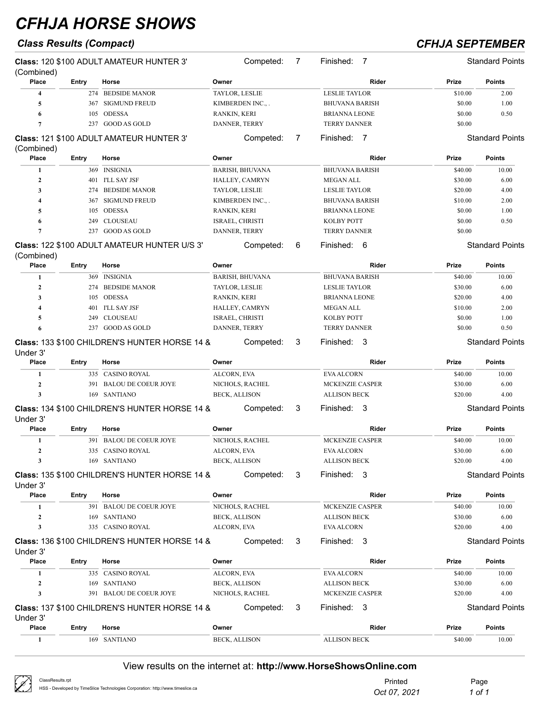## *Class Results (Compact) CFHJA SEPTEMBER*

| (Combined)              |       | <b>Class: 120 \$100 ADULT AMATEUR HUNTER 3'</b>     |                       | Competed:              | 7 | Finished:<br>$\overline{7}$ |         | <b>Standard Points</b> |
|-------------------------|-------|-----------------------------------------------------|-----------------------|------------------------|---|-----------------------------|---------|------------------------|
| Place                   | Entry | Horse                                               | Owner                 |                        |   | Rider                       | Prize   | <b>Points</b>          |
| $\overline{4}$          |       | 274 BEDSIDE MANOR                                   | TAYLOR, LESLIE        |                        |   | <b>LESLIE TAYLOR</b>        | \$10.00 | 2.00                   |
| 5                       |       | 367 SIGMUND FREUD                                   |                       | KIMBERDEN INC.,.       |   | BHUVANA BARISH              | \$0.00  | 1.00                   |
| 6                       | 105   | <b>ODESSA</b>                                       | RANKIN, KERI          |                        |   | BRIANNA LEONE               | \$0.00  | 0.50                   |
| $\overline{7}$          |       | 237 GOOD AS GOLD                                    | DANNER, TERRY         |                        |   | <b>TERRY DANNER</b>         | \$0.00  |                        |
|                         |       | <b>Class: 121 \$100 ADULT AMATEUR HUNTER 3'</b>     |                       | Competed:              | 7 | Finished: 7                 |         | <b>Standard Points</b> |
| (Combined)<br>Place     | Entry | Horse                                               | Owner                 |                        |   | Rider                       | Prize   | <b>Points</b>          |
|                         |       | 369 INSIGNIA                                        |                       |                        |   | <b>BHUVANA BARISH</b>       |         | 10.00                  |
| 1<br>$\mathbf{2}$       |       |                                                     |                       | <b>BARISH, BHUVANA</b> |   |                             | \$40.00 | 6.00                   |
|                         |       | 401 I'LL SAY JSF                                    |                       | HALLEY, CAMRYN         |   | <b>MEGAN ALL</b>            | \$30.00 |                        |
| 3                       | 274   | <b>BEDSIDE MANOR</b>                                | <b>TAYLOR, LESLIE</b> |                        |   | <b>LESLIE TAYLOR</b>        | \$20.00 | 4.00                   |
| $\overline{\mathbf{4}}$ | 367   | <b>SIGMUND FREUD</b>                                |                       | KIMBERDEN INC.,.       |   | BHUVANA BARISH              | \$10.00 | 2.00                   |
| 5                       | 105   | <b>ODESSA</b>                                       | RANKIN, KERI          |                        |   | BRIANNA LEONE               | \$0.00  | 1.00                   |
| 6                       | 249   | <b>CLOUSEAU</b>                                     | ISRAEL, CHRISTI       |                        |   | KOLBY POTT                  | \$0.00  | 0.50                   |
| 7                       |       | 237 GOOD AS GOLD                                    | DANNER, TERRY         |                        |   | <b>TERRY DANNER</b>         | \$0.00  |                        |
| (Combined)              |       | <b>Class: 122 \$100 ADULT AMATEUR HUNTER U/S 3'</b> |                       | Competed:              | 6 | Finished:<br>-6             |         | <b>Standard Points</b> |
| Place                   | Entry | Horse                                               | Owner                 |                        |   | Rider                       | Prize   | <b>Points</b>          |
| 1                       |       | 369 INSIGNIA                                        |                       | <b>BARISH, BHUVANA</b> |   | <b>BHUVANA BARISH</b>       | \$40.00 | 10.00                  |
| $\mathbf{2}$            | 274   | <b>BEDSIDE MANOR</b>                                | <b>TAYLOR, LESLIE</b> |                        |   | <b>LESLIE TAYLOR</b>        | \$30.00 | 6.00                   |
| 3                       | 105   | ODESSA                                              | RANKIN, KERI          |                        |   | BRIANNA LEONE               | \$20.00 | 4.00                   |
| 4                       | 401   | I'LL SAY JSF                                        |                       | HALLEY, CAMRYN         |   | MEGAN ALL                   | \$10.00 | 2.00                   |
| 5                       | 249   | <b>CLOUSEAU</b>                                     | ISRAEL, CHRISTI       |                        |   | <b>KOLBY POTT</b>           | \$0.00  | 1.00                   |
| 6                       |       | 237 GOOD AS GOLD                                    |                       |                        |   | <b>TERRY DANNER</b>         | \$0.00  | 0.50                   |
|                         |       |                                                     | DANNER, TERRY         |                        |   |                             |         |                        |
| Under 3'                |       | Class: 133 \$100 CHILDREN'S HUNTER HORSE 14 &       |                       | Competed:              | 3 | Finished:<br>-3             |         | <b>Standard Points</b> |
| <b>Place</b>            | Entry | Horse                                               | Owner                 |                        |   | Rider                       | Prize   | <b>Points</b>          |
| 1                       |       | 335 CASINO ROYAL                                    | ALCORN, EVA           |                        |   | <b>EVA ALCORN</b>           | \$40.00 | 10.00                  |
| $\mathbf{2}$            |       | 391 BALOU DE COEUR JOYE                             |                       | NICHOLS, RACHEL        |   | MCKENZIE CASPER             | \$30.00 | 6.00                   |
| $\mathbf{3}$            |       | 169 SANTIANO                                        | <b>BECK, ALLISON</b>  |                        |   | <b>ALLISON BECK</b>         | \$20.00 | 4.00                   |
| Under 3'                |       | Class: 134 \$100 CHILDREN'S HUNTER HORSE 14 &       |                       | Competed:              | 3 | Finished: 3                 |         | <b>Standard Points</b> |
| Place                   | Entry | Horse                                               | Owner                 |                        |   | <b>Rider</b>                | Prize   | <b>Points</b>          |
| 1                       |       | 391 BALOU DE COEUR JOYE                             |                       | NICHOLS, RACHEL        |   | MCKENZIE CASPER             | \$40.00 | 10.00                  |
| $\mathbf{2}$            |       | 335 CASINO ROYAL                                    | ALCORN, EVA           |                        |   | <b>EVA ALCORN</b>           | \$30.00 | 6.00                   |
| 3                       |       | 169 SANTIANO                                        | BECK, ALLISON         |                        |   | <b>ALLISON BECK</b>         | \$20.00 | 4.00                   |
|                         |       |                                                     |                       |                        |   |                             |         |                        |
| Under 3'                |       | Class: 135 \$100 CHILDREN'S HUNTER HORSE 14 &       |                       | Competed:              | 3 | Finished: 3                 |         | Standard Points        |
| Place                   | Entry | Horse                                               | Owner                 |                        |   | Rider                       | Prize   | <b>Points</b>          |
| 1                       |       | 391 BALOU DE COEUR JOYE                             |                       | NICHOLS, RACHEL        |   | MCKENZIE CASPER             | \$40.00 | 10.00                  |
| $\mathbf{2}$            |       | 169 SANTIANO                                        | BECK, ALLISON         |                        |   | <b>ALLISON BECK</b>         | \$30.00 | 6.00                   |
| 3                       |       | 335 CASINO ROYAL                                    | ALCORN, EVA           |                        |   | EVA ALCORN                  | \$20.00 | 4.00                   |
|                         |       | Class: 136 \$100 CHILDREN'S HUNTER HORSE 14 &       |                       | Competed:              | 3 | Finished: 3                 |         | <b>Standard Points</b> |
| Under 3'<br>Place       | Entry | Horse                                               | Owner                 |                        |   | Rider                       | Prize   | <b>Points</b>          |
|                         |       | 335 CASINO ROYAL                                    | ALCORN, EVA           |                        |   | <b>EVA ALCORN</b>           | \$40.00 | 10.00                  |
| 1                       |       |                                                     |                       |                        |   |                             |         |                        |
| $\boldsymbol{2}$        |       | 169 SANTIANO                                        | <b>BECK, ALLISON</b>  |                        |   | <b>ALLISON BECK</b>         | \$30.00 | 6.00                   |
| 3                       |       | 391 BALOU DE COEUR JOYE                             |                       | NICHOLS, RACHEL        |   | MCKENZIE CASPER             | \$20.00 | 4.00                   |
| Under 3'                |       | Class: 137 \$100 CHILDREN'S HUNTER HORSE 14 &       |                       | Competed:              | 3 | Finished: 3                 |         | <b>Standard Points</b> |
| Place                   | Entry | Horse                                               | Owner                 |                        |   | Rider                       | Prize   | <b>Points</b>          |
| 1                       |       | 169 SANTIANO                                        | <b>BECK, ALLISON</b>  |                        |   | <b>ALLISON BECK</b>         | \$40.00 | 10.00                  |

| $\oslash$ | ClassResults.rpt                                                               | Printed      | Page   |
|-----------|--------------------------------------------------------------------------------|--------------|--------|
|           | HSS - Developed by TimeSlice Technologies Corporation: http://www.timeslice.ca | Oct 07, 2021 | 1 of 1 |
|           |                                                                                |              |        |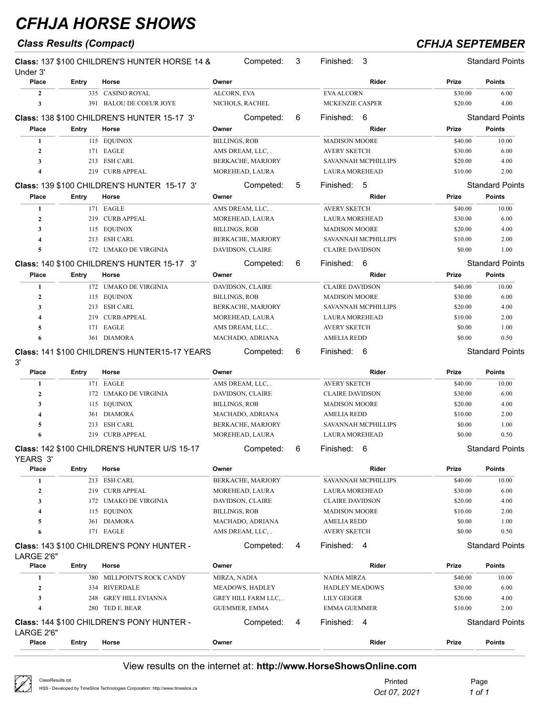## *Class Results (Compact) CFHJA SEPTEMBER*

| Under 3'                |              | Class: 137 \$100 CHILDREN'S HUNTER HORSE 14 &      | Competed:             | 3 | Finished:<br>-3            |         | <b>Standard Points</b> |
|-------------------------|--------------|----------------------------------------------------|-----------------------|---|----------------------------|---------|------------------------|
| Place                   | Entry        | Horse                                              | Owner                 |   | Rider                      | Prize   | <b>Points</b>          |
| $\overline{2}$          |              | 335 CASINO ROYAL                                   | ALCORN, EVA           |   | <b>EVA ALCORN</b>          | \$30.00 | 6.00                   |
| 3                       |              | 391 BALOU DE COEUR JOYE                            | NICHOLS, RACHEL       |   | MCKENZIE CASPER            | \$20.00 | 4.00                   |
|                         |              | <b>Class: 138 \$100 CHILDREN'S HUNTER 15-17 3'</b> | Competed:             | 6 | Finished: 6                |         | <b>Standard Points</b> |
| Place                   | <b>Entry</b> | Horse                                              | Owner                 |   | Rider                      | Prize   | <b>Points</b>          |
| 1                       |              | 115 EQUINOX                                        | <b>BILLINGS, ROB</b>  |   | <b>MADISON MOORE</b>       | \$40.00 | 10.00                  |
| $\mathbf{2}$            |              | 171 EAGLE                                          | AMS DREAM, LLC, .     |   | <b>AVERY SKETCH</b>        | \$30.00 | 6.00                   |
| 3                       |              | 213 ESH CARL                                       | BERKACHE, MARJORY     |   | SAVANNAH MCPHILLIPS        | \$20.00 | 4.00                   |
| $\overline{\mathbf{4}}$ |              | 219 CURB APPEAL                                    | MOREHEAD, LAURA       |   | <b>LAURA MOREHEAD</b>      | \$10.00 | 2.00                   |
|                         |              | <b>Class: 139 \$100 CHILDREN'S HUNTER 15-17 3'</b> | Competed:             | 5 | Finished:<br>-5            |         | <b>Standard Points</b> |
| Place                   | Entry        | Horse                                              | Owner                 |   | Rider                      | Prize   | <b>Points</b>          |
| 1                       |              | 171 EAGLE                                          | AMS DREAM, LLC, .     |   | <b>AVERY SKETCH</b>        | \$40.00 | 10.00                  |
| $\boldsymbol{2}$        |              | 219 CURB APPEAL                                    | MOREHEAD, LAURA       |   | <b>LAURA MOREHEAD</b>      | \$30.00 | 6.00                   |
| 3                       |              | 115 EQUINOX                                        | <b>BILLINGS, ROB</b>  |   | <b>MADISON MOORE</b>       | \$20.00 | 4.00                   |
| 4                       |              | 213 ESH CARL                                       | BERKACHE, MARJORY     |   | SAVANNAH MCPHILLIPS        | \$10.00 | 2.00                   |
| 5                       |              | 172 UMAKO DE VIRGINIA                              | DAVIDSON, CLAIRE      |   | <b>CLAIRE DAVIDSON</b>     | \$0.00  | 1.00                   |
|                         |              | <b>Class: 140 \$100 CHILDREN'S HUNTER 15-17 3'</b> | Competed:             | 6 | 6<br>Finished:             |         | <b>Standard Points</b> |
| Place                   | <b>Entry</b> | Horse                                              | Owner                 |   | Rider                      | Prize   | <b>Points</b>          |
| 1                       |              | 172 UMAKO DE VIRGINIA                              | DAVIDSON, CLAIRE      |   | <b>CLAIRE DAVIDSON</b>     | \$40.00 | 10.00                  |
| $\mathbf{2}$            |              | 115 EQUINOX                                        | <b>BILLINGS, ROB</b>  |   | <b>MADISON MOORE</b>       | \$30.00 | 6.00                   |
| 3                       |              | 213 ESH CARL                                       | BERKACHE, MARJORY     |   | SAVANNAH MCPHILLIPS        | \$20.00 | 4.00                   |
| $\overline{\mathbf{4}}$ | 219          | <b>CURB APPEAL</b>                                 | MOREHEAD, LAURA       |   | <b>LAURA MOREHEAD</b>      | \$10.00 | 2.00                   |
| 5                       | 171          | EAGLE                                              | AMS DREAM, LLC,.      |   | <b>AVERY SKETCH</b>        | \$0.00  | 1.00                   |
| 6                       |              | 361 DIAMORA                                        | MACHADO, ADRIANA      |   | <b>AMELIA REDD</b>         | \$0.00  | 0.50                   |
| 3'                      |              | Class: 141 \$100 CHILDREN'S HUNTER15-17 YEARS      | Competed:             | 6 | Finished: 6                |         | <b>Standard Points</b> |
| <b>Place</b>            | <b>Entry</b> | Horse                                              | Owner                 |   | Rider                      | Prize   | <b>Points</b>          |
| 1                       |              | 171 EAGLE                                          | AMS DREAM, LLC, .     |   | <b>AVERY SKETCH</b>        | \$40.00 | 10.00                  |
| $\mathbf{2}$            |              | 172 UMAKO DE VIRGINIA                              | DAVIDSON, CLAIRE      |   | <b>CLAIRE DAVIDSON</b>     | \$30.00 | 6.00                   |
| 3                       |              | 115 EQUINOX                                        | <b>BILLINGS, ROB</b>  |   | <b>MADISON MOORE</b>       | \$20.00 | 4.00                   |
| 4                       |              | 361 DIAMORA                                        | MACHADO, ADRIANA      |   | <b>AMELIA REDD</b>         | \$10.00 | 2.00                   |
| 5                       | 213          | <b>ESH CARL</b>                                    | BERKACHE, MARJORY     |   | SAVANNAH MCPHILLIPS        | \$0.00  | 1.00                   |
| 6                       |              | 219 CURB APPEAL                                    | MOREHEAD, LAURA       |   | <b>LAURA MOREHEAD</b>      | \$0.00  | 0.50                   |
| YEARS 3'                |              | Class: 142 \$100 CHILDREN'S HUNTER U/S 15-17       | Competed:             | 6 | Finished: 6                |         | <b>Standard Points</b> |
| Place                   | Entry        | Horse                                              | Owner                 |   | Rider                      | Prize   | <b>Points</b>          |
| 1                       |              | 213 ESH CARL                                       | BERKACHE, MARJORY     |   | <b>SAVANNAH MCPHILLIPS</b> | \$40.00 | 10.00                  |
| $\boldsymbol{2}$        | 219          | <b>CURB APPEAL</b>                                 | MOREHEAD, LAURA       |   | <b>LAURA MOREHEAD</b>      | \$30.00 | 6.00                   |
| 3                       | 172          | <b>UMAKO DE VIRGINIA</b>                           | DAVIDSON, CLAIRE      |   | <b>CLAIRE DAVIDSON</b>     | \$20.00 | 4.00                   |
| 4                       |              | 115 EQUINOX                                        | BILLINGS, ROB         |   | <b>MADISON MOORE</b>       | \$10.00 | 2.00                   |
| 5                       |              | 361 DIAMORA                                        | MACHADO, ADRIANA      |   | <b>AMELIA REDD</b>         | \$0.00  | 1.00                   |
| 6                       |              | 171 EAGLE                                          | AMS DREAM, LLC, .     |   | AVERY SKETCH               | \$0.00  | 0.50                   |
| LARGE 2'6"              |              | Class: 143 \$100 CHILDREN'S PONY HUNTER -          | Competed:             | 4 | Finished: 4                |         | <b>Standard Points</b> |
| Place                   | <b>Entry</b> | Horse                                              | Owner                 |   | Rider                      | Prize   | <b>Points</b>          |
| 1                       |              | 380 MILLPOINT'S ROCK CANDY                         | MIRZA, NADIA          |   | NADIA MIRZA                | \$40.00 | 10.00                  |
| $\mathbf{2}$            |              | 334 RIVERDALE                                      | MEADOWS, HADLEY       |   | <b>HADLEY MEADOWS</b>      | \$30.00 | 6.00                   |
| 3                       | 248          | GREY HILL EVIANNA                                  | GREY HILL FARM LLC, . |   | LILY GEIGER                | \$20.00 | 4.00                   |
| 4                       |              | 280 TED E. BEAR                                    | GUEMMER, EMMA         |   | <b>EMMA GUEMMER</b>        | \$10.00 | 2.00                   |
| LARGE 2'6"              |              | Class: 144 \$100 CHILDREN'S PONY HUNTER -          | Competed:             | 4 | Finished: 4                |         | <b>Standard Points</b> |
| Place                   | <b>Entry</b> | Horse                                              | Owner                 |   | Rider                      | Prize   | Points                 |

| $\bigtriangleup$<br>ClassResults.rpt<br>$\chi^{\prime}$<br>HSS - Developed by TimeSlice Technologies Corporation: http://www.timeslice.ca | Printed<br>Oct 07, 2021 | Page<br>1 of 1 |
|-------------------------------------------------------------------------------------------------------------------------------------------|-------------------------|----------------|
|-------------------------------------------------------------------------------------------------------------------------------------------|-------------------------|----------------|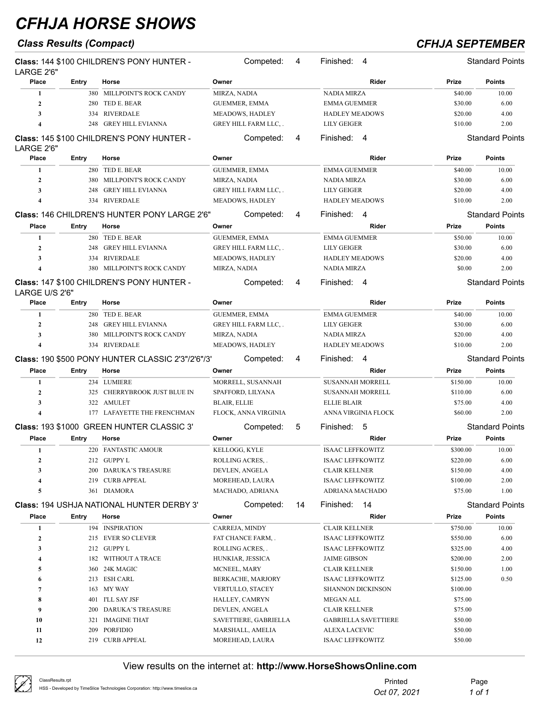## *Class Results (Compact) CFHJA SEPTEMBER*

| LARGE 2'6"       |       | Class: 144 \$100 CHILDREN'S PONY HUNTER -                |                     | Competed:             | 4  | Finished:<br>4              |          | <b>Standard Points</b> |
|------------------|-------|----------------------------------------------------------|---------------------|-----------------------|----|-----------------------------|----------|------------------------|
| Place            | Entry | Horse                                                    | Owner               |                       |    | Rider                       | Prize    | <b>Points</b>          |
| 1                |       | 380 MILLPOINT'S ROCK CANDY                               | MIRZA, NADIA        |                       |    | <b>NADIA MIRZA</b>          | \$40.00  | 10.00                  |
| $\mathbf{2}$     |       | 280 TED E. BEAR                                          |                     | <b>GUEMMER, EMMA</b>  |    | <b>EMMA GUEMMER</b>         | \$30.00  | 6.00                   |
| 3                |       | 334 RIVERDALE                                            |                     | MEADOWS, HADLEY       |    | <b>HADLEY MEADOWS</b>       | \$20.00  | 4.00                   |
| 4                | 248   | <b>GREY HILL EVIANNA</b>                                 |                     | GREY HILL FARM LLC,.  |    | LILY GEIGER                 | \$10.00  | 2.00                   |
| LARGE 2'6"       |       | Class: 145 \$100 CHILDREN'S PONY HUNTER -                |                     | Competed:             | 4  | Finished: 4                 |          | <b>Standard Points</b> |
| Place            | Entry | Horse                                                    | Owner               |                       |    | Rider                       | Prize    | <b>Points</b>          |
| 1                |       | 280 TED E. BEAR                                          |                     | <b>GUEMMER, EMMA</b>  |    | <b>EMMA GUEMMER</b>         | \$40.00  | 10.00                  |
| $\mathbf{2}$     |       | 380 MILLPOINT'S ROCK CANDY                               | MIRZA, NADIA        |                       |    | NADIA MIRZA                 | \$30.00  | 6.00                   |
| 3                | 248   | <b>GREY HILL EVIANNA</b>                                 |                     | GREY HILL FARM LLC,.  |    | LILY GEIGER                 | \$20.00  | 4.00                   |
| $\boldsymbol{4}$ |       | 334 RIVERDALE                                            |                     | MEADOWS, HADLEY       |    | <b>HADLEY MEADOWS</b>       | \$10.00  | 2.00                   |
|                  |       |                                                          |                     |                       |    |                             |          |                        |
|                  |       | Class: 146 CHILDREN'S HUNTER PONY LARGE 2'6"             |                     | Competed:             | 4  | Finished: 4                 |          | <b>Standard Points</b> |
| Place            | Entry | Horse                                                    | Owner               |                       |    | Rider                       | Prize    | <b>Points</b>          |
| 1                |       | 280 TED E. BEAR                                          |                     | <b>GUEMMER, EMMA</b>  |    | <b>EMMA GUEMMER</b>         | \$50.00  | 10.00                  |
| $\boldsymbol{2}$ |       | 248 GREY HILL EVIANNA                                    |                     | GREY HILL FARM LLC,.  |    | <b>LILY GEIGER</b>          | \$30.00  | 6.00                   |
| 3                |       | 334 RIVERDALE                                            |                     | MEADOWS, HADLEY       |    | <b>HADLEY MEADOWS</b>       | \$20.00  | 4.00                   |
| 4                |       | 380 MILLPOINT'S ROCK CANDY                               | MIRZA, NADIA        |                       |    | <b>NADIA MIRZA</b>          | \$0.00   | 2.00                   |
| LARGE U/S 2'6"   |       | Class: 147 \$100 CHILDREN'S PONY HUNTER -                |                     | Competed:             | 4  | Finished: 4                 |          | <b>Standard Points</b> |
| Place            | Entry | Horse                                                    | Owner               |                       |    | Rider                       | Prize    | <b>Points</b>          |
| 1                |       | 280 TED E. BEAR                                          |                     | GUEMMER, EMMA         |    | <b>EMMA GUEMMER</b>         | \$40.00  | 10.00                  |
| $\mathbf{2}$     |       | 248 GREY HILL EVIANNA                                    |                     | GREY HILL FARM LLC,.  |    | LILY GEIGER                 | \$30.00  | 6.00                   |
| 3                | 380   | MILLPOINT'S ROCK CANDY                                   | MIRZA, NADIA        |                       |    | NADIA MIRZA                 | \$20.00  | 4.00                   |
| 4                |       | 334 RIVERDALE                                            |                     | MEADOWS, HADLEY       |    | <b>HADLEY MEADOWS</b>       | \$10.00  | 2.00                   |
|                  |       | <b>Class: 190 \$500 PONY HUNTER CLASSIC 2'3"/2'6"/3'</b> |                     | Competed:             | 4  | Finished:<br>4              |          | <b>Standard Points</b> |
| Place            | Entry | Horse                                                    | Owner               |                       |    | Rider                       | Prize    | Points                 |
| 1                |       | 234 LUMIERE                                              |                     | MORRELL, SUSANNAH     |    | <b>SUSANNAH MORRELL</b>     | \$150.00 | 10.00                  |
| $\mathbf{2}$     |       | 325 CHERRYBROOK JUST BLUE IN                             |                     | SPAFFORD, LILYANA     |    | <b>SUSANNAH MORRELL</b>     | \$110.00 | 6.00                   |
| 3                |       | 322 AMULET                                               | <b>BLAIR, ELLIE</b> |                       |    | <b>ELLIE BLAIR</b>          | \$75.00  | 4.00                   |
| 4                |       | 177 LAFAYETTE THE FRENCHMAN                              |                     | FLOCK, ANNA VIRGINIA  |    | ANNA VIRGINIA FLOCK         | \$60.00  | 2.00                   |
|                  |       | Class: 193 \$1000 GREEN HUNTER CLASSIC 3'                |                     | Competed:             | 5  | -5<br>Finished:             |          | <b>Standard Points</b> |
| Place            | Entry | Horse                                                    | Owner               |                       |    | Rider                       | Prize    | <b>Points</b>          |
|                  |       |                                                          |                     |                       |    |                             |          |                        |
| 1                |       | 220 FANTASTIC AMOUR                                      |                     | KELLOGG, KYLE         |    | <b>ISAAC LEFFKOWITZ</b>     | \$300.00 | 10.00                  |
| 2                |       | 212 GUPPY L                                              |                     | ROLLING ACRES, .      |    | <b>ISAAC LEFFKOWITZ</b>     | \$220.00 | 6.00                   |
| 3                |       | 200 DARUKA'S TREASURE                                    |                     | DEVLEN, ANGELA        |    | <b>CLAIR KELLNER</b>        | \$150.00 | 4.00                   |
| 4                |       | 219 CURB APPEAL                                          |                     | MOREHEAD, LAURA       |    | <b>ISAAC LEFFKOWITZ</b>     | \$100.00 | 2.00                   |
| 5                |       | 361 DIAMORA                                              |                     | MACHADO, ADRIANA      |    | ADRIANA MACHADO             | \$75.00  | 1.00                   |
|                  |       | <b>Class: 194 USHJA NATIONAL HUNTER DERBY 3'</b>         |                     | Competed:             | 14 | Finished:<br>-14            |          | <b>Standard Points</b> |
| Place            | Entry | Horse                                                    | Owner               |                       |    | Rider                       | Prize    | <b>Points</b>          |
| 1                |       | 194 INSPIRATION                                          |                     | CARREJA, MINDY        |    | <b>CLAIR KELLNER</b>        | \$750.00 | 10.00                  |
| $\boldsymbol{2}$ |       | 215 EVER SO CLEVER                                       |                     | FAT CHANCE FARM, .    |    | <b>ISAAC LEFFKOWITZ</b>     | \$550.00 | 6.00                   |
| 3                |       | 212 GUPPY L                                              |                     | ROLLING ACRES,.       |    | <b>ISAAC LEFFKOWITZ</b>     | \$325.00 | 4.00                   |
| 4                |       | 182 WITHOUT A TRACE                                      |                     | HUNKIAR, JESSICA      |    | <b>JAIME GIBSON</b>         | \$200.00 | 2.00                   |
| 5                |       | 360 24K MAGIC                                            |                     | MCNEEL, MARY          |    | <b>CLAIR KELLNER</b>        | \$150.00 | 1.00                   |
| 6                |       | 213 ESH CARL                                             |                     | BERKACHE, MARJORY     |    | <b>ISAAC LEFFKOWITZ</b>     | \$125.00 | 0.50                   |
| 7                |       | 163 MY WAY                                               |                     | VERTULLO, STACEY      |    | <b>SHANNON DICKINSON</b>    | \$100.00 |                        |
| 8                |       | 401 I'LL SAY JSF                                         |                     | HALLEY, CAMRYN        |    | <b>MEGAN ALL</b>            | \$75.00  |                        |
| 9                |       | 200 DARUKA'S TREASURE                                    |                     | DEVLEN, ANGELA        |    | <b>CLAIR KELLNER</b>        | \$75.00  |                        |
| 10               |       | 321 IMAGINE THAT                                         |                     | SAVETTIERE, GABRIELLA |    | <b>GABRIELLA SAVETTIERE</b> | \$50.00  |                        |
| 11               |       | 209 PORFIDIO                                             |                     | MARSHALL, AMELIA      |    | ALEXA LACEVIC               | \$50.00  |                        |
| 12               |       | 219 CURB APPEAL                                          |                     | MOREHEAD, LAURA       |    | <b>ISAAC LEFFKOWITZ</b>     | \$50.00  |                        |
|                  |       |                                                          |                     |                       |    |                             |          |                        |

| ClassResults.rpt<br>HSS - Developed by TimeSlice Technologies Corporation: http://www.timeslice.ca | Printed<br>Oct 07, 2021 | Page<br>1 of 1 |
|----------------------------------------------------------------------------------------------------|-------------------------|----------------|
|                                                                                                    |                         |                |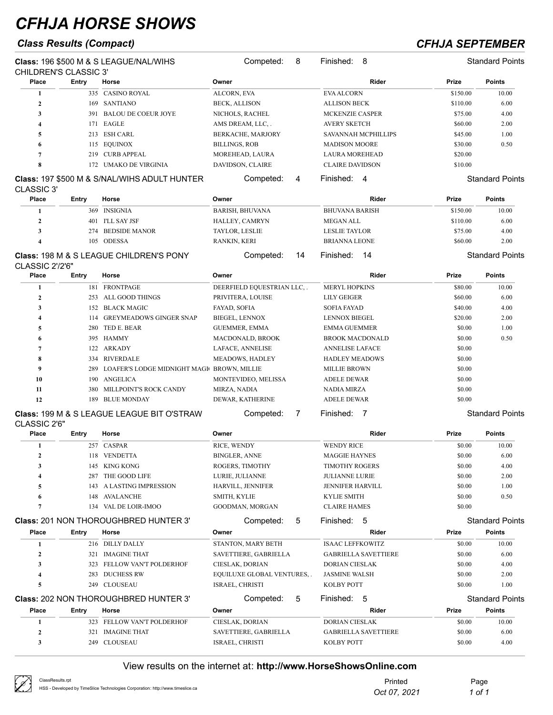### *Class Results (Compact) CFHJA SEPTEMBER*

| CHILDREN'S CLASSIC 3' |       | <b>Class: 196 \$500 M &amp; S LEAGUE/NAL/WIHS</b>       |                          |                            |          |                        |
|-----------------------|-------|---------------------------------------------------------|--------------------------|----------------------------|----------|------------------------|
| Place                 | Entry | Horse                                                   | Owner                    | Rider                      | Prize    | <b>Points</b>          |
|                       |       | 335 CASINO ROYAL                                        | ALCORN, EVA              | <b>EVA ALCORN</b>          | \$150.00 | 10.00                  |
| $\mathbf{2}$          | 169   | SANTIANO                                                | <b>BECK, ALLISON</b>     | <b>ALLISON BECK</b>        | \$110.00 | 6.00                   |
| 3                     |       | 391 BALOU DE COEUR JOYE                                 | NICHOLS, RACHEL          | <b>MCKENZIE CASPER</b>     | \$75.00  | 4.00                   |
| 4                     |       | 171 EAGLE                                               | AMS DREAM, LLC,.         | <b>AVERY SKETCH</b>        | \$60.00  | 2.00                   |
| 5                     |       | 213 ESH CARL                                            | <b>BERKACHE, MARJORY</b> | <b>SAVANNAH MCPHILLIPS</b> | \$45.00  | 1.00                   |
| 0                     |       | 115 EQUINOX                                             | <b>BILLINGS, ROB</b>     | <b>MADISON MOORE</b>       | \$30.00  | 0.50                   |
| $\overline{ }$        | 219   | <b>CURB APPEAL</b>                                      | MOREHEAD, LAURA          | <b>LAURA MOREHEAD</b>      | \$20.00  |                        |
| 8                     | 172.  | UMAKO DE VIRGINIA                                       | <b>DAVIDSON, CLAIRE</b>  | <b>CLAIRE DAVIDSON</b>     | \$10.00  |                        |
|                       |       | <b>Class: 197 \$500 M &amp; S/NAL/WIHS ADULT HUNTER</b> | Competed:<br>4           | Finished:<br>4             |          | <b>Standard Points</b> |

**Class:** 197 \$500 M & S/NAL/WIHS ADULT HUNTER CLASSIC 3'

| Place | Entrv | Horse                                              | Owner                 |    | Rider                 | Prize    | <b>Points</b>          |
|-------|-------|----------------------------------------------------|-----------------------|----|-----------------------|----------|------------------------|
|       |       | 369 INSIGNIA                                       | BARISH, BHUVANA       |    | <b>BHUVANA BARISH</b> | \$150.00 | 10.00                  |
|       | 401   | - I'LL SAY JSF                                     | HALLEY, CAMRYN        |    | <b>MEGAN ALL</b>      | \$110.00 | 6.00                   |
|       | 274   | BEDSIDE MANOR                                      | <b>TAYLOR, LESLIE</b> |    | <b>LESLIE TAYLOR</b>  | \$75.00  | 4.00                   |
|       |       | 105 ODESSA                                         | RANKIN, KERI          |    | <b>BRIANNA LEONE</b>  | \$60.00  | 2.00                   |
|       |       | <b>Class: 198 M &amp; S LEAGUE CHILDREN'S PONY</b> | Competed:             | 14 | 14<br>Finished:       |          | <b>Standard Points</b> |

### **Class:** 198 M & S LEAGUE CHILDREN'S PONY CLASSIC 2'/2'6"

| Place        | Entry | Horse                                           | Owner                       | Rider                  | <b>Prize</b> | <b>Points</b> |
|--------------|-------|-------------------------------------------------|-----------------------------|------------------------|--------------|---------------|
|              | 181   | <b>FRONTPAGE</b>                                | DEERFIELD EQUESTRIAN LLC, . | <b>MERYL HOPKINS</b>   | \$80.00      | 10.00         |
| $\mathbf{2}$ | 253   | ALL GOOD THINGS                                 | PRIVITERA, LOUISE           | <b>LILY GEIGER</b>     | \$60.00      | 6.00          |
| 3            | 152   | <b>BLACK MAGIC</b>                              | FAYAD, SOFIA                | <b>SOFIA FAYAD</b>     | \$40.00      | 4.00          |
| 4            | 114   | <b>GREYMEADOWS GINGER SNAP</b>                  | <b>BIEGEL, LENNOX</b>       | LENNOX BIEGEL          | \$20.00      | 2.00          |
| 5            | 280   | TED E. BEAR                                     | <b>GUEMMER, EMMA</b>        | <b>EMMA GUEMMER</b>    | \$0.00       | 1.00          |
| 6            |       | 395 HAMMY                                       | <b>MACDONALD, BROOK</b>     | <b>BROOK MACDONALD</b> | \$0.00       | 0.50          |
|              |       | 122 ARKADY                                      | LAFACE, ANNELISE            | <b>ANNELISE LAFACE</b> | \$0.00       |               |
| 8            | 334   | <b>RIVERDALE</b>                                | <b>MEADOWS, HADLEY</b>      | <b>HADLEY MEADOWS</b>  | \$0.00       |               |
| 9            |       | 289 LOAFER'S LODGE MIDNIGHT MAGIC BROWN, MILLIE |                             | <b>MILLIE BROWN</b>    | \$0.00       |               |
| 10           |       | 190 ANGELICA                                    | MONTEVIDEO, MELISSA         | <b>ADELE DEWAR</b>     | \$0.00       |               |
| 11           | 380.  | MILLPOINT'S ROCK CANDY                          | MIRZA, NADIA                | <b>NADIA MIRZA</b>     | \$0.00       |               |
| 12           | 189   | <b>BLUE MONDAY</b>                              | DEWAR, KATHERINE            | <b>ADELE DEWAR</b>     | \$0.00       |               |

Competed: 7 Finished: 7 Standard Points

### **Class:** 199 M & S LEAGUE LEAGUE BIT O'STRAW CLASSIC 2'6"

| ULAJJIU Z 0    |       |                                              |                             |                             |              |                        |
|----------------|-------|----------------------------------------------|-----------------------------|-----------------------------|--------------|------------------------|
| Place          | Entry | Horse                                        | Owner                       | <b>Rider</b>                | Prize        | <b>Points</b>          |
|                | 257   | CASPAR                                       | RICE, WENDY                 | <b>WENDY RICE</b>           | \$0.00       | 10.00                  |
| $\mathbf{2}$   | 118   | <b>VENDETTA</b>                              | <b>BINGLER, ANNE</b>        | <b>MAGGIE HAYNES</b>        | \$0.00       | 6.00                   |
| 3              | 145   | <b>KING KONG</b>                             | ROGERS, TIMOTHY             | <b>TIMOTHY ROGERS</b>       | \$0.00       | 4.00                   |
|                | 287   | THE GOOD LIFE                                | LURIE, JULIANNE             | <b>JULIANNE LURIE</b>       | \$0.00       | 2.00                   |
| 5              | 143   | <b>A LASTING IMPRESSION</b>                  | HARVILL, JENNIFER           | <b>JENNIFER HARVILL</b>     | \$0.00       | 1.00                   |
| 6              | 148   | <b>AVALANCHE</b>                             | <b>SMITH, KYLIE</b>         | <b>KYLIE SMITH</b>          | \$0.00       | 0.50                   |
|                | 134   | VAL DE LOIR-IMOO                             | GOODMAN, MORGAN             | <b>CLAIRE HAMES</b>         | \$0.00       |                        |
|                |       | <b>Class: 201 NON THOROUGHBRED HUNTER 3'</b> | 5<br>Competed:              | 5<br>Finished:              |              | <b>Standard Points</b> |
| Place          | Entry | Horse                                        | Owner                       | <b>Rider</b>                | <b>Prize</b> | <b>Points</b>          |
|                |       | 216 DILLY DALLY                              | STANTON, MARY BETH          | <b>ISAAC LEFFKOWITZ</b>     | \$0.00       | 10.00                  |
| $\overline{2}$ | 321   | <b>IMAGINE THAT</b>                          | SAVETTIERE, GABRIELLA       | <b>GABRIELLA SAVETTIERE</b> | \$0.00       | 6.00                   |
| 3              | 323   | FELLOW VAN'T POLDERHOF                       | CIESLAK, DORIAN             | <b>DORIAN CIESLAK</b>       | \$0.00       | 4.00                   |
| 4              | 283   | <b>DUCHESS RW</b>                            | EQUILUXE GLOBAL VENTURES, . | <b>JASMINE WALSH</b>        | \$0.00       | 2.00                   |
| 5              | 249   | <b>CLOUSEAU</b>                              | ISRAEL, CHRISTI             | KOLBY POTT                  | \$0.00       | 1.00                   |
|                |       | <b>Class: 202 NON THOROUGHBRED HUNTER 3'</b> | 5<br>Competed:              | 5<br>Finished:              |              | <b>Standard Points</b> |
| Place          | Entry | Horse                                        | Owner                       | Rider                       | <b>Prize</b> | <b>Points</b>          |
|                | 323   | FELLOW VAN'T POLDERHOF                       | CIESLAK, DORIAN             | <b>DORIAN CIESLAK</b>       | \$0.00       | 10.00                  |
| $\mathbf{2}$   | 321   | <b>IMAGINE THAT</b>                          | SAVETTIERE, GABRIELLA       | <b>GABRIELLA SAVETTIERE</b> | \$0.00       | 6.00                   |
| 3              | 249   | CLOUSEAU                                     | <b>ISRAEL, CHRISTI</b>      | <b>KOLBY POTT</b>           | \$0.00       | 4.00                   |

| Ø<br>ClassResults.rpt<br>HSS - Developed by TimeSlice Technologies Corporation: http://www.timeslice.ca | Printed<br>Oct 07, 2021 | Page<br>1 of 1 |
|---------------------------------------------------------------------------------------------------------|-------------------------|----------------|
|---------------------------------------------------------------------------------------------------------|-------------------------|----------------|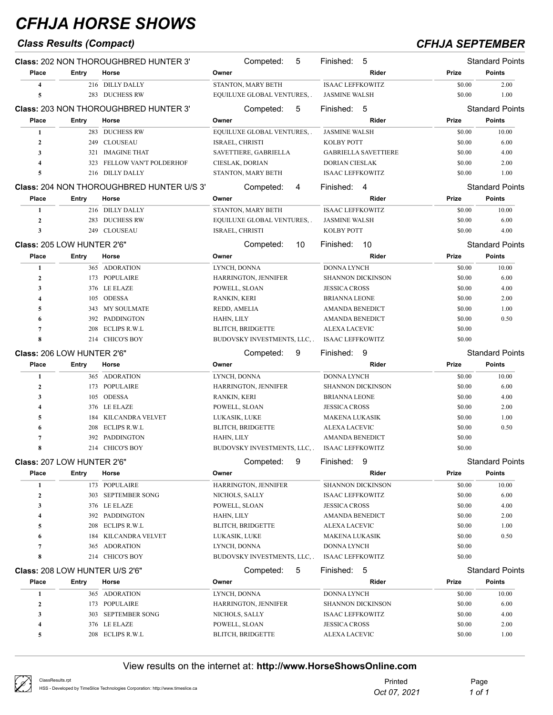## *Class Results (Compact) CFHJA SEPTEMBER*

|                                       |       | <b>Class: 202 NON THOROUGHBRED HUNTER 3'</b> | Competed:<br>5                            | 5<br>Finished:                        |                  | <b>Standard Points</b>                                                                     |
|---------------------------------------|-------|----------------------------------------------|-------------------------------------------|---------------------------------------|------------------|--------------------------------------------------------------------------------------------|
| Place                                 | Entry | Horse                                        | Owner                                     | <b>Rider</b>                          | Prize            | <b>Points</b>                                                                              |
| $\overline{\mathbf{4}}$               |       | 216 DILLY DALLY                              | STANTON, MARY BETH                        | <b>ISAAC LEFFKOWITZ</b>               | \$0.00           | 2.00                                                                                       |
| 5                                     |       | 283 DUCHESS RW                               | EQUILUXE GLOBAL VENTURES, .               | <b>JASMINE WALSH</b>                  | \$0.00           | 1.00                                                                                       |
|                                       |       | <b>Class: 203 NON THOROUGHBRED HUNTER 3'</b> | Competed:<br>5                            | Finished:<br>-5                       |                  | <b>Standard Points</b>                                                                     |
| Place                                 | Entry | Horse                                        | Owner                                     | Rider                                 | Prize            | <b>Points</b>                                                                              |
| 1                                     |       | 283 DUCHESS RW                               | EQUILUXE GLOBAL VENTURES, .               | <b>JASMINE WALSH</b>                  | \$0.00           | 10.00                                                                                      |
| $\mathbf{2}$                          |       | 249 CLOUSEAU                                 | ISRAEL, CHRISTI                           | <b>KOLBY POTT</b>                     | \$0.00           | 6.00                                                                                       |
| $\mathbf{3}$                          | 321   | <b>IMAGINE THAT</b>                          | SAVETTIERE, GABRIELLA                     | <b>GABRIELLA SAVETTIERE</b>           | \$0.00           | 4.00                                                                                       |
| $\overline{4}$                        | 323   | FELLOW VAN'T POLDERHOF                       | CIESLAK, DORIAN                           | DORIAN CIESLAK                        | \$0.00           | 2.00                                                                                       |
| 5                                     | 216   | <b>DILLY DALLY</b>                           | STANTON, MARY BETH                        | <b>ISAAC LEFFKOWITZ</b>               | \$0.00           | 1.00                                                                                       |
|                                       |       | Class: 204 NON THOROUGHBRED HUNTER U/S 3'    | Competed:<br>4                            | Finished:<br>$\overline{4}$           |                  | <b>Standard Points</b>                                                                     |
| Place                                 | Entry | Horse                                        | Owner                                     | Rider                                 | Prize            | <b>Points</b>                                                                              |
| 1                                     |       | 216 DILLY DALLY                              | STANTON, MARY BETH                        | <b>ISAAC LEFFKOWITZ</b>               | \$0.00           | 10.00                                                                                      |
| $\mathbf{2}$                          | 283   | <b>DUCHESS RW</b>                            | EQUILUXE GLOBAL VENTURES, .               | <b>JASMINE WALSH</b>                  | \$0.00           | 6.00                                                                                       |
| 3                                     |       | 249 CLOUSEAU                                 | ISRAEL, CHRISTI                           | <b>KOLBY POTT</b>                     | \$0.00           | 4.00                                                                                       |
| Class: 205 LOW HUNTER 2'6"            |       |                                              | Competed:<br>10                           | 10<br>Finished:                       |                  | <b>Standard Points</b>                                                                     |
| Place                                 | Entry | Horse                                        | Owner                                     | Rider                                 | Prize            | <b>Points</b>                                                                              |
| 1                                     |       | 365 ADORATION                                | LYNCH, DONNA                              | <b>DONNA LYNCH</b>                    | \$0.00           | 10.00                                                                                      |
| $\mathbf{2}$                          |       | 173 POPULAIRE                                | HARRINGTON, JENNIFER                      | <b>SHANNON DICKINSON</b>              | \$0.00           | 6.00                                                                                       |
| 3                                     |       | 376 LE ELAZE                                 | POWELL, SLOAN                             | <b>JESSICA CROSS</b>                  | \$0.00           | 4.00                                                                                       |
| $\overline{4}$                        |       | 105 ODESSA                                   | RANKIN, KERI                              | <b>BRIANNA LEONE</b>                  | \$0.00           | 2.00                                                                                       |
| 5                                     |       | 343 MY SOULMATE                              | REDD, AMELIA                              | <b>AMANDA BENEDICT</b>                | \$0.00           | 1.00                                                                                       |
| 6                                     |       | 392 PADDINGTON                               | HAHN, LILY                                | <b>AMANDA BENEDICT</b>                | \$0.00           | 0.50                                                                                       |
| $\overline{7}$                        | 208   | <b>ECLIPS R.W.L</b>                          | <b>BLITCH, BRIDGETTE</b>                  | ALEXA LACEVIC                         | \$0.00           |                                                                                            |
| 8                                     |       | 214 CHICO'S BOY                              | BUDOVSKY INVESTMENTS, LLC, .              | <b>ISAAC LEFFKOWITZ</b>               | \$0.00           |                                                                                            |
|                                       |       |                                              |                                           |                                       |                  |                                                                                            |
|                                       |       |                                              | Competed:<br>9                            | Finished:<br>9                        |                  |                                                                                            |
| Class: 206 LOW HUNTER 2'6"            |       |                                              |                                           |                                       |                  |                                                                                            |
| Place                                 | Entry | Horse                                        | Owner                                     | Rider                                 | Prize            | <b>Points</b>                                                                              |
| 1                                     |       | 365 ADORATION                                | LYNCH, DONNA                              | <b>DONNA LYNCH</b>                    | \$0.00           | 10.00                                                                                      |
| $\mathbf{2}$                          |       | 173 POPULAIRE                                | HARRINGTON, JENNIFER                      | <b>SHANNON DICKINSON</b>              | \$0.00           | 6.00                                                                                       |
| 3                                     |       | 105 ODESSA                                   | RANKIN, KERI                              | <b>BRIANNA LEONE</b>                  | \$0.00           | 4.00                                                                                       |
| $\overline{4}$                        |       | 376 LE ELAZE                                 | POWELL, SLOAN                             | <b>JESSICA CROSS</b>                  | \$0.00           | 2.00                                                                                       |
| 5                                     |       | 184 KILCANDRA VELVET                         | LUKASIK, LUKE                             | MAKENA LUKASIK                        | \$0.00           | 1.00                                                                                       |
| 6                                     | 208   | ECLIPS R.W.L                                 | <b>BLITCH, BRIDGETTE</b>                  | ALEXA LACEVIC                         | \$0.00           | 0.50                                                                                       |
| 7                                     | 392   | PADDINGTON                                   | HAHN, LILY                                | <b>AMANDA BENEDICT</b>                | \$0.00           |                                                                                            |
| 8                                     |       | 214 CHICO'S BOY                              | BUDOVSKY INVESTMENTS, LLC, .              | <b>ISAAC LEFFKOWITZ</b>               | \$0.00           |                                                                                            |
| Class: 207 LOW HUNTER 2'6"            |       |                                              | 9<br>Competed:                            | 9<br>Finished:                        |                  |                                                                                            |
| Place                                 | Entry | Horse                                        | Owner                                     | Rider                                 | Prize            | <b>Points</b>                                                                              |
| 1                                     |       | 173 POPULAIRE                                | HARRINGTON, JENNIFER                      | <b>SHANNON DICKINSON</b>              | \$0.00           | 10.00                                                                                      |
| $\boldsymbol{2}$                      |       | 303 SEPTEMBER SONG                           | NICHOLS, SALLY                            | <b>ISAAC LEFFKOWITZ</b>               | \$0.00           | 6.00                                                                                       |
| 3                                     |       | 376 LE ELAZE                                 | POWELL, SLOAN                             | <b>JESSICA CROSS</b>                  | \$0.00           | 4.00                                                                                       |
| 4                                     |       | 392 PADDINGTON                               | HAHN, LILY                                | <b>AMANDA BENEDICT</b>                | \$0.00           | 2.00                                                                                       |
| 5                                     |       | 208 ECLIPS R.W.L                             | <b>BLITCH, BRIDGETTE</b>                  | ALEXA LACEVIC                         | \$0.00           | 1.00                                                                                       |
| 6                                     | 184   | KILCANDRA VELVET                             | LUKASIK, LUKE                             | MAKENA LUKASIK                        | \$0.00           | 0.50                                                                                       |
| 7                                     | 365   | <b>ADORATION</b>                             | LYNCH, DONNA                              | <b>DONNA LYNCH</b>                    | \$0.00           |                                                                                            |
| 8                                     |       | 214 CHICO'S BOY                              | BUDOVSKY INVESTMENTS, LLC, .              | <b>ISAAC LEFFKOWITZ</b>               | \$0.00           |                                                                                            |
| <b>Class: 208 LOW HUNTER U/S 2'6"</b> |       |                                              | Competed:<br>5                            | 5<br>Finished:                        |                  |                                                                                            |
| Place                                 | Entry | Horse                                        | Owner                                     | Rider                                 | Prize            | <b>Points</b>                                                                              |
| $\mathbf{1}$                          |       | 365 ADORATION                                | LYNCH, DONNA                              | <b>DONNA LYNCH</b>                    | \$0.00           | 10.00                                                                                      |
| $\boldsymbol{2}$                      |       | 173 POPULAIRE                                | HARRINGTON, JENNIFER                      | <b>SHANNON DICKINSON</b>              | \$0.00           | 6.00                                                                                       |
| 3                                     | 303   | <b>SEPTEMBER SONG</b>                        | NICHOLS, SALLY                            | <b>ISAAC LEFFKOWITZ</b>               | \$0.00           | 4.00                                                                                       |
| 4<br>5                                |       | 376 LE ELAZE<br>208 ECLIPS R.W.L             | POWELL, SLOAN<br><b>BLITCH, BRIDGETTE</b> | <b>JESSICA CROSS</b><br>ALEXA LACEVIC | \$0.00<br>\$0.00 | <b>Standard Points</b><br><b>Standard Points</b><br><b>Standard Points</b><br>2.00<br>1.00 |

| ClassResults.rpt<br>HSS - Developed by TimeSlice Technologies Corporation: http://www.timeslice.ca | Printed      | Page   |
|----------------------------------------------------------------------------------------------------|--------------|--------|
|                                                                                                    | Oct 07, 2021 | 1 of 1 |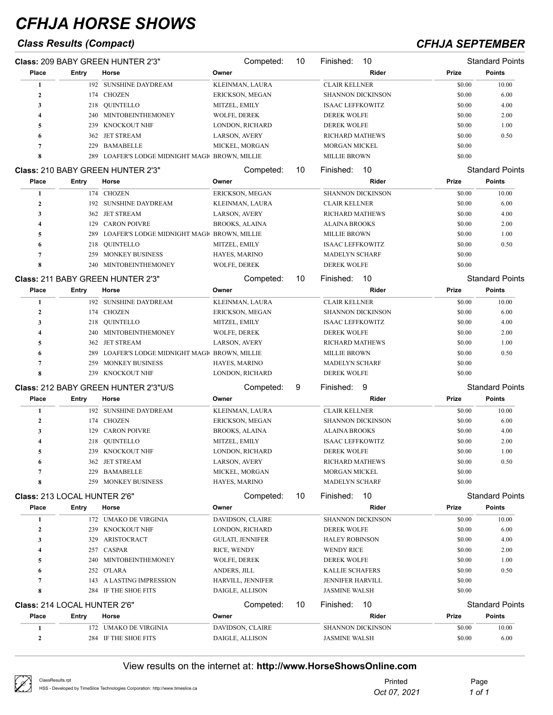## *Class Results (Compact) CFHJA SEPTEMBER*

|                                     |       | Class: 209 BABY GREEN HUNTER 2'3"             | Competed:                            | 10 | 10<br>Finished:                                  |                  | <b>Standard Points</b> |
|-------------------------------------|-------|-----------------------------------------------|--------------------------------------|----|--------------------------------------------------|------------------|------------------------|
| Place                               | Entry | Horse                                         | Owner                                |    | Rider                                            | Prize            | <b>Points</b>          |
| 1                                   |       | 192 SUNSHINE DAYDREAM                         | KLEINMAN, LAURA                      |    | <b>CLAIR KELLNER</b>                             | \$0.00           | 10.00                  |
| $\overline{2}$                      |       | 174 CHOZEN                                    | ERICKSON, MEGAN                      |    | <b>SHANNON DICKINSON</b>                         | \$0.00           | 6.00                   |
| 3                                   |       | 218 QUINTELLO                                 | MITZEL, EMILY                        |    | <b>ISAAC LEFFKOWITZ</b>                          | \$0.00           | 4.00                   |
| 4                                   |       | 240 MINTOBEINTHEMONEY                         | WOLFE, DEREK                         |    | <b>DEREK WOLFE</b>                               | \$0.00           | 2.00                   |
| 5                                   | 239   | <b>KNOCKOUT NHF</b>                           | LONDON, RICHARD                      |    | <b>DEREK WOLFE</b>                               | \$0.00           | 1.00                   |
| 6                                   |       | 362 JET STREAM                                | LARSON, AVERY                        |    | <b>RICHARD MATHEWS</b>                           | \$0.00           | 0.50                   |
| $\overline{7}$                      | 229   | <b>BAMABELLE</b>                              | MICKEL, MORGAN                       |    | <b>MORGAN MICKEL</b>                             | \$0.00           |                        |
| 8                                   | 289   | LOAFER'S LODGE MIDNIGHT MAGIC BROWN, MILLIE   |                                      |    | <b>MILLIE BROWN</b>                              | \$0.00           |                        |
|                                     |       | Class: 210 BABY GREEN HUNTER 2'3"             | Competed:                            | 10 | 10<br>Finished:                                  |                  | <b>Standard Points</b> |
| Place                               | Entry | Horse                                         | Owner                                |    | Rider                                            | Prize            | <b>Points</b>          |
| 1                                   |       | 174 CHOZEN                                    | ERICKSON, MEGAN                      |    | <b>SHANNON DICKINSON</b>                         | \$0.00           | 10.00                  |
| $\overline{2}$                      |       | 192 SUNSHINE DAYDREAM                         | KLEINMAN, LAURA                      |    | <b>CLAIR KELLNER</b>                             | \$0.00           | 6.00                   |
| 3                                   |       | 362 JET STREAM                                | LARSON, AVERY                        |    | <b>RICHARD MATHEWS</b>                           | \$0.00           | 4.00                   |
| 4                                   | 129   | <b>CARON POIVRE</b>                           | <b>BROOKS, ALAINA</b>                |    | <b>ALAINA BROOKS</b>                             | \$0.00           | 2.00                   |
| 5                                   | 289   | LOAFER'S LODGE MIDNIGHT MAGIC BROWN, MILLIE   |                                      |    | <b>MILLIE BROWN</b>                              | \$0.00           | 1.00                   |
| 6                                   | 218   | QUINTELLO                                     | MITZEL, EMILY                        |    | <b>ISAAC LEFFKOWITZ</b>                          | \$0.00           | 0.50                   |
| 7                                   | 259   | <b>MONKEY BUSINESS</b>                        | HAYES, MARINO                        |    | <b>MADELYN SCHARF</b>                            | \$0.00           |                        |
| 8                                   | 240   | MINTOBEINTHEMONEY                             | WOLFE, DEREK                         |    | <b>DEREK WOLFE</b>                               | \$0.00           |                        |
|                                     |       | Class: 211 BABY GREEN HUNTER 2'3"             | Competed:                            | 10 | 10<br>Finished:                                  |                  | <b>Standard Points</b> |
| Place                               | Entry | Horse                                         | Owner                                |    | Rider                                            | Prize            | <b>Points</b>          |
| 1                                   |       | 192 SUNSHINE DAYDREAM                         | KLEINMAN, LAURA                      |    | <b>CLAIR KELLNER</b>                             | \$0.00           | 10.00                  |
| $\overline{2}$                      |       | 174 CHOZEN                                    | ERICKSON, MEGAN                      |    | SHANNON DICKINSON                                | \$0.00           | 6.00                   |
| 3                                   | 218   | QUINTELLO                                     | MITZEL, EMILY                        |    | <b>ISAAC LEFFKOWITZ</b>                          | \$0.00           | 4.00                   |
| 4                                   |       | 240 MINTOBEINTHEMONEY                         | WOLFE, DEREK                         |    | <b>DEREK WOLFE</b>                               | \$0.00           | 2.00                   |
| 5                                   |       | 362 JET STREAM                                | LARSON, AVERY                        |    | <b>RICHARD MATHEWS</b>                           | \$0.00           | 1.00                   |
| 6                                   | 289   | LOAFER'S LODGE MIDNIGHT MAGI BROWN, MILLIE    |                                      |    | <b>MILLIE BROWN</b>                              | \$0.00           | 0.50                   |
| 7                                   | 259   | MONKEY BUSINESS                               | HAYES, MARINO                        |    | <b>MADELYN SCHARF</b>                            | \$0.00           |                        |
| 8                                   | 239   | KNOCKOUT NHF                                  | LONDON, RICHARD                      |    | <b>DEREK WOLFE</b>                               | \$0.00           |                        |
|                                     |       | Class: 212 BABY GREEN HUNTER 2'3"U/S          | Competed:                            | 9  | 9<br>Finished:                                   |                  | <b>Standard Points</b> |
| Place                               | Entry | Horse                                         | Owner                                |    | Rider                                            | Prize            | <b>Points</b>          |
| 1                                   |       | 192 SUNSHINE DAYDREAM                         | KLEINMAN, LAURA                      |    | <b>CLAIR KELLNER</b>                             | \$0.00           | 10.00                  |
| $\boldsymbol{2}$                    |       | 174 CHOZEN                                    | ERICKSON, MEGAN                      |    | <b>SHANNON DICKINSON</b>                         | \$0.00           | 6.00                   |
| 3                                   | 129   | <b>CARON POIVRE</b>                           | <b>BROOKS, ALAINA</b>                |    | <b>ALAINA BROOKS</b>                             | \$0.00           | 4.00                   |
| $\boldsymbol{4}$                    | 218   | QUINTELLO                                     | MITZEL, EMILY                        |    | <b>ISAAC LEFFKOWITZ</b>                          | \$0.00           | 2.00                   |
| 5                                   |       | 239 KNOCKOUT NHF                              | LONDON, RICHARD                      |    | <b>DEREK WOLFE</b>                               | \$0.00           | 1.00                   |
|                                     | 362   | JET STREAM                                    | LARSON, AVERY                        |    | <b>RICHARD MATHEWS</b>                           | \$0.00           | 0.50                   |
| 6<br>7                              | 229   | BAMABELLE                                     | MICKEL, MORGAN                       |    | <b>MORGAN MICKEL</b>                             | \$0.00           |                        |
| 8                                   | 259   | MONKEY BUSINESS                               | HAYES, MARINO                        |    | <b>MADELYN SCHARF</b>                            | \$0.00           |                        |
| <b>Class: 213 LOCAL HUNTER 2'6"</b> |       |                                               | Competed:                            | 10 | Finished:<br>10                                  |                  | <b>Standard Points</b> |
| Place                               | Entry | Horse                                         | Owner                                |    | Rider                                            | Prize            | <b>Points</b>          |
| 1                                   |       | 172 UMAKO DE VIRGINIA                         | DAVIDSON, CLAIRE                     |    | <b>SHANNON DICKINSON</b>                         | \$0.00           | 10.00                  |
| $\boldsymbol{2}$                    |       | 239 KNOCKOUT NHF                              | LONDON, RICHARD                      |    | <b>DEREK WOLFE</b>                               | \$0.00           |                        |
| 3                                   |       |                                               | <b>GULATI, JENNIFER</b>              |    | <b>HALEY ROBINSON</b>                            |                  | 6.00                   |
|                                     | 329   | ARISTOCRACT                                   |                                      |    |                                                  | \$0.00           | 4.00                   |
| 4                                   |       | 257 CASPAR                                    | RICE, WENDY                          |    | <b>WENDY RICE</b>                                | \$0.00           | 2.00                   |
| 5                                   |       | 240 MINTOBEINTHEMONEY                         | <b>WOLFE, DEREK</b>                  |    | <b>DEREK WOLFE</b>                               | \$0.00           | 1.00                   |
| 6                                   |       | 252 O'LARA                                    | ANDERS, JILL                         |    | KALLIE SCHAFERS                                  | \$0.00           | 0.50                   |
| 7<br>8                              | 143   | A LASTING IMPRESSION<br>284 IF THE SHOE FITS  | HARVILL, JENNIFER<br>DAIGLE, ALLISON |    | JENNIFER HARVILL<br><b>JASMINE WALSH</b>         | \$0.00<br>\$0.00 |                        |
|                                     |       |                                               |                                      |    |                                                  |                  |                        |
| Class: 214 LOCAL HUNTER 2'6"        |       |                                               | Competed:                            | 10 | Finished:<br>-10                                 |                  | <b>Standard Points</b> |
| Place                               | Entry | Horse                                         | Owner                                |    | Rider                                            | Prize            | <b>Points</b>          |
| 1<br>$\boldsymbol{2}$               |       | 172 UMAKO DE VIRGINIA<br>284 IF THE SHOE FITS | DAVIDSON, CLAIRE<br>DAIGLE, ALLISON  |    | <b>SHANNON DICKINSON</b><br><b>JASMINE WALSH</b> | \$0.00<br>\$0.00 | 10.00<br>6.00          |

| ClassResults.rpt<br>HSS - Developed by TimeSlice Technologies Corporation: http://www.timeslice.ca | Printed<br>Oct 07, 2021 | Page<br>1 of 1 |
|----------------------------------------------------------------------------------------------------|-------------------------|----------------|
|                                                                                                    |                         |                |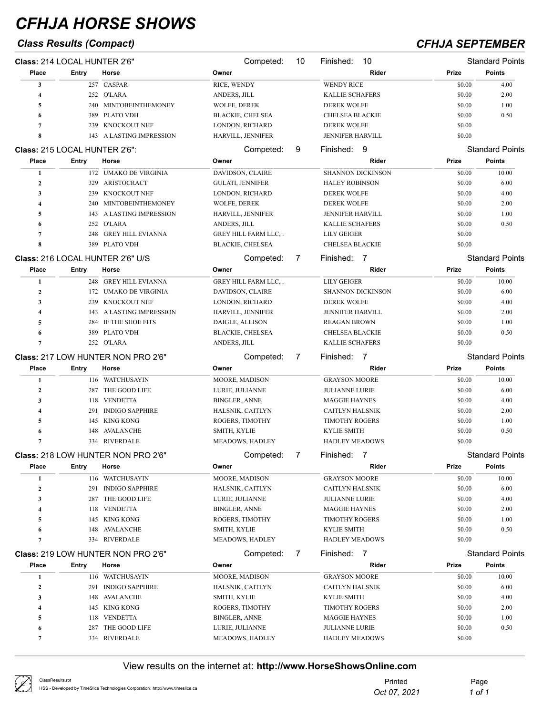## *Class Results (Compact) CFHJA SEPTEMBER*

| Class: 214 LOCAL HUNTER 2'6" |                               |                                             | Competed:                          | 10 | Finished:<br>10                                |                  | <b>Standard Points</b>                  |
|------------------------------|-------------------------------|---------------------------------------------|------------------------------------|----|------------------------------------------------|------------------|-----------------------------------------|
| Place                        | Entry                         | Horse                                       | Owner                              |    | Rider                                          | Prize            | <b>Points</b>                           |
| 3                            |                               | 257 CASPAR                                  | RICE, WENDY                        |    | <b>WENDY RICE</b>                              | \$0.00           | 4.00                                    |
| 4                            |                               | 252 O'LARA                                  | ANDERS, JILL                       |    | <b>KALLIE SCHAFERS</b>                         | \$0.00           | 2.00                                    |
| 5                            |                               | 240 MINTOBEINTHEMONEY                       | WOLFE, DEREK                       |    | <b>DEREK WOLFE</b>                             | \$0.00           | 1.00                                    |
| 6                            | 389                           | PLATO VDH                                   | <b>BLACKIE, CHELSEA</b>            |    | <b>CHELSEA BLACKIE</b>                         | \$0.00           | 0.50                                    |
| 7                            | 239                           | KNOCKOUT NHF                                | LONDON, RICHARD                    |    | <b>DEREK WOLFE</b>                             | \$0.00           |                                         |
| 8                            |                               | 143 A LASTING IMPRESSION                    | HARVILL, JENNIFER                  |    | JENNIFER HARVILL                               | \$0.00           |                                         |
|                              | Class: 215 LOCAL HUNTER 2'6": |                                             | Competed:                          | 9  | Finished: 9                                    |                  | <b>Standard Points</b>                  |
| Place                        | <b>Entry</b>                  | Horse                                       | Owner                              |    | Rider                                          | Prize            | <b>Points</b>                           |
| 1                            |                               | 172 UMAKO DE VIRGINIA                       | DAVIDSON, CLAIRE                   |    | <b>SHANNON DICKINSON</b>                       | \$0.00           | 10.00                                   |
| $\boldsymbol{2}$             | 329                           | ARISTOCRACT                                 | GULATI, JENNIFER                   |    | <b>HALEY ROBINSON</b>                          | \$0.00           | 6.00                                    |
| 3                            | 239                           | KNOCKOUT NHF                                | LONDON, RICHARD                    |    | <b>DEREK WOLFE</b>                             | \$0.00           | 4.00                                    |
| 4                            | 240                           | MINTOBEINTHEMONEY                           | WOLFE, DEREK                       |    | <b>DEREK WOLFE</b>                             | \$0.00           | 2.00                                    |
| 5                            | 143                           | A LASTING IMPRESSION                        | HARVILL, JENNIFER                  |    | <b>JENNIFER HARVILL</b>                        | \$0.00           | 1.00                                    |
| 6                            |                               | 252 O'LARA                                  | ANDERS, JILL                       |    | <b>KALLIE SCHAFERS</b>                         | \$0.00           | 0.50                                    |
| 7                            | 248                           | <b>GREY HILL EVIANNA</b>                    | GREY HILL FARM LLC, .              |    | <b>LILY GEIGER</b>                             | \$0.00           |                                         |
| 8                            |                               | 389 PLATO VDH                               | <b>BLACKIE, CHELSEA</b>            |    | <b>CHELSEA BLACKIE</b>                         | \$0.00           |                                         |
|                              |                               |                                             |                                    |    |                                                |                  |                                         |
|                              |                               | Class: 216 LOCAL HUNTER 2'6" U/S            | Competed:                          | 7  | Finished: 7                                    |                  | <b>Standard Points</b>                  |
| Place                        | <b>Entry</b>                  | Horse                                       | Owner                              |    | Rider                                          | Prize            | <b>Points</b>                           |
| 1                            |                               | 248 GREY HILL EVIANNA                       | GREY HILL FARM LLC,.               |    | <b>LILY GEIGER</b>                             | \$0.00           | 10.00                                   |
| $\boldsymbol{2}$             |                               | 172 UMAKO DE VIRGINIA                       | DAVIDSON, CLAIRE                   |    | <b>SHANNON DICKINSON</b>                       | \$0.00           | 6.00                                    |
| 3                            | 239                           | KNOCKOUT NHF                                | LONDON, RICHARD                    |    | <b>DEREK WOLFE</b>                             | \$0.00           | 4.00                                    |
| 4                            | 143                           | A LASTING IMPRESSION                        | HARVILL, JENNIFER                  |    | <b>JENNIFER HARVILL</b>                        | \$0.00           | 2.00                                    |
| 5                            | 284                           | IF THE SHOE FITS                            | DAIGLE, ALLISON                    |    | <b>REAGAN BROWN</b>                            | \$0.00           | 1.00                                    |
| 6                            | 389                           | <b>PLATO VDH</b>                            | <b>BLACKIE, CHELSEA</b>            |    | <b>CHELSEA BLACKIE</b>                         | \$0.00           | 0.50                                    |
| 7                            |                               | 252 O'LARA                                  | ANDERS, JILL                       |    | <b>KALLIE SCHAFERS</b>                         | \$0.00           |                                         |
|                              |                               | Class: 217 LOW HUNTER NON PRO 2'6"          | Competed:                          | 7  | Finished:<br>$\overline{7}$                    |                  | <b>Standard Points</b>                  |
|                              |                               |                                             |                                    |    |                                                |                  |                                         |
| Place                        | <b>Entry</b>                  | Horse                                       | Owner                              |    | Rider                                          | Prize            | <b>Points</b>                           |
| 1                            |                               | 116 WATCHUSAYIN                             | MOORE, MADISON                     |    | <b>GRAYSON MOORE</b>                           | \$0.00           | 10.00                                   |
| 2                            | 287                           | THE GOOD LIFE                               | LURIE, JULIANNE                    |    | <b>JULIANNE LURIE</b>                          | \$0.00           | 6.00                                    |
| 3                            | 118                           | <b>VENDETTA</b>                             | <b>BINGLER, ANNE</b>               |    | <b>MAGGIE HAYNES</b>                           | \$0.00           | 4.00                                    |
| 4                            | 291                           | <b>INDIGO SAPPHIRE</b>                      | HALSNIK, CAITLYN                   |    | <b>CAITLYN HALSNIK</b>                         | \$0.00           | 2.00                                    |
| 5                            | 145                           | KING KONG                                   | ROGERS, TIMOTHY                    |    | <b>TIMOTHY ROGERS</b>                          | \$0.00           | 1.00                                    |
| 6                            | 148                           | AVALANCHE                                   | <b>SMITH, KYLIE</b>                |    | <b>KYLIE SMITH</b>                             | \$0.00           | 0.50                                    |
| 7                            |                               | 334 RIVERDALE                               | MEADOWS, HADLEY                    |    | <b>HADLEY MEADOWS</b>                          | \$0.00           |                                         |
|                              |                               |                                             | Competed:                          | 7  | $\overline{7}$                                 |                  | Standard Points                         |
| Place                        | <b>Entry</b>                  | Class: 218 LOW HUNTER NON PRO 2'6"<br>Horse | Owner                              |    | Finished:<br>Rider                             | Prize            | <b>Points</b>                           |
|                              |                               |                                             |                                    |    |                                                |                  |                                         |
| 1                            |                               | 116 WATCHUSAYIN                             | MOORE, MADISON                     |    | <b>GRAYSON MOORE</b>                           | \$0.00           | 10.00                                   |
| $\boldsymbol{2}$             |                               | 291 INDIGO SAPPHIRE                         | HALSNIK, CAITLYN                   |    | CAITLYN HALSNIK                                | \$0.00           | 6.00                                    |
| 3                            |                               | 287 THE GOOD LIFE                           | LURIE, JULIANNE                    |    | <b>JULIANNE LURIE</b>                          | \$0.00           | 4.00                                    |
| 4                            | 118                           | <b>VENDETTA</b>                             | <b>BINGLER, ANNE</b>               |    | <b>MAGGIE HAYNES</b>                           | \$0.00           | 2.00                                    |
| 5                            |                               | 145 KING KONG                               | ROGERS, TIMOTHY                    |    | <b>TIMOTHY ROGERS</b>                          | \$0.00           | 1.00                                    |
| 6                            | 148                           | AVALANCHE                                   | SMITH, KYLIE                       |    | <b>KYLIE SMITH</b>                             | \$0.00           | 0.50                                    |
| 7                            |                               | 334 RIVERDALE                               | MEADOWS, HADLEY                    |    | <b>HADLEY MEADOWS</b>                          | \$0.00           |                                         |
|                              |                               | Class: 219 LOW HUNTER NON PRO 2'6"          | Competed:                          | 7  | Finished: 7                                    |                  |                                         |
| Place                        | Entry                         | Horse                                       | Owner                              |    | Rider                                          | Prize            | <b>Standard Points</b><br><b>Points</b> |
| 1                            |                               | 116 WATCHUSAYIN                             | MOORE, MADISON                     |    | <b>GRAYSON MOORE</b>                           | \$0.00           | 10.00                                   |
| $\boldsymbol{2}$             |                               | 291 INDIGO SAPPHIRE                         | HALSNIK, CAITLYN                   |    | CAITLYN HALSNIK                                | \$0.00           | 6.00                                    |
| 3                            |                               | 148 AVALANCHE                               | SMITH, KYLIE                       |    | KYLIE SMITH                                    | \$0.00           | 4.00                                    |
| 4                            |                               | 145 KING KONG                               | ROGERS, TIMOTHY                    |    | <b>TIMOTHY ROGERS</b>                          | \$0.00           | 2.00                                    |
| 5                            |                               | 118 VENDETTA                                | <b>BINGLER, ANNE</b>               |    | <b>MAGGIE HAYNES</b>                           | \$0.00           | 1.00                                    |
| 6<br>7                       | 287                           | THE GOOD LIFE<br>334 RIVERDALE              | LURIE, JULIANNE<br>MEADOWS, HADLEY |    | <b>JULIANNE LURIE</b><br><b>HADLEY MEADOWS</b> | \$0.00<br>\$0.00 | 0.50                                    |

| ClassResults.rpt<br>HSS - Developed by TimeSlice Technologies Corporation: http://www.timeslice.ca | Printed      | Page   |
|----------------------------------------------------------------------------------------------------|--------------|--------|
|                                                                                                    | Oct 07, 2021 | 1 of 1 |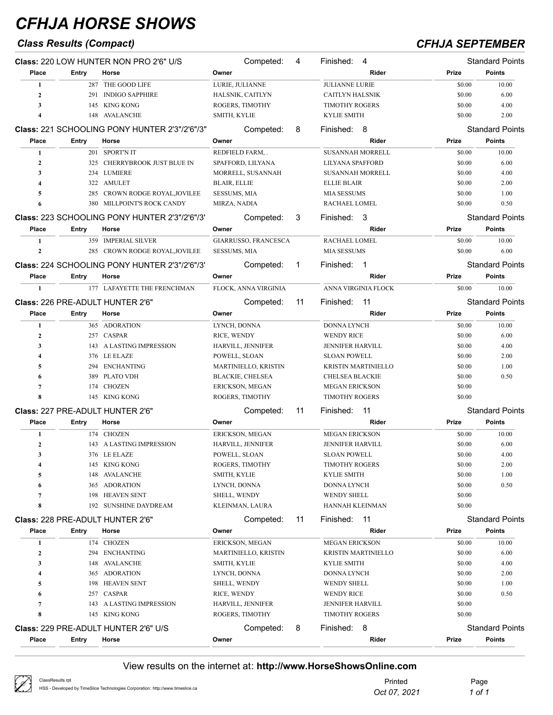## *Class Results (Compact) CFHJA SEPTEMBER*

|                  |       | Class: 220 LOW HUNTER NON PRO 2'6" U/S        |                     | Competed:                   | 4  | Finished:               | 4                          |        | <b>Standard Points</b> |
|------------------|-------|-----------------------------------------------|---------------------|-----------------------------|----|-------------------------|----------------------------|--------|------------------------|
| Place            | Entry | Horse                                         | Owner               |                             |    |                         | Rider                      | Prize  | <b>Points</b>          |
| 1                |       | 287 THE GOOD LIFE                             |                     | LURIE, JULIANNE             |    | <b>JULIANNE LURIE</b>   |                            | \$0.00 | 10.00                  |
| $\mathbf{2}$     |       | 291 INDIGO SAPPHIRE                           |                     | HALSNIK, CAITLYN            |    | <b>CAITLYN HALSNIK</b>  |                            | \$0.00 | 6.00                   |
| 3                |       | 145 KING KONG                                 |                     | ROGERS, TIMOTHY             |    | <b>TIMOTHY ROGERS</b>   |                            | \$0.00 | 4.00                   |
| 4                |       | 148 AVALANCHE                                 | SMITH, KYLIE        |                             |    | <b>KYLIE SMITH</b>      |                            | \$0.00 | 2.00                   |
|                  |       | Class: 221 SCHOOLING PONY HUNTER 2'3"/2'6"/3" |                     | Competed:                   | 8  | Finished: 8             |                            |        | <b>Standard Points</b> |
| Place            | Entry | Horse                                         | Owner               |                             |    |                         | Rider                      | Prize  | <b>Points</b>          |
| 1                |       | 201 SPORT'N IT                                |                     | REDFIELD FARM, .            |    | <b>SUSANNAH MORRELL</b> |                            | \$0.00 | 10.00                  |
| $\mathbf{2}$     |       | 325 CHERRYBROOK JUST BLUE IN                  |                     | SPAFFORD, LILYANA           |    | LILYANA SPAFFORD        |                            | \$0.00 | 6.00                   |
| 3                |       | 234 LUMIERE                                   |                     | MORRELL, SUSANNAH           |    | <b>SUSANNAH MORRELL</b> |                            | \$0.00 | 4.00                   |
| 4                |       | 322 AMULET                                    | BLAIR, ELLIE        |                             |    | <b>ELLIE BLAIR</b>      |                            | \$0.00 | 2.00                   |
| 5                |       | 285 CROWN RODGE ROYAL, JOVILEE                | <b>SESSUMS, MIA</b> |                             |    | <b>MIA SESSUMS</b>      |                            | \$0.00 | 1.00                   |
|                  |       | 380 MILLPOINT'S ROCK CANDY                    | MIRZA, NADIA        |                             |    | RACHAEL LOMEL           |                            | \$0.00 | 0.50                   |
|                  |       | Class: 223 SCHOOLING PONY HUNTER 2'3"/2'6"/3" |                     | Competed:                   | 3  | Finished:               | -3                         |        | <b>Standard Points</b> |
| Place            | Entry | Horse                                         | Owner               |                             |    |                         | Rider                      | Prize  | <b>Points</b>          |
| 1                |       | 359 IMPERIAL SILVER                           |                     | <b>GIARRUSSO, FRANCESCA</b> |    | RACHAEL LOMEL           |                            | \$0.00 | 10.00                  |
| $\mathbf{2}$     |       | 285 CROWN RODGE ROYAL, JOVILEE                | <b>SESSUMS, MIA</b> |                             |    | <b>MIA SESSUMS</b>      |                            | \$0.00 | 6.00                   |
|                  |       |                                               |                     |                             |    |                         |                            |        |                        |
|                  |       | Class: 224 SCHOOLING PONY HUNTER 2'3"/2'6"/3" |                     | Competed:                   | 1  | Finished:               | -1                         |        | <b>Standard Points</b> |
| Place            | Entry | Horse                                         | Owner               |                             |    |                         | Rider                      | Prize  | <b>Points</b>          |
| 1                |       | 177 LAFAYETTE THE FRENCHMAN                   |                     | FLOCK, ANNA VIRGINIA        |    |                         | ANNA VIRGINIA FLOCK        | \$0.00 | 10.00                  |
|                  |       | Class: 226 PRE-ADULT HUNTER 2'6"              |                     | Competed:                   | 11 | Finished:               | -11                        |        | <b>Standard Points</b> |
| Place            | Entry | Horse                                         | Owner               |                             |    |                         | Rider                      | Prize  | <b>Points</b>          |
| 1                |       | 365 ADORATION                                 | LYNCH, DONNA        |                             |    | <b>DONNA LYNCH</b>      |                            | \$0.00 | 10.00                  |
| $\boldsymbol{2}$ |       | 257 CASPAR                                    | RICE, WENDY         |                             |    | <b>WENDY RICE</b>       |                            | \$0.00 | 6.00                   |
| 3                |       | 143 A LASTING IMPRESSION                      |                     | HARVILL, JENNIFER           |    | <b>JENNIFER HARVILL</b> |                            | \$0.00 | 4.00                   |
| 4                |       | 376 LE ELAZE                                  | POWELL, SLOAN       |                             |    | <b>SLOAN POWELL</b>     |                            | \$0.00 | 2.00                   |
| 5                |       | 294 ENCHANTING                                |                     | MARTINIELLO, KRISTIN        |    |                         | <b>KRISTIN MARTINIELLO</b> | \$0.00 | 1.00                   |
| 6                | 389   | <b>PLATO VDH</b>                              |                     | <b>BLACKIE, CHELSEA</b>     |    | <b>CHELSEA BLACKIE</b>  |                            | \$0.00 | 0.50                   |
| 7                |       | 174 CHOZEN                                    |                     | ERICKSON, MEGAN             |    | <b>MEGAN ERICKSON</b>   |                            | \$0.00 |                        |
| 8                |       | 145 KING KONG                                 |                     | ROGERS, TIMOTHY             |    | <b>TIMOTHY ROGERS</b>   |                            | \$0.00 |                        |
|                  |       | Class: 227 PRE-ADULT HUNTER 2'6"              |                     | Competed:                   | 11 | Finished:               | 11                         |        | <b>Standard Points</b> |
| Place            | Entry | Horse                                         | Owner               |                             |    |                         | Rider                      | Prize  | <b>Points</b>          |
| 1                |       | 174 CHOZEN                                    |                     | ERICKSON, MEGAN             |    | <b>MEGAN ERICKSON</b>   |                            | \$0.00 | 10.00                  |
| $\boldsymbol{2}$ |       | 143 A LASTING IMPRESSION                      |                     | HARVILL, JENNIFER           |    | <b>JENNIFER HARVILL</b> |                            | \$0.00 | 6.00                   |
| 3                |       | 376 LE ELAZE                                  |                     | POWELL, SLOAN               |    | <b>SLOAN POWELL</b>     |                            | \$0.00 | 4.00                   |
| 4                |       | 145 KING KONG                                 |                     | ROGERS, TIMOTHY             |    | <b>TIMOTHY ROGERS</b>   |                            | \$0.00 | 2.00                   |
| 5                |       | 148 AVALANCHE                                 | SMITH, KYLIE        |                             |    | <b>KYLIE SMITH</b>      |                            | \$0.00 | 1.00                   |
| 6                |       | 365 ADORATION                                 | LYNCH, DONNA        |                             |    | <b>DONNA LYNCH</b>      |                            | \$0.00 | 0.50                   |
| 7                |       | 198 HEAVEN SENT                               | SHELL, WENDY        |                             |    | <b>WENDY SHELL</b>      |                            | \$0.00 |                        |
| 8                |       | 192 SUNSHINE DAYDREAM                         |                     | KLEINMAN, LAURA             |    | HANNAH KLEINMAN         |                            | \$0.00 |                        |
|                  |       | Class: 228 PRE-ADULT HUNTER 2'6"              |                     | Competed:                   | 11 | Finished:               | 11                         |        | <b>Standard Points</b> |
| Place            | Entry | Horse                                         | Owner               |                             |    |                         | Rider                      | Prize  | <b>Points</b>          |
| 1                |       | 174 CHOZEN                                    |                     | ERICKSON, MEGAN             |    | <b>MEGAN ERICKSON</b>   |                            | \$0.00 | 10.00                  |
| $\boldsymbol{2}$ |       | 294 ENCHANTING                                |                     | MARTINIELLO, KRISTIN        |    |                         | KRISTIN MARTINIELLO        | \$0.00 | 6.00                   |
| 3                |       | 148 AVALANCHE                                 | SMITH, KYLIE        |                             |    | <b>KYLIE SMITH</b>      |                            | \$0.00 | 4.00                   |
| 4                |       | 365 ADORATION                                 | LYNCH, DONNA        |                             |    | DONNA LYNCH             |                            | \$0.00 | 2.00                   |
| 5                |       | 198 HEAVEN SENT                               | SHELL, WENDY        |                             |    | <b>WENDY SHELL</b>      |                            | \$0.00 | 1.00                   |
| 6                |       | 257 CASPAR                                    | RICE, WENDY         |                             |    | <b>WENDY RICE</b>       |                            | \$0.00 | 0.50                   |
| 7                |       | 143 A LASTING IMPRESSION                      |                     | HARVILL, JENNIFER           |    | JENNIFER HARVILL        |                            | \$0.00 |                        |
| 8                |       | 145 KING KONG                                 |                     | ROGERS, TIMOTHY             |    | <b>TIMOTHY ROGERS</b>   |                            | \$0.00 |                        |
|                  |       | Class: 229 PRE-ADULT HUNTER 2'6" U/S          |                     | Competed:                   | 8  | Finished: 8             |                            |        | <b>Standard Points</b> |
| Place            | Entry | Horse                                         | Owner               |                             |    |                         | Rider                      | Prize  | <b>Points</b>          |
|                  |       |                                               |                     |                             |    |                         |                            |        |                        |

| ClassResults.rpt<br>HSS - Developed by TimeSlice Technologies Corporation: http://www.timeslice.ca | Printed<br>Oct 07, 2021 | Page<br>1 of 1 |
|----------------------------------------------------------------------------------------------------|-------------------------|----------------|
|                                                                                                    |                         |                |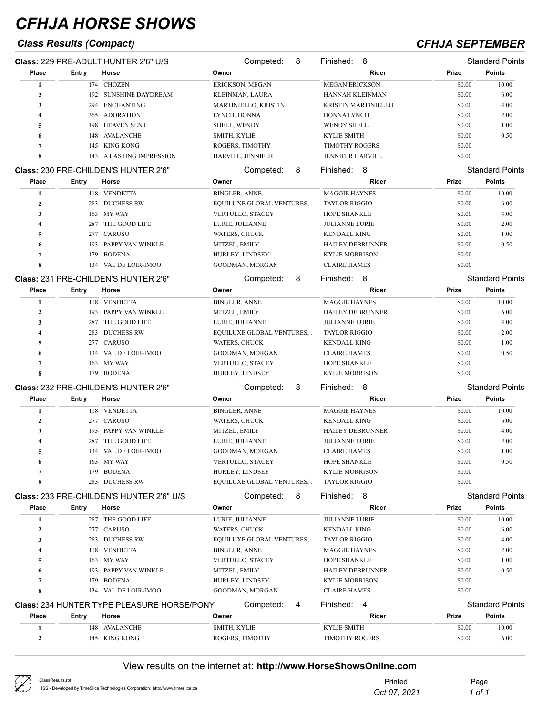## *Class Results (Compact) CFHJA SEPTEMBER*

|                  |       | Class: 229 PRE-ADULT HUNTER 2'6" U/S              | Competed:<br>8                   | 8<br>Finished:             |        | <b>Standard Points</b> |
|------------------|-------|---------------------------------------------------|----------------------------------|----------------------------|--------|------------------------|
| Place            | Entry | Horse                                             | Owner                            | Rider                      | Prize  | <b>Points</b>          |
| 1                |       | 174 CHOZEN                                        | ERICKSON, MEGAN                  | <b>MEGAN ERICKSON</b>      | \$0.00 | 10.00                  |
| $\boldsymbol{2}$ |       | 192 SUNSHINE DAYDREAM                             | KLEINMAN, LAURA                  | HANNAH KLEINMAN            | \$0.00 | 6.00                   |
| 3                |       | 294 ENCHANTING                                    | MARTINIELLO, KRISTIN             | <b>KRISTIN MARTINIELLO</b> | \$0.00 | 4.00                   |
| 4                |       | 365 ADORATION                                     | LYNCH, DONNA                     | DONNA LYNCH                | \$0.00 | 2.00                   |
| 5                | 198   | <b>HEAVEN SENT</b>                                | SHELL, WENDY                     | <b>WENDY SHELL</b>         | \$0.00 | 1.00                   |
| 6                | 148   | AVALANCHE                                         | SMITH, KYLIE                     | <b>KYLIE SMITH</b>         | \$0.00 | 0.50                   |
| 7                | 145   | KING KONG                                         | ROGERS, TIMOTHY                  | <b>TIMOTHY ROGERS</b>      | \$0.00 |                        |
| 8                | 143   | A LASTING IMPRESSION                              | HARVILL, JENNIFER                | JENNIFER HARVILL           | \$0.00 |                        |
|                  |       | Class: 230 PRE-CHILDEN'S HUNTER 2'6"              | Competed:<br>8                   | 8<br>Finished:             |        | <b>Standard Points</b> |
| Place            | Entry | Horse                                             | Owner                            | Rider                      | Prize  | <b>Points</b>          |
| 1                |       | 118 VENDETTA                                      | <b>BINGLER, ANNE</b>             | <b>MAGGIE HAYNES</b>       | \$0.00 | 10.00                  |
| $\boldsymbol{2}$ |       | 283 DUCHESS RW                                    | EQUILUXE GLOBAL VENTURES, .      | <b>TAYLOR RIGGIO</b>       | \$0.00 | 6.00                   |
| 3                | 163   | MY WAY                                            | VERTULLO, STACEY                 | <b>HOPE SHANKLE</b>        | \$0.00 | 4.00                   |
| 4                | 287   | THE GOOD LIFE                                     | LURIE, JULIANNE                  | <b>JULIANNE LURIE</b>      | \$0.00 | 2.00                   |
|                  | 277   | CARUSO                                            |                                  | <b>KENDALL KING</b>        | \$0.00 | 1.00                   |
| 5                |       |                                                   | WATERS, CHUCK                    |                            |        |                        |
| 6                | 193   | PAPPY VAN WINKLE                                  | MITZEL, EMILY                    | <b>HAILEY DEBRUNNER</b>    | \$0.00 | 0.50                   |
| $\overline{7}$   | 179   | <b>BODENA</b>                                     | HURLEY, LINDSEY                  | <b>KYLIE MORRISON</b>      | \$0.00 |                        |
| 8                |       | 134 VAL DE LOIR-IMOO                              | GOODMAN, MORGAN                  | <b>CLAIRE HAMES</b>        | \$0.00 |                        |
|                  |       | Class: 231 PRE-CHILDEN'S HUNTER 2'6"              | Competed:<br>8                   | Finished:<br>8             |        | <b>Standard Points</b> |
| Place            | Entry | Horse                                             | Owner                            | Rider                      | Prize  | <b>Points</b>          |
| 1                |       | 118 VENDETTA                                      | <b>BINGLER, ANNE</b>             | <b>MAGGIE HAYNES</b>       | \$0.00 | 10.00                  |
| $\boldsymbol{2}$ |       | 193 PAPPY VAN WINKLE                              | MITZEL, EMILY                    | HAILEY DEBRUNNER           | \$0.00 | 6.00                   |
| 3                | 287   | THE GOOD LIFE                                     | LURIE, JULIANNE                  | <b>JULIANNE LURIE</b>      | \$0.00 | 4.00                   |
| 4                | 283   | <b>DUCHESS RW</b>                                 | EQUILUXE GLOBAL VENTURES, .      | <b>TAYLOR RIGGIO</b>       | \$0.00 | 2.00                   |
| 5                | 277   | CARUSO                                            | WATERS, CHUCK                    | <b>KENDALL KING</b>        | \$0.00 | 1.00                   |
| 6                | 134   | VAL DE LOIR-IMOO                                  | GOODMAN, MORGAN                  | <b>CLAIRE HAMES</b>        | \$0.00 | 0.50                   |
| $\overline{7}$   | 163   | MY WAY                                            | VERTULLO, STACEY                 | <b>HOPE SHANKLE</b>        | \$0.00 |                        |
| 8                |       | 179 BODENA                                        | HURLEY, LINDSEY                  | <b>KYLIE MORRISON</b>      | \$0.00 |                        |
|                  |       | Class: 232 PRE-CHILDEN'S HUNTER 2'6"              | Competed:<br>8                   | 8<br>Finished:             |        | <b>Standard Points</b> |
| Place            | Entry | Horse                                             | Owner                            | Rider                      | Prize  | <b>Points</b>          |
|                  |       |                                                   |                                  |                            |        |                        |
| 1                |       | 118 VENDETTA                                      | <b>BINGLER, ANNE</b>             | <b>MAGGIE HAYNES</b>       | \$0.00 | 10.00                  |
| $\boldsymbol{2}$ |       | 277 CARUSO                                        | WATERS, CHUCK                    | <b>KENDALL KING</b>        | \$0.00 | 6.00                   |
| 3                | 193   | PAPPY VAN WINKLE                                  | MITZEL, EMILY                    | <b>HAILEY DEBRUNNER</b>    | \$0.00 | 4.00                   |
| 4                | 287   | THE GOOD LIFE                                     | LURIE, JULIANNE                  | <b>JULIANNE LURIE</b>      | \$0.00 | 2.00                   |
| 5                |       | 134 VAL DE LOIR-IMOO                              | GOODMAN, MORGAN                  | <b>CLAIRE HAMES</b>        | \$0.00 | 1.00                   |
| 6                | 163   | MY WAY                                            | VERTULLO, STACEY                 | HOPE SHANKLE               | \$0.00 | 0.50                   |
| $\overline{7}$   | 179   | <b>BODENA</b>                                     | HURLEY, LINDSEY                  | KYLIE MORRISON             | \$0.00 |                        |
| 8                | 283   | <b>DUCHESS RW</b>                                 | <b>EQUILUXE GLOBAL VENTURES,</b> | <b>TAYLOR RIGGIO</b>       | \$0.00 |                        |
|                  |       | <b>Class: 233 PRE-CHILDEN'S HUNTER 2'6" U/S</b>   | Competed:<br>8                   | Finished: 8                |        | <b>Standard Points</b> |
| Place            | Entry | Horse                                             | Owner                            | Rider                      | Prize  | <b>Points</b>          |
| 1                |       | 287 THE GOOD LIFE                                 | LURIE, JULIANNE                  | <b>JULIANNE LURIE</b>      | \$0.00 | 10.00                  |
| $\boldsymbol{2}$ |       | 277 CARUSO                                        | WATERS, CHUCK                    | <b>KENDALL KING</b>        | \$0.00 | 6.00                   |
| 3                |       | 283 DUCHESS RW                                    | EQUILUXE GLOBAL VENTURES, .      | <b>TAYLOR RIGGIO</b>       | \$0.00 | 4.00                   |
| 4                |       | 118 VENDETTA                                      | <b>BINGLER, ANNE</b>             | <b>MAGGIE HAYNES</b>       | \$0.00 | 2.00                   |
| 5                |       | 163 MY WAY                                        | VERTULLO, STACEY                 | HOPE SHANKLE               | \$0.00 | 1.00                   |
| 6                | 193   | PAPPY VAN WINKLE                                  | MITZEL, EMILY                    | <b>HAILEY DEBRUNNER</b>    | \$0.00 | 0.50                   |
| 7                | 179   | <b>BODENA</b>                                     | HURLEY, LINDSEY                  | <b>KYLIE MORRISON</b>      | \$0.00 |                        |
| 8                | 134   | VAL DE LOIR-IMOO                                  | GOODMAN, MORGAN                  | <b>CLAIRE HAMES</b>        | \$0.00 |                        |
|                  |       |                                                   |                                  |                            |        |                        |
|                  |       | <b>Class: 234 HUNTER TYPE PLEASURE HORSE/PONY</b> | Competed:<br>4                   | Finished: 4                |        | <b>Standard Points</b> |
| Place            | Entry | Horse                                             | Owner                            | Rider                      | Prize  | <b>Points</b>          |
| 1                |       | 148 AVALANCHE                                     | SMITH, KYLIE                     | <b>KYLIE SMITH</b>         | \$0.00 | 10.00                  |
| $\boldsymbol{2}$ |       | 145 KING KONG                                     | ROGERS, TIMOTHY                  | <b>TIMOTHY ROGERS</b>      | \$0.00 | 6.00                   |

| $\sqrt{2}$ | ClassResults.rpt                                                               | Printed      | Page   |
|------------|--------------------------------------------------------------------------------|--------------|--------|
|            | HSS - Developed by TimeSlice Technologies Corporation: http://www.timeslice.ca | Oct 07, 2021 | ' of : |
|            |                                                                                |              |        |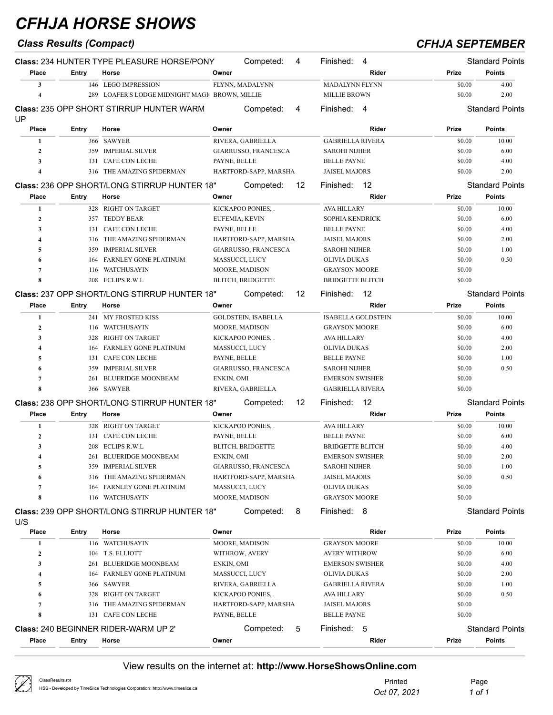|                  | <b>Class Results (Compact)</b> |                                                            |              |                            |    |                         |                           | <b>CFHJA SEPTEMBER</b> |                                         |
|------------------|--------------------------------|------------------------------------------------------------|--------------|----------------------------|----|-------------------------|---------------------------|------------------------|-----------------------------------------|
| Place            | Entry                          | <b>Class: 234 HUNTER TYPE PLEASURE HORSE/PONY</b><br>Horse | Owner        | Competed:                  | 4  | Finished:               | 4<br>Rider                | Prize                  | <b>Standard Points</b><br><b>Points</b> |
| 3                |                                | 146 LEGO IMPRESSION                                        |              | FLYNN, MADALYNN            |    | MADALYNN FLYNN          |                           | \$0.00                 | 4.00                                    |
| 4                | 289                            | LOAFER'S LODGE MIDNIGHT MAGI BROWN, MILLIE                 |              |                            |    | <b>MILLIE BROWN</b>     |                           | \$0.00                 | 2.00                                    |
|                  |                                | <b>Class: 235 OPP SHORT STIRRUP HUNTER WARM</b>            |              | Competed:                  | 4  | Finished: 4             |                           |                        | <b>Standard Points</b>                  |
| UP               |                                |                                                            |              |                            |    |                         |                           |                        |                                         |
| Place            | Entry                          | Horse                                                      | Owner        |                            |    |                         | Rider                     | Prize                  | <b>Points</b>                           |
| 1                |                                | 366 SAWYER                                                 |              | RIVERA, GABRIELLA          |    | <b>GABRIELLA RIVERA</b> |                           | \$0.00                 | 10.00                                   |
| $\mathbf{2}$     |                                | 359 IMPERIAL SILVER                                        |              | GIARRUSSO, FRANCESCA       |    | <b>SAROHI NIJHER</b>    |                           | \$0.00                 | 6.00                                    |
| 3                | 131                            | <b>CAFE CON LECHE</b>                                      | PAYNE, BELLE |                            |    | <b>BELLE PAYNE</b>      |                           | \$0.00                 | 4.00                                    |
| 4                |                                | 316 THE AMAZING SPIDERMAN                                  |              | HARTFORD-SAPP, MARSHA      |    | <b>JAISEL MAJORS</b>    |                           | \$0.00                 | 2.00                                    |
|                  |                                | <b>Class: 236 OPP SHORT/LONG STIRRUP HUNTER 18"</b>        |              | Competed:                  | 12 | Finished: 12            |                           |                        | <b>Standard Points</b>                  |
| Place            | Entry                          | Horse                                                      | Owner        |                            |    |                         | Rider                     | Prize                  | <b>Points</b>                           |
| 1                |                                | 328 RIGHT ON TARGET                                        |              | KICKAPOO PONIES,.          |    | AVA HILLARY             |                           | \$0.00                 | 10.00                                   |
| $\mathbf{2}$     | 357                            | <b>TEDDY BEAR</b>                                          |              | EUFEMIA, KEVIN             |    | SOPHIA KENDRICK         |                           | \$0.00                 | 6.00                                    |
| 3                | 131                            | <b>CAFE CON LECHE</b>                                      | PAYNE, BELLE |                            |    | <b>BELLE PAYNE</b>      |                           | \$0.00                 | 4.00                                    |
| 4                | 316                            | THE AMAZING SPIDERMAN                                      |              | HARTFORD-SAPP, MARSHA      |    | <b>JAISEL MAJORS</b>    |                           | \$0.00                 | 2.00                                    |
| 5                | 359                            | <b>IMPERIAL SILVER</b>                                     |              | GIARRUSSO, FRANCESCA       |    | <b>SAROHI NIJHER</b>    |                           | \$0.00                 | 1.00                                    |
| 6                | 164                            | <b>FARNLEY GONE PLATINUM</b>                               |              | MASSUCCI, LUCY             |    | OLIVIA DUKAS            |                           | \$0.00                 | 0.50                                    |
| $\overline{7}$   | 116                            | WATCHUSAYIN                                                |              | <b>MOORE, MADISON</b>      |    | <b>GRAYSON MOORE</b>    |                           | \$0.00                 |                                         |
| 8                |                                | 208 ECLIPS R.W.L                                           |              | <b>BLITCH, BRIDGETTE</b>   |    | <b>BRIDGETTE BLITCH</b> |                           | \$0.00                 |                                         |
|                  |                                | <b>Class: 237 OPP SHORT/LONG STIRRUP HUNTER 18"</b>        |              | Competed:                  | 12 | Finished:               | 12                        |                        | <b>Standard Points</b>                  |
| Place            | Entry                          | Horse                                                      | Owner        |                            |    |                         | Rider                     | Prize                  | <b>Points</b>                           |
| 1                |                                | 241 MY FROSTED KISS                                        |              | <b>GOLDSTEIN, ISABELLA</b> |    |                         | <b>ISABELLA GOLDSTEIN</b> | \$0.00                 | 10.00                                   |
| $\mathbf{2}$     | 116                            | WATCHUSAYIN                                                |              | <b>MOORE, MADISON</b>      |    | <b>GRAYSON MOORE</b>    |                           | \$0.00                 | 6.00                                    |
| 3                | 328                            | RIGHT ON TARGET                                            |              | KICKAPOO PONIES,.          |    | AVA HILLARY             |                           | \$0.00                 | 4.00                                    |
| 4                | 164                            | FARNLEY GONE PLATINUM                                      |              | MASSUCCI, LUCY             |    | OLIVIA DUKAS            |                           | \$0.00                 | 2.00                                    |
| 5                | 131                            | CAFE CON LECHE                                             | PAYNE, BELLE |                            |    | <b>BELLE PAYNE</b>      |                           | \$0.00                 | 1.00                                    |
| 6                | 359                            | <b>IMPERIAL SILVER</b>                                     |              | GIARRUSSO, FRANCESCA       |    | <b>SAROHI NIJHER</b>    |                           | \$0.00                 | 0.50                                    |
| 7                | 261                            | <b>BLUERIDGE MOONBEAM</b>                                  | ENKIN, OMI   |                            |    | <b>EMERSON SWISHER</b>  |                           | \$0.00                 |                                         |
| 8                |                                | 366 SAWYER                                                 |              | RIVERA, GABRIELLA          |    | <b>GABRIELLA RIVERA</b> |                           | \$0.00                 |                                         |
|                  |                                | <b>Class: 238 OPP SHORT/LONG STIRRUP HUNTER 18"</b>        |              | Competed:                  | 12 | Finished:               | - 12                      |                        | <b>Standard Points</b>                  |
| Place            | Entry                          | Horse                                                      | Owner        |                            |    |                         | Rider                     | Prize                  | <b>Points</b>                           |
| 1                |                                | 328 RIGHT ON TARGET                                        |              | KICKAPOO PONIES,.          |    | <b>AVA HILLARY</b>      |                           | \$0.00                 | 10.00                                   |
| $\mathbf{2}$     | 131                            | CAFE CON LECHE                                             | PAYNE, BELLE |                            |    | <b>BELLE PAYNE</b>      |                           | \$0.00                 | 6.00                                    |
| 3                |                                | 208 ECLIPS R.W.L                                           |              | <b>BLITCH, BRIDGETTE</b>   |    | <b>BRIDGETTE BLITCH</b> |                           | \$0.00                 | 4.00                                    |
| 4                | 261                            | <b>BLUERIDGE MOONBEAM</b>                                  | ENKIN, OMI   |                            |    | <b>EMERSON SWISHER</b>  |                           | \$0.00                 | 2.00                                    |
| 5                | 359                            | <b>IMPERIAL SILVER</b>                                     |              | GIARRUSSO, FRANCESCA       |    | <b>SAROHI NIJHER</b>    |                           | \$0.00                 | 1.00                                    |
| 6                | 316                            | THE AMAZING SPIDERMAN                                      |              | HARTFORD-SAPP, MARSHA      |    | <b>JAISEL MAJORS</b>    |                           | \$0.00                 | 0.50                                    |
| 7                | 164                            | FARNLEY GONE PLATINUM                                      |              | MASSUCCI, LUCY             |    | <b>OLIVIA DUKAS</b>     |                           | \$0.00                 |                                         |
| 8                |                                | 116 WATCHUSAYIN                                            |              | MOORE, MADISON             |    | <b>GRAYSON MOORE</b>    |                           | \$0.00                 |                                         |
|                  |                                | <b>Class: 239 OPP SHORT/LONG STIRRUP HUNTER 18"</b>        |              | Competed:                  | 8  | Finished: 8             |                           |                        | <b>Standard Points</b>                  |
| U/S<br>Place     | Entry                          | Horse                                                      | Owner        |                            |    |                         | Rider                     | Prize                  | <b>Points</b>                           |
| 1                |                                | 116 WATCHUSAYIN                                            |              | MOORE, MADISON             |    | <b>GRAYSON MOORE</b>    |                           | \$0.00                 | 10.00                                   |
| $\boldsymbol{2}$ |                                | 104 T.S. ELLIOTT                                           |              | WITHROW, AVERY             |    | <b>AVERY WITHROW</b>    |                           | \$0.00                 | 6.00                                    |
| 3                | 261                            | <b>BLUERIDGE MOONBEAM</b>                                  | ENKIN, OMI   |                            |    | <b>EMERSON SWISHER</b>  |                           | \$0.00                 | 4.00                                    |
| 4                | 164                            | FARNLEY GONE PLATINUM                                      |              | MASSUCCI, LUCY             |    | <b>OLIVIA DUKAS</b>     |                           | \$0.00                 | 2.00                                    |
| 5                | 366                            | SAWYER                                                     |              | RIVERA, GABRIELLA          |    | <b>GABRIELLA RIVERA</b> |                           | \$0.00                 | 1.00                                    |
| 6                | 328                            | <b>RIGHT ON TARGET</b>                                     |              | KICKAPOO PONIES,.          |    | AVA HILLARY             |                           | \$0.00                 | 0.50                                    |

 316 THE AMAZING SPIDERMAN HARTFORD-SAPP, MARSHA JAISEL MAJORS \$0.00 131 CAFE CON LECHE PAYNE, BELLE BELLE PAYNE BELLE PAYNE \$0.00 **Class:** 240 BEGINNER RIDER-WARM UP 2' Competed: 5 Finished: 5 Standard Points **Place Entry Horse Owner Rider Prize Points**

| ClassResults.rpt                                                               | Printed      | Page   |
|--------------------------------------------------------------------------------|--------------|--------|
| HSS - Developed by TimeSlice Technologies Corporation: http://www.timeslice.ca | Oct 07, 2021 | 1 of 1 |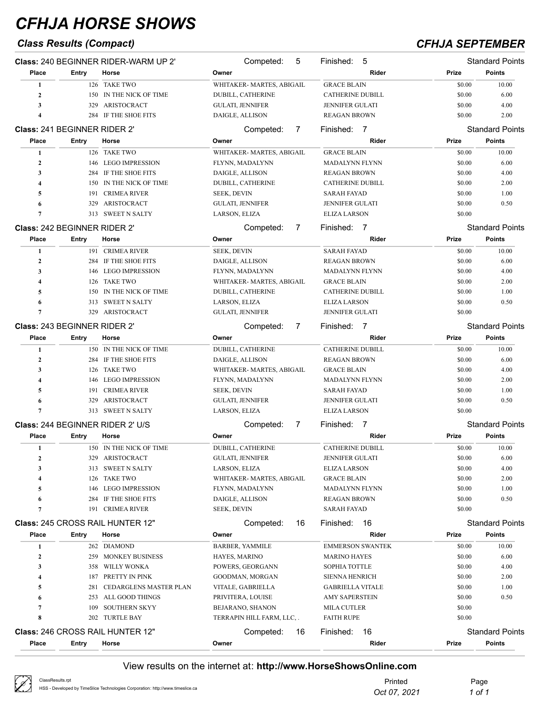## *Class Results (Compact) CFHJA SEPTEMBER*

|                  |                                     | <b>Class: 240 BEGINNER RIDER-WARM UP 2'</b> | Competed:<br>5             | 5<br>Finished:              |        | <b>Standard Points</b> |
|------------------|-------------------------------------|---------------------------------------------|----------------------------|-----------------------------|--------|------------------------|
| Place            | Entry                               | Horse                                       | Owner                      | Rider                       | Prize  | Points                 |
| 1                |                                     | 126 TAKE TWO                                | WHITAKER- MARTES, ABIGAIL  | <b>GRACE BLAIN</b>          | \$0.00 | 10.00                  |
| $\overline{2}$   | 150                                 | IN THE NICK OF TIME                         | DUBILL, CATHERINE          | <b>CATHERINE DUBILL</b>     | \$0.00 | 6.00                   |
| 3                | 329                                 | ARISTOCRACT                                 | GULATI, JENNIFER           | <b>JENNIFER GULATI</b>      | \$0.00 | 4.00                   |
| 4                | 284                                 | IF THE SHOE FITS                            | DAIGLE, ALLISON            | <b>REAGAN BROWN</b>         | \$0.00 | 2.00                   |
|                  | Class: 241 BEGINNER RIDER 2'        |                                             | Competed:<br>7             | Finished: 7                 |        | <b>Standard Points</b> |
| Place            | <b>Entry</b>                        | Horse                                       | Owner                      | Rider                       | Prize  | <b>Points</b>          |
| 1                |                                     | 126 TAKE TWO                                | WHITAKER-MARTES, ABIGAIL   | <b>GRACE BLAIN</b>          | \$0.00 | 10.00                  |
| $\overline{2}$   | 146                                 | <b>LEGO IMPRESSION</b>                      | FLYNN, MADALYNN            | <b>MADALYNN FLYNN</b>       | \$0.00 | 6.00                   |
| 3                | 284                                 | IF THE SHOE FITS                            | DAIGLE, ALLISON            | <b>REAGAN BROWN</b>         | \$0.00 | 4.00                   |
| 4                | 150                                 | IN THE NICK OF TIME                         | DUBILL, CATHERINE          | <b>CATHERINE DUBILL</b>     | \$0.00 | 2.00                   |
| 5                | 191                                 | <b>CRIMEA RIVER</b>                         | <b>SEEK, DEVIN</b>         | <b>SARAH FAYAD</b>          | \$0.00 | 1.00                   |
| 6                | 329                                 | ARISTOCRACT                                 | <b>GULATI, JENNIFER</b>    | <b>JENNIFER GULATI</b>      | \$0.00 | 0.50                   |
| 7                |                                     | 313 SWEET N SALTY                           | LARSON, ELIZA              | <b>ELIZA LARSON</b>         | \$0.00 |                        |
|                  | <b>Class: 242 BEGINNER RIDER 2'</b> |                                             | Competed:<br>7             | Finished:<br>$\overline{7}$ |        | <b>Standard Points</b> |
| Place            | Entry                               | Horse                                       | Owner                      | Rider                       | Prize  | <b>Points</b>          |
| 1                |                                     | 191 CRIMEA RIVER                            | <b>SEEK, DEVIN</b>         | <b>SARAH FAYAD</b>          | \$0.00 | 10.00                  |
| $\mathbf{2}$     |                                     | 284 IF THE SHOE FITS                        | DAIGLE, ALLISON            | <b>REAGAN BROWN</b>         | \$0.00 | 6.00                   |
| 3                | 146                                 | <b>LEGO IMPRESSION</b>                      | FLYNN, MADALYNN            | <b>MADALYNN FLYNN</b>       | \$0.00 | 4.00                   |
| 4                | 126                                 | <b>TAKE TWO</b>                             | WHITAKER-MARTES, ABIGAIL   | <b>GRACE BLAIN</b>          | \$0.00 | 2.00                   |
| 5                | 150                                 | IN THE NICK OF TIME                         | DUBILL, CATHERINE          | <b>CATHERINE DUBILL</b>     | \$0.00 | 1.00                   |
| 6                | 313                                 | <b>SWEET N SALTY</b>                        | LARSON, ELIZA              | <b>ELIZA LARSON</b>         | \$0.00 | 0.50                   |
| 7                | 329                                 | ARISTOCRACT                                 | GULATI, JENNIFER           | <b>JENNIFER GULATI</b>      | \$0.00 |                        |
|                  | Class: 243 BEGINNER RIDER 2'        |                                             | Competed:<br>7             | Finished: 7                 |        | <b>Standard Points</b> |
| Place            | Entry                               | Horse                                       | Owner                      | Rider                       | Prize  | <b>Points</b>          |
| $\mathbf{1}$     |                                     | 150 IN THE NICK OF TIME                     | DUBILL, CATHERINE          | <b>CATHERINE DUBILL</b>     | \$0.00 | 10.00                  |
| $\boldsymbol{2}$ | 284                                 | IF THE SHOE FITS                            | DAIGLE, ALLISON            | <b>REAGAN BROWN</b>         | \$0.00 | 6.00                   |
| 3                | 126                                 | <b>TAKE TWO</b>                             | WHITAKER- MARTES, ABIGAIL  | <b>GRACE BLAIN</b>          | \$0.00 | 4.00                   |
| 4                | 146                                 | <b>LEGO IMPRESSION</b>                      | FLYNN, MADALYNN            | <b>MADALYNN FLYNN</b>       | \$0.00 | 2.00                   |
| 5                | 191                                 | <b>CRIMEA RIVER</b>                         | <b>SEEK, DEVIN</b>         | <b>SARAH FAYAD</b>          | \$0.00 | 1.00                   |
| 6                | 329                                 | ARISTOCRACT                                 | GULATI, JENNIFER           | <b>JENNIFER GULATI</b>      | \$0.00 | 0.50                   |
| $\overline{7}$   | 313                                 | <b>SWEET N SALTY</b>                        | LARSON, ELIZA              | <b>ELIZA LARSON</b>         | \$0.00 |                        |
|                  |                                     | <b>Class: 244 BEGINNER RIDER 2' U/S</b>     | Competed:<br>7             | Finished:<br>$\overline{7}$ |        | <b>Standard Points</b> |
| Place            | Entry                               | Horse                                       | Owner                      | Rider                       | Prize  | <b>Points</b>          |
| 1                |                                     | 150 IN THE NICK OF TIME                     | DUBILL, CATHERINE          | <b>CATHERINE DUBILL</b>     | \$0.00 | 10.00                  |
| $\mathbf{2}$     |                                     | 329 ARISTOCRACT                             | <b>GULATI, JENNIFER</b>    | JENNIFER GULATI             | \$0.00 | 6.00                   |
| 3                |                                     | 313 SWEET N SALTY                           | LARSON, ELIZA              | <b>ELIZA LARSON</b>         | \$0.00 | 4.00                   |
| 4                | 126                                 | <b>TAKE TWO</b>                             | WHITAKER- MARTES, ABIGAIL  | <b>GRACE BLAIN</b>          | \$0.00 | 2.00                   |
| 5                | 146                                 | <b>LEGO IMPRESSION</b>                      | FLYNN, MADALYNN            | <b>MADALYNN FLYNN</b>       | \$0.00 | 1.00                   |
| 6                | 284                                 | IF THE SHOE FITS                            | DAIGLE, ALLISON            | <b>REAGAN BROWN</b>         | \$0.00 | 0.50                   |
| 7                | 191                                 | <b>CRIMEA RIVER</b>                         | SEEK, DEVIN                | <b>SARAH FAYAD</b>          | \$0.00 |                        |
|                  |                                     | <b>Class: 245 CROSS RAIL HUNTER 12"</b>     | Competed:<br>16            | Finished:<br>16             |        | <b>Standard Points</b> |
| Place            | Entry                               | Horse                                       | Owner                      | Rider                       | Prize  | <b>Points</b>          |
| 1                |                                     | 262 DIAMOND                                 | <b>BARBER, YAMMILE</b>     | <b>EMMERSON SWANTEK</b>     | \$0.00 | 10.00                  |
| $\boldsymbol{2}$ |                                     | 259 MONKEY BUSINESS                         | HAYES, MARINO              | <b>MARINO HAYES</b>         | \$0.00 | 6.00                   |
| 3                | 358                                 | WILLY WONKA                                 | POWERS, GEORGANN           | SOPHIA TOTTLE               | \$0.00 | 4.00                   |
| 4                | 187                                 | PRETTY IN PINK                              | GOODMAN, MORGAN            | <b>SIENNA HENRICH</b>       | \$0.00 | 2.00                   |
| 5                | 281                                 | CEDARGLENS MASTER PLAN                      | VITALE, GABRIELLA          | <b>GABRIELLA VITALE</b>     | \$0.00 | 1.00                   |
| 6                | 253                                 | ALL GOOD THINGS                             | PRIVITERA, LOUISE          | <b>AMY SAPERSTEIN</b>       | \$0.00 | 0.50                   |
| 7                | 109                                 | <b>SOUTHERN SKYY</b>                        | BEJARANO, SHANON           | MILA CUTLER                 | \$0.00 |                        |
| 8                |                                     | 202 TURTLE BAY                              | TERRAPIN HILL FARM, LLC, . | <b>FAITH RUPE</b>           | \$0.00 |                        |
|                  |                                     |                                             |                            | 16                          |        | <b>Standard Points</b> |
|                  |                                     | Class: 246 CROSS RAIL HUNTER 12"            | Competed:<br>16            | Finished:                   |        |                        |
| Place            | Entry                               | Horse                                       | Owner                      | Rider                       | Prize  | <b>Points</b>          |

| $\varnothing$ | ClassResults.rpt                                                               | Printed      | Page   |
|---------------|--------------------------------------------------------------------------------|--------------|--------|
|               | HSS - Developed by TimeSlice Technologies Corporation: http://www.timeslice.ca | Oct 07, 2021 | 1 of 1 |
|               |                                                                                |              |        |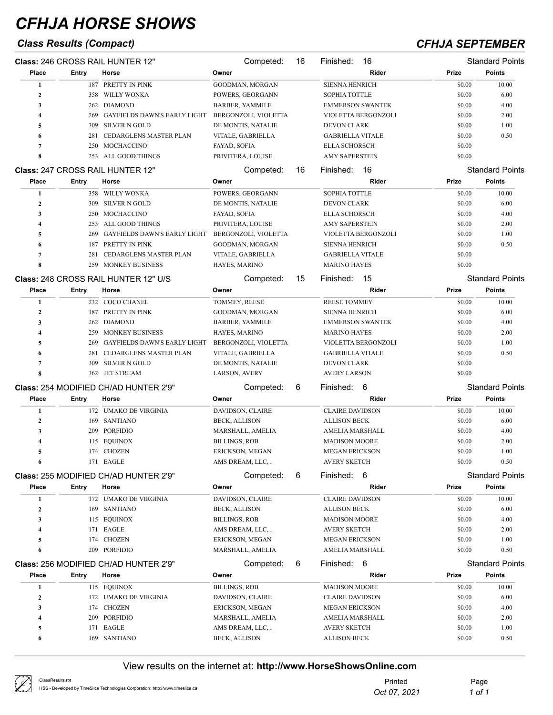## *Class Results (Compact) CFHJA SEPTEMBER*

|                  |       | <b>Class: 246 CROSS RAIL HUNTER 12"</b>      | Competed:              | 16 | 16<br>Finished:         |        | <b>Standard Points</b> |
|------------------|-------|----------------------------------------------|------------------------|----|-------------------------|--------|------------------------|
| Place            | Entry | Horse                                        | Owner                  |    | Rider                   | Prize  | <b>Points</b>          |
| 1                |       | 187 PRETTY IN PINK                           | GOODMAN, MORGAN        |    | <b>SIENNA HENRICH</b>   | \$0.00 | 10.00                  |
| $\mathbf{2}$     | 358   | WILLY WONKA                                  | POWERS, GEORGANN       |    | SOPHIA TOTTLE           | \$0.00 | 6.00                   |
| 3                | 262   | DIAMOND                                      | <b>BARBER, YAMMILE</b> |    | <b>EMMERSON SWANTEK</b> | \$0.00 | 4.00                   |
| 4                | 269   | GAYFIELDS DAWN'S EARLY LIGHT                 | BERGONZOLI, VIOLETTA   |    | VIOLETTA BERGONZOLI     | \$0.00 | 2.00                   |
| 5                | 309   | <b>SILVER N GOLD</b>                         | DE MONTIS, NATALIE     |    | DEVON CLARK             | \$0.00 | 1.00                   |
| 6                | 281   | CEDARGLENS MASTER PLAN                       | VITALE, GABRIELLA      |    | <b>GABRIELLA VITALE</b> | \$0.00 | 0.50                   |
| 7                | 250   | MOCHACCINO                                   | FAYAD, SOFIA           |    | <b>ELLA SCHORSCH</b>    | \$0.00 |                        |
| 8                | 253   | ALL GOOD THINGS                              | PRIVITERA, LOUISE      |    | <b>AMY SAPERSTEIN</b>   | \$0.00 |                        |
|                  |       | <b>Class: 247 CROSS RAIL HUNTER 12"</b>      | Competed:              | 16 | Finished:<br>16         |        | <b>Standard Points</b> |
| Place            | Entry | Horse                                        | Owner                  |    | Rider                   | Prize  | <b>Points</b>          |
| 1                |       | 358 WILLY WONKA                              | POWERS, GEORGANN       |    | SOPHIA TOTTLE           | \$0.00 | 10.00                  |
| $\boldsymbol{2}$ | 309   | <b>SILVER N GOLD</b>                         | DE MONTIS, NATALIE     |    | DEVON CLARK             | \$0.00 | 6.00                   |
| 3                | 250   | MOCHACCINO                                   | FAYAD, SOFIA           |    | <b>ELLA SCHORSCH</b>    | \$0.00 | 4.00                   |
| 4                | 253   | ALL GOOD THINGS                              | PRIVITERA, LOUISE      |    | <b>AMY SAPERSTEIN</b>   | \$0.00 | 2.00                   |
| 5                | 269   | <b>GAYFIELDS DAWN'S EARLY LIGHT</b>          | BERGONZOLI, VIOLETTA   |    | VIOLETTA BERGONZOLI     | \$0.00 | 1.00                   |
| 6                | 187   | PRETTY IN PINK                               | GOODMAN, MORGAN        |    | <b>SIENNA HENRICH</b>   | \$0.00 | 0.50                   |
| 7                | 281   | CEDARGLENS MASTER PLAN                       | VITALE, GABRIELLA      |    | <b>GABRIELLA VITALE</b> | \$0.00 |                        |
| 8                | 259   | MONKEY BUSINESS                              | HAYES, MARINO          |    | <b>MARINO HAYES</b>     | \$0.00 |                        |
|                  |       | Class: 248 CROSS RAIL HUNTER 12" U/S         |                        | 15 | 15<br>Finished:         |        | <b>Standard Points</b> |
| Place            | Entry | Horse                                        | Competed:<br>Owner     |    | Rider                   | Prize  | <b>Points</b>          |
|                  |       |                                              |                        |    |                         |        |                        |
| 1                | 232   | <b>COCO CHANEL</b>                           | TOMMEY, REESE          |    | <b>REESE TOMMEY</b>     | \$0.00 | 10.00                  |
| $\mathbf{2}$     | 187   | PRETTY IN PINK                               | GOODMAN, MORGAN        |    | <b>SIENNA HENRICH</b>   | \$0.00 | 6.00                   |
| 3                | 262   | DIAMOND                                      | <b>BARBER, YAMMILE</b> |    | <b>EMMERSON SWANTEK</b> | \$0.00 | 4.00                   |
| 4                | 259   | <b>MONKEY BUSINESS</b>                       | HAYES, MARINO          |    | <b>MARINO HAYES</b>     | \$0.00 | 2.00                   |
| 5                | 269   | GAYFIELDS DAWN'S EARLY LIGHT                 | BERGONZOLI, VIOLETTA   |    | VIOLETTA BERGONZOLI     | \$0.00 | 1.00                   |
| 6                | 281   | <b>CEDARGLENS MASTER PLAN</b>                | VITALE, GABRIELLA      |    | <b>GABRIELLA VITALE</b> | \$0.00 | 0.50                   |
| 7                | 309   | <b>SILVER N GOLD</b>                         | DE MONTIS, NATALIE     |    | <b>DEVON CLARK</b>      | \$0.00 |                        |
| 8                |       | 362 JET STREAM                               | LARSON, AVERY          |    | <b>AVERY LARSON</b>     | \$0.00 |                        |
|                  |       | <b>Class: 254 MODIFIED CH/AD HUNTER 2'9"</b> | Competed:              | 6  | 6<br>Finished:          |        | <b>Standard Points</b> |
| Place            | Entry | Horse                                        | Owner                  |    | Rider                   | Prize  | <b>Points</b>          |
| 1                |       | 172 UMAKO DE VIRGINIA                        | DAVIDSON, CLAIRE       |    | <b>CLAIRE DAVIDSON</b>  | \$0.00 | 10.00                  |
| $\boldsymbol{2}$ | 169   | SANTIANO                                     | <b>BECK, ALLISON</b>   |    | <b>ALLISON BECK</b>     | \$0.00 | 6.00                   |
| 3                | 209   | <b>PORFIDIO</b>                              | MARSHALL, AMELIA       |    | AMELIA MARSHALL         | \$0.00 | 4.00                   |
| 4                | 115   | <b>EQUINOX</b>                               | <b>BILLINGS, ROB</b>   |    | <b>MADISON MOORE</b>    | \$0.00 | 2.00                   |
| 5                |       | 174 CHOZEN                                   | ERICKSON, MEGAN        |    | <b>MEGAN ERICKSON</b>   | \$0.00 | 1.00                   |
| 6                |       | 171 EAGLE                                    | AMS DREAM, LLC, .      |    | AVERY SKETCH            | \$0.00 | 0.50                   |
|                  |       | <b>Class: 255 MODIFIED CH/AD HUNTER 2'9"</b> | Competed:              | 6  | Finished: 6             |        | <b>Standard Points</b> |
| Place            | Entry | Horse                                        | Owner                  |    | Rider                   | Prize  | <b>Points</b>          |
|                  |       | 172 UMAKO DE VIRGINIA                        | DAVIDSON, CLAIRE       |    | <b>CLAIRE DAVIDSON</b>  | \$0.00 | 10.00                  |
| 1                |       | 169 SANTIANO                                 | <b>BECK, ALLISON</b>   |    |                         | \$0.00 |                        |
| $\boldsymbol{2}$ |       |                                              |                        |    | <b>ALLISON BECK</b>     |        | 6.00                   |
| 3                | 115   | EQUINOX                                      | <b>BILLINGS, ROB</b>   |    | <b>MADISON MOORE</b>    | \$0.00 | 4.00                   |
| 4                |       | 171 EAGLE                                    | AMS DREAM, LLC, .      |    | <b>AVERY SKETCH</b>     | \$0.00 | 2.00                   |
| 5                | 174   | <b>CHOZEN</b>                                | ERICKSON, MEGAN        |    | <b>MEGAN ERICKSON</b>   | \$0.00 | 1.00                   |
| 6                |       | 209 PORFIDIO                                 | MARSHALL, AMELIA       |    | AMELIA MARSHALL         | \$0.00 | 0.50                   |
|                  |       | Class: 256 MODIFIED CH/AD HUNTER 2'9"        | Competed:              | 6  | Finished: 6             |        | <b>Standard Points</b> |
|                  | Entry | Horse                                        | Owner                  |    | Rider                   | Prize  | <b>Points</b>          |
| Place            |       |                                              |                        |    |                         | \$0.00 | 10.00                  |
| $\mathbf{1}$     |       | 115 EQUINOX                                  | <b>BILLINGS, ROB</b>   |    | <b>MADISON MOORE</b>    |        |                        |
| $\boldsymbol{2}$ |       | 172 UMAKO DE VIRGINIA                        | DAVIDSON, CLAIRE       |    | <b>CLAIRE DAVIDSON</b>  | \$0.00 | 6.00                   |
| 3                | 174   | <b>CHOZEN</b>                                | ERICKSON, MEGAN        |    | <b>MEGAN ERICKSON</b>   | \$0.00 | 4.00                   |
| 4                |       | 209 PORFIDIO                                 | MARSHALL, AMELIA       |    | AMELIA MARSHALL         | \$0.00 | 2.00                   |
| 5                |       | 171 EAGLE                                    | AMS DREAM, LLC, .      |    | <b>AVERY SKETCH</b>     | \$0.00 | 1.00                   |

| ClassResults.rpt<br>HSS - Developed by TimeSlice Technologies Corporation: http://www.timeslice.ca | Printed<br>Oct 07, 2021 | Page<br>1 of 1 |
|----------------------------------------------------------------------------------------------------|-------------------------|----------------|
|                                                                                                    |                         |                |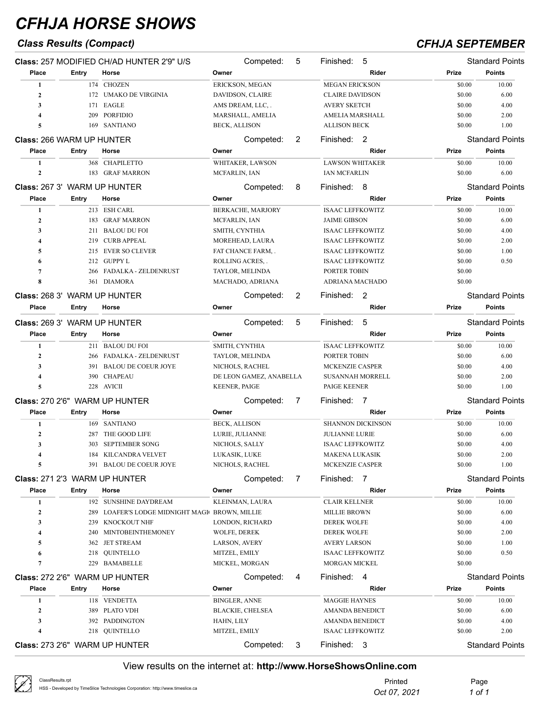## *Class Results (Compact) CFHJA SEPTEMBER*

|                                     |              | Class: 257 MODIFIED CH/AD HUNTER 2'9" U/S      | Competed:               | 5 | Finished:<br>5              |        | <b>Standard Points</b> |
|-------------------------------------|--------------|------------------------------------------------|-------------------------|---|-----------------------------|--------|------------------------|
| Place                               | Entry        | Horse                                          | Owner                   |   | Rider                       | Prize  | <b>Points</b>          |
| 1                                   |              | 174 CHOZEN                                     | ERICKSON, MEGAN         |   | <b>MEGAN ERICKSON</b>       | \$0.00 | 10.00                  |
| $\mathbf{2}$                        |              | 172 UMAKO DE VIRGINIA                          | DAVIDSON, CLAIRE        |   | <b>CLAIRE DAVIDSON</b>      | \$0.00 | 6.00                   |
| 3                                   | 171          | EAGLE                                          | AMS DREAM, LLC,         |   | <b>AVERY SKETCH</b>         | \$0.00 | 4.00                   |
| $\overline{\mathbf{4}}$             | 209          | <b>PORFIDIO</b>                                | MARSHALL, AMELIA        |   | AMELIA MARSHALL             | \$0.00 | 2.00                   |
| 5                                   |              | 169 SANTIANO                                   | <b>BECK, ALLISON</b>    |   | <b>ALLISON BECK</b>         | \$0.00 | 1.00                   |
| <b>Class: 266 WARM UP HUNTER</b>    |              |                                                | Competed:               | 2 | Finished: 2                 |        | <b>Standard Points</b> |
| Place                               | Entry        | Horse                                          | Owner                   |   | Rider                       | Prize  | <b>Points</b>          |
| 1                                   |              | 368 CHAPILETTO                                 | WHITAKER, LAWSON        |   | <b>LAWSON WHITAKER</b>      | \$0.00 | 10.00                  |
| $\mathbf{2}$                        |              | 183 GRAF MARRON                                | MCFARLIN, IAN           |   | <b>IAN MCFARLIN</b>         | \$0.00 | 6.00                   |
| <b>Class: 267 3' WARM UP HUNTER</b> |              |                                                | Competed:               | 8 | Finished:<br>8              |        | <b>Standard Points</b> |
| Place                               | Entry        | Horse                                          | Owner                   |   | Rider                       | Prize  | Points                 |
| 1                                   |              | 213 ESH CARL                                   | BERKACHE, MARJORY       |   | <b>ISAAC LEFFKOWITZ</b>     | \$0.00 | 10.00                  |
| $\mathbf{2}$                        | 183          | <b>GRAF MARRON</b>                             | MCFARLIN, IAN           |   | <b>JAIME GIBSON</b>         | \$0.00 | 6.00                   |
| 3                                   | 211          | <b>BALOU DU FOI</b>                            | SMITH, CYNTHIA          |   | <b>ISAAC LEFFKOWITZ</b>     | \$0.00 | 4.00                   |
| $\overline{\mathbf{4}}$             | 219          | <b>CURB APPEAL</b>                             | MOREHEAD, LAURA         |   | <b>ISAAC LEFFKOWITZ</b>     | \$0.00 | 2.00                   |
| 5                                   | 215          | EVER SO CLEVER                                 | FAT CHANCE FARM,.       |   | <b>ISAAC LEFFKOWITZ</b>     | \$0.00 | 1.00                   |
| 6                                   |              | 212 GUPPY L                                    | ROLLING ACRES,.         |   | <b>ISAAC LEFFKOWITZ</b>     | \$0.00 | 0.50                   |
| $\overline{7}$                      | 266          | FADALKA - ZELDENRUST                           | TAYLOR, MELINDA         |   | PORTER TOBIN                | \$0.00 |                        |
| 8                                   |              | 361 DIAMORA                                    | MACHADO, ADRIANA        |   | ADRIANA MACHADO             | \$0.00 |                        |
| <b>Class: 268 3' WARM UP HUNTER</b> |              |                                                | Competed:               | 2 | $\overline{2}$<br>Finished: |        | <b>Standard Points</b> |
| Place                               | Entry        | Horse                                          | Owner                   |   | Rider                       | Prize  | Points                 |
| Class: 269 3' WARM UP HUNTER        |              |                                                | Competed:               | 5 | Finished:<br>5              |        | <b>Standard Points</b> |
| Place                               | <b>Entry</b> | Horse                                          | Owner                   |   | Rider                       | Prize  | Points                 |
| 1                                   |              | 211 BALOU DU FOI                               | SMITH, CYNTHIA          |   | <b>ISAAC LEFFKOWITZ</b>     | \$0.00 | 10.00                  |
| $\mathbf{2}$                        | 266          | FADALKA - ZELDENRUST                           | TAYLOR, MELINDA         |   | PORTER TOBIN                | \$0.00 | 6.00                   |
| 3                                   |              | 391 BALOU DE COEUR JOYE                        | NICHOLS, RACHEL         |   | MCKENZIE CASPER             | \$0.00 | 4.00                   |
| $\overline{\mathbf{4}}$             | 390          | <b>CHAPEAU</b>                                 | DE LEON GAMEZ, ANABELLA |   | <b>SUSANNAH MORRELL</b>     | \$0.00 | 2.00                   |
| 5                                   |              | 228 AVICII                                     | <b>KEENER, PAIGE</b>    |   | PAIGE KEENER                | \$0.00 | 1.00                   |
|                                     |              | Class: 270 2'6" WARM UP HUNTER                 | Competed:               | 7 | Finished:<br>$\overline{7}$ |        | <b>Standard Points</b> |
| Place                               | Entry        | Horse                                          | Owner                   |   | Rider                       | Prize  | Points                 |
| 1                                   |              | 169 SANTIANO                                   | <b>BECK, ALLISON</b>    |   | <b>SHANNON DICKINSON</b>    | \$0.00 | 10.00                  |
| $\mathbf{2}$                        | 287          | THE GOOD LIFE                                  | LURIE, JULIANNE         |   | <b>JULIANNE LURIE</b>       | \$0.00 | 6.00                   |
| 3                                   | 303          | <b>SEPTEMBER SONG</b>                          | NICHOLS, SALLY          |   | <b>ISAAC LEFFKOWITZ</b>     | \$0.00 | 4.00                   |
| 4                                   |              | 184 KILCANDRA VELVET                           | LUKASIK, LUKE           |   | MAKENA LUKASIK              | \$0.00 | 2.00                   |
| 5                                   |              | 391 BALOU DE COEUR JOYE                        | NICHOLS, RACHEL         |   | MCKENZIE CASPER             | \$0.00 | 1.00                   |
|                                     |              | Class: 271 2'3 WARM UP HUNTER                  | Competed:               | 7 | Finished: 7                 |        | <b>Standard Points</b> |
| Place                               | <b>Entry</b> | Horse                                          | Owner                   |   | Rider                       | Prize  | <b>Points</b>          |
| 1                                   |              | 192 SUNSHINE DAYDREAM                          | KLEINMAN, LAURA         |   | <b>CLAIR KELLNER</b>        | \$0.00 | 10.00                  |
| $\boldsymbol{2}$                    |              | 289 LOAFER'S LODGE MIDNIGHT MAGI BROWN, MILLIE |                         |   | <b>MILLIE BROWN</b>         | \$0.00 | 6.00                   |
| 3                                   | 239          | KNOCKOUT NHF                                   | LONDON, RICHARD         |   | <b>DEREK WOLFE</b>          | \$0.00 | 4.00                   |
| 4                                   | 240          | MINTOBEINTHEMONEY                              | WOLFE, DEREK            |   | <b>DEREK WOLFE</b>          | \$0.00 | 2.00                   |
| 5                                   | 362          | <b>JET STREAM</b>                              | LARSON, AVERY           |   | <b>AVERY LARSON</b>         | \$0.00 | 1.00                   |
| 6                                   |              | 218 QUINTELLO                                  | MITZEL, EMILY           |   | <b>ISAAC LEFFKOWITZ</b>     | \$0.00 | 0.50                   |
| $\overline{7}$                      | 229          | <b>BAMABELLE</b>                               | MICKEL, MORGAN          |   | <b>MORGAN MICKEL</b>        | \$0.00 |                        |
|                                     |              | Class: 272 2'6" WARM UP HUNTER                 | Competed:               | 4 | Finished: 4                 |        | <b>Standard Points</b> |
| Place                               | <b>Entry</b> | Horse                                          | Owner                   |   | Rider                       | Prize  | <b>Points</b>          |
| 1                                   |              | 118 VENDETTA                                   | <b>BINGLER, ANNE</b>    |   | <b>MAGGIE HAYNES</b>        | \$0.00 | 10.00                  |
| 2                                   |              | 389 PLATO VDH                                  | <b>BLACKIE, CHELSEA</b> |   | <b>AMANDA BENEDICT</b>      | \$0.00 | 6.00                   |
| 3                                   |              | 392 PADDINGTON                                 | HAHN, LILY              |   | AMANDA BENEDICT             | \$0.00 | 4.00                   |
| 4                                   |              | 218 QUINTELLO                                  | MITZEL, EMILY           |   | <b>ISAAC LEFFKOWITZ</b>     | \$0.00 | 2.00                   |
|                                     |              | Class: 273 2'6" WARM UP HUNTER                 | Competed:               | 3 | Finished: 3                 |        | <b>Standard Points</b> |

| ClassResults.rpt<br>HSS - Developed by TimeSlice Technologies Corporation: http://www.timeslice.ca | Printed<br>Oct 07, 2021 | Page<br>1 of 1 |
|----------------------------------------------------------------------------------------------------|-------------------------|----------------|
|                                                                                                    |                         |                |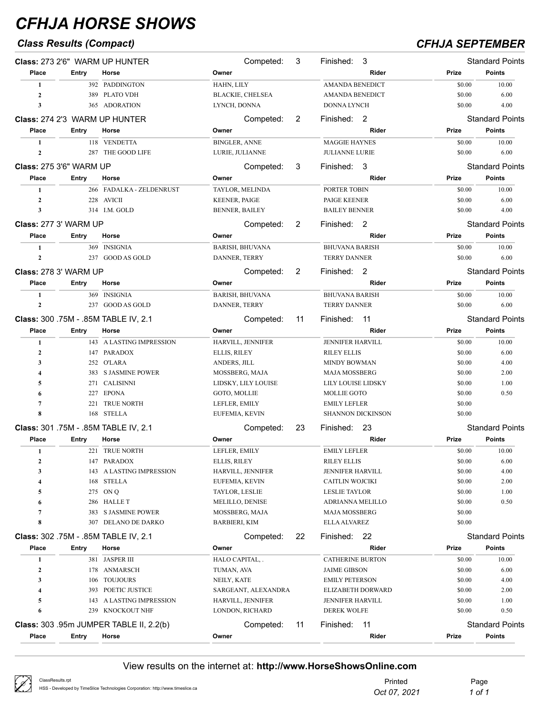## *Class Results (Compact) CFHJA SEPTEMBER*

|                         |                                | Class: 273 2'6" WARM UP HUNTER          | Competed:               | 3  | Finished:<br>3                            |                  | <b>Standard Points</b> |
|-------------------------|--------------------------------|-----------------------------------------|-------------------------|----|-------------------------------------------|------------------|------------------------|
| Place                   | Entry                          | Horse                                   | Owner                   |    | Rider                                     | Prize            | <b>Points</b>          |
| 1                       |                                | 392 PADDINGTON                          | HAHN, LILY              |    | <b>AMANDA BENEDICT</b>                    | \$0.00           | 10.00                  |
| $\mathbf{2}$            |                                | 389 PLATO VDH                           | <b>BLACKIE, CHELSEA</b> |    | AMANDA BENEDICT                           | \$0.00           | 6.00                   |
| 3                       |                                | 365 ADORATION                           | LYNCH, DONNA            |    | <b>DONNA LYNCH</b>                        | \$0.00           | 4.00                   |
|                         |                                | <b>Class: 274 2'3 WARM UP HUNTER</b>    | Competed:               | 2  | Finished: 2                               |                  | <b>Standard Points</b> |
| Place                   | Entry                          | Horse                                   | Owner                   |    | Rider                                     | Prize            | <b>Points</b>          |
| 1                       |                                | 118 VENDETTA                            | <b>BINGLER, ANNE</b>    |    | <b>MAGGIE HAYNES</b>                      | \$0.00           | 10.00                  |
| $\boldsymbol{2}$        | 287                            | THE GOOD LIFE                           | LURIE, JULIANNE         |    | <b>JULIANNE LURIE</b>                     | \$0.00           | 6.00                   |
|                         |                                |                                         |                         |    | -3                                        |                  | <b>Standard Points</b> |
|                         | <b>Class: 275 3'6" WARM UP</b> |                                         | Competed:               | 3  | Finished:                                 |                  |                        |
| Place                   | Entry                          | Horse                                   | Owner                   |    | Rider                                     | Prize            | Points                 |
| 1                       |                                | 266 FADALKA - ZELDENRUST                | TAYLOR, MELINDA         |    | PORTER TOBIN                              | \$0.00           | 10.00                  |
| $\mathbf{2}$            | 228                            | AVICII                                  | KEENER, PAIGE           |    | PAIGE KEENER                              | \$0.00           | 6.00                   |
| 3                       |                                | 314 I.M. GOLD                           | <b>BENNER, BAILEY</b>   |    | <b>BAILEY BENNER</b>                      | \$0.00           | 4.00                   |
|                         | <b>Class: 277 3' WARM UP</b>   |                                         | Competed:               | 2  | Finished: 2                               |                  | <b>Standard Points</b> |
| Place                   | Entry                          | Horse                                   | Owner                   |    | Rider                                     | Prize            | Points                 |
| 1                       |                                | 369 INSIGNIA                            | <b>BARISH, BHUVANA</b>  |    | <b>BHUVANA BARISH</b>                     | \$0.00           | 10.00                  |
| $\mathbf{2}$            |                                | 237 GOOD AS GOLD                        | DANNER, TERRY           |    | <b>TERRY DANNER</b>                       | \$0.00           | 6.00                   |
|                         | <b>Class: 278 3' WARM UP</b>   |                                         | Competed:               | 2  | Finished: 2                               |                  | <b>Standard Points</b> |
| Place                   | Entry                          | Horse                                   | Owner                   |    | Rider                                     | Prize            | <b>Points</b>          |
| 1                       |                                | 369 INSIGNIA                            | <b>BARISH, BHUVANA</b>  |    | <b>BHUVANA BARISH</b>                     | \$0.00           | 10.00                  |
| $\mathbf{2}$            |                                | 237 GOOD AS GOLD                        | DANNER, TERRY           |    | <b>TERRY DANNER</b>                       | \$0.00           | 6.00                   |
|                         |                                |                                         |                         |    |                                           |                  |                        |
|                         |                                | Class: 300 .75M - .85M TABLE IV, 2.1    | Competed:               | 11 | Finished:<br>- 11                         |                  | <b>Standard Points</b> |
| Place                   | Entry                          | Horse                                   | Owner                   |    | Rider                                     | Prize            | <b>Points</b>          |
| 1                       |                                | 143 A LASTING IMPRESSION                | HARVILL, JENNIFER       |    | JENNIFER HARVILL                          | \$0.00           | 10.00                  |
| $\mathbf{2}$            |                                | 147 PARADOX                             | ELLIS, RILEY            |    | <b>RILEY ELLIS</b>                        | \$0.00           | 6.00                   |
| 3                       |                                | 252 O'LARA                              | ANDERS, JILL            |    | <b>MINDY BOWMAN</b>                       | \$0.00           | 4.00                   |
| 4                       | 383                            | S JASMINE POWER                         | MOSSBERG, MAJA          |    | <b>MAJA MOSSBERG</b>                      | \$0.00           | 2.00                   |
| 5                       |                                | 271 CALISINNI                           | LIDSKY, LILY LOUISE     |    | LILY LOUISE LIDSKY                        | \$0.00           | 1.00                   |
| 6                       | 227                            | EPONA                                   | GOTO, MOLLIE            |    | <b>MOLLIE GOTO</b><br><b>EMILY LEFLER</b> | \$0.00           | 0.50                   |
| 7<br>8                  | 221                            | TRUE NORTH<br>168 STELLA                | LEFLER, EMILY           |    | <b>SHANNON DICKINSON</b>                  | \$0.00<br>\$0.00 |                        |
|                         |                                |                                         | EUFEMIA, KEVIN          |    |                                           |                  |                        |
|                         |                                | Class: 301 .75M - .85M TABLE IV, 2.1    | Competed:               | 23 | Finished:<br>- 23                         |                  | <b>Standard Points</b> |
| Place                   | Entry                          | Horse                                   | Owner                   |    | Rider                                     | Prize            | <b>Points</b>          |
| -1                      |                                | 221 TRUE NORTH                          | LEFLER, EMILY           |    | <b>EMILY LEFLER</b>                       | \$0.00           | 10.00                  |
| 2                       |                                | 147 PARADOX                             | ELLIS, RILEY            |    | RILEY ELLIS                               | \$0.00           | 6.00                   |
| 3                       |                                | 143 A LASTING IMPRESSION                | HARVILL, JENNIFER       |    | JENNIFER HARVILL                          | \$0.00           | 4.00                   |
| 4                       | 168                            | STELLA                                  | EUFEMIA, KEVIN          |    | CAITLIN WOJCIKI                           | \$0.00           | 2.00                   |
| 5                       | 275                            | ON Q                                    | TAYLOR, LESLIE          |    | LESLIE TAYLOR                             | \$0.00           | 1.00                   |
| 6                       |                                | 286 HALLE T                             | MELILLO, DENISE         |    | ADRIANNA MELILLO                          | \$0.00           | 0.50                   |
| 7                       | 383                            | S JASMINE POWER                         | MOSSBERG, MAJA          |    | <b>MAJA MOSSBERG</b>                      | \$0.00           |                        |
| 8                       |                                | 307 DELANO DE DARKO                     | BARBIERI, KIM           |    | ELLA ALVAREZ                              | \$0.00           |                        |
|                         |                                | Class: 302 .75M - .85M TABLE IV, 2.1    | Competed:               | 22 | Finished: 22                              |                  | <b>Standard Points</b> |
| Place                   | Entry                          | Horse                                   | Owner                   |    | Rider                                     | Prize            | <b>Points</b>          |
| 1                       |                                | 381 JASPER III                          | HALO CAPITAL, .         |    | <b>CATHERINE BURTON</b>                   | \$0.00           | 10.00                  |
| $\boldsymbol{2}$        |                                | 178 ANMARSCH                            | TUMAN, AVA              |    | <b>JAIME GIBSON</b>                       | \$0.00           | 6.00                   |
| 3                       | 106                            | <b>TOUJOURS</b>                         | NEILY, KATE             |    | <b>EMILY PETERSON</b>                     | \$0.00           | 4.00                   |
| $\overline{\mathbf{4}}$ | 393                            | POETIC JUSTICE                          | SARGEANT, ALEXANDRA     |    | ELIZABETH DORWARD                         | \$0.00           | 2.00                   |
| 5                       | 143                            | A LASTING IMPRESSION                    | HARVILL, JENNIFER       |    | <b>JENNIFER HARVILL</b>                   | \$0.00           | 1.00                   |
| 6                       | 239                            | KNOCKOUT NHF                            | LONDON, RICHARD         |    | <b>DEREK WOLFE</b>                        | \$0.00           | 0.50                   |
|                         |                                | Class: 303 .95m JUMPER TABLE II, 2.2(b) | Competed:               | 11 | Finished:<br>-11                          |                  | <b>Standard Points</b> |
| Place                   | Entry                          | Horse                                   | Owner                   |    | Rider                                     | Prize            | <b>Points</b>          |
|                         |                                |                                         |                         |    |                                           |                  |                        |

| $\varnothing$ | ClassResults.rpt                                                               | Printed      | Page   |
|---------------|--------------------------------------------------------------------------------|--------------|--------|
|               | HSS - Developed by TimeSlice Technologies Corporation: http://www.timeslice.ca | Oct 07, 2021 | 1 of 1 |
|               |                                                                                |              |        |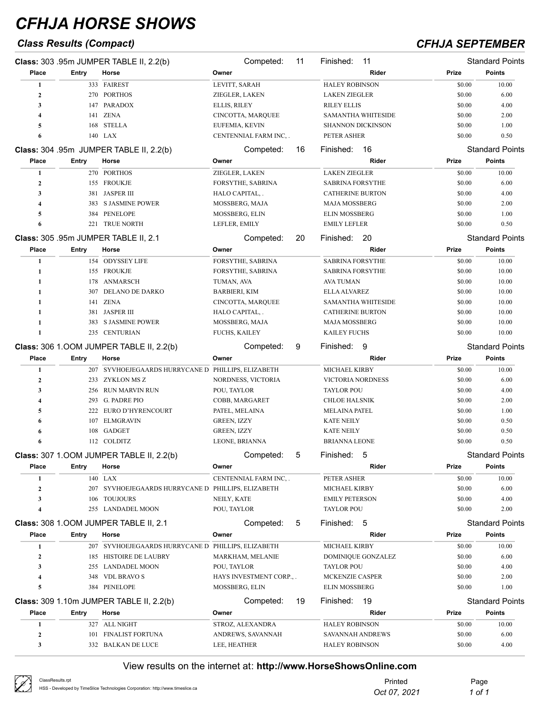## *Class Results (Compact) CFHJA SEPTEMBER*

|                         |       | Class: 303 .95m JUMPER TABLE II, 2.2(b)            | Competed:                | 11 | Finished:<br>11           |        | <b>Standard Points</b> |
|-------------------------|-------|----------------------------------------------------|--------------------------|----|---------------------------|--------|------------------------|
| Place                   | Entry | Horse                                              | Owner                    |    | Rider                     | Prize  | Points                 |
| 1                       |       | 333 FAIREST                                        | LEVITT, SARAH            |    | <b>HALEY ROBINSON</b>     | \$0.00 | 10.00                  |
| $\mathbf{2}$            |       | 270 PORTHOS                                        | ZIEGLER, LAKEN           |    | <b>LAKEN ZIEGLER</b>      | \$0.00 | 6.00                   |
| 3                       |       | 147 PARADOX                                        | ELLIS, RILEY             |    | <b>RILEY ELLIS</b>        | \$0.00 | 4.00                   |
| 4                       | 141   | <b>ZENA</b>                                        | CINCOTTA, MARQUEE        |    | <b>SAMANTHA WHITESIDE</b> | \$0.00 | 2.00                   |
| 5                       | 168   | <b>STELLA</b>                                      | EUFEMIA, KEVIN           |    | <b>SHANNON DICKINSON</b>  | \$0.00 | 1.00                   |
| 6                       |       | 140 LAX                                            | CENTENNIAL FARM INC, .   |    | PETER ASHER               | \$0.00 | 0.50                   |
|                         |       | Class: 304 .95m JUMPER TABLE II, 2.2(b)            | Competed:                | 16 | Finished:<br>-16          |        | <b>Standard Points</b> |
| Place                   | Entry | Horse                                              | Owner                    |    | Rider                     | Prize  | <b>Points</b>          |
| 1                       |       | 270 PORTHOS                                        | ZIEGLER, LAKEN           |    | <b>LAKEN ZIEGLER</b>      | \$0.00 | 10.00                  |
| $\boldsymbol{2}$        |       | 155 FROUKJE                                        | FORSYTHE, SABRINA        |    | <b>SABRINA FORSYTHE</b>   | \$0.00 | 6.00                   |
| 3                       |       | 381 JASPER III                                     | HALO CAPITAL, .          |    | <b>CATHERINE BURTON</b>   | \$0.00 | 4.00                   |
| $\overline{\mathbf{4}}$ | 383   | S JASMINE POWER                                    | MOSSBERG, MAJA           |    | <b>MAJA MOSSBERG</b>      | \$0.00 | 2.00                   |
| 5                       | 384   | PENELOPE                                           | MOSSBERG, ELIN           |    | <b>ELIN MOSSBERG</b>      | \$0.00 | 1.00                   |
| 6                       | 221   | TRUE NORTH                                         | LEFLER, EMILY            |    | <b>EMILY LEFLER</b>       | \$0.00 | 0.50                   |
|                         |       | Class: 305 .95m JUMPER TABLE II, 2.1               | Competed:                | 20 | Finished:<br>-20          |        | <b>Standard Points</b> |
| Place                   | Entry | Horse                                              | Owner                    |    | Rider                     | Prize  | <b>Points</b>          |
| 1                       |       | 154 ODYSSEY LIFE                                   | FORSYTHE, SABRINA        |    | <b>SABRINA FORSYTHE</b>   | \$0.00 | 10.00                  |
| 1                       |       | 155 FROUKJE                                        | FORSYTHE, SABRINA        |    | <b>SABRINA FORSYTHE</b>   | \$0.00 | 10.00                  |
| 1                       | 178   | ANMARSCH                                           | TUMAN, AVA               |    | <b>AVA TUMAN</b>          | \$0.00 | 10.00                  |
| 1                       | 307   | <b>DELANO DE DARKO</b>                             | BARBIERI, KIM            |    | <b>ELLA ALVAREZ</b>       | \$0.00 | 10.00                  |
| 1                       |       | 141 ZENA                                           | CINCOTTA, MARQUEE        |    | <b>SAMANTHA WHITESIDE</b> | \$0.00 | 10.00                  |
| 1                       | 381   | <b>JASPER III</b>                                  | HALO CAPITAL, .          |    | <b>CATHERINE BURTON</b>   | \$0.00 | 10.00                  |
| 1                       | 383   | <b>S JASMINE POWER</b>                             | MOSSBERG, MAJA           |    | <b>MAJA MOSSBERG</b>      | \$0.00 | 10.00                  |
| 1                       |       | 235 CENTURIAN                                      | <b>FUCHS, KAILEY</b>     |    | <b>KAILEY FUCHS</b>       | \$0.00 | 10.00                  |
|                         |       | Class: 306 1.00M JUMPER TABLE II, 2.2(b)           | Competed:                | 9  | 9<br>Finished:            |        | <b>Standard Points</b> |
| Place                   | Entry | Horse                                              | Owner                    |    | Rider                     | Prize  | <b>Points</b>          |
| 1                       |       | 207 SYVHOEJEGAARDS HURRYCANE D PHILLIPS, ELIZABETH |                          |    | MICHAEL KIRBY             | \$0.00 | 10.00                  |
| $\boldsymbol{2}$        | 233   | ZYKLON MS Z                                        | NORDNESS, VICTORIA       |    | VICTORIA NORDNESS         | \$0.00 | 6.00                   |
| 3                       |       | 256 RUN MARVIN RUN                                 | POU, TAYLOR              |    | <b>TAYLOR POU</b>         | \$0.00 | 4.00                   |
| 4                       | 293   | G. PADRE PIO                                       | COBB, MARGARET           |    | <b>CHLOE HALSNIK</b>      | \$0.00 | 2.00                   |
| 5                       | 222   | EURO D'HYRENCOURT                                  | PATEL, MELAINA           |    | <b>MELAINA PATEL</b>      | \$0.00 | 1.00                   |
| 6                       | 107   | <b>ELMGRAVIN</b>                                   | GREEN, IZZY              |    | <b>KATE NEILY</b>         | \$0.00 | 0.50                   |
| 6                       | 108   | GADGET                                             | GREEN, IZZY              |    | <b>KATE NEILY</b>         | \$0.00 | 0.50                   |
| 6                       |       | 112 COLDITZ                                        | LEONE, BRIANNA           |    | <b>BRIANNA LEONE</b>      | \$0.00 | 0.50                   |
|                         |       | Class: 307 1.00M JUMPER TABLE II, 2.2(b)           | Competed:                | 5  | Finished:<br>5            |        | Standard Points        |
| Place                   | Entry | Horse                                              | Owner                    |    | Rider                     | Prize  | <b>Points</b>          |
| 1                       |       | 140 LAX                                            | CENTENNIAL FARM INC,.    |    | PETER ASHER               | \$0.00 | 10.00                  |
| $\boldsymbol{2}$        |       | 207 SYVHOEJEGAARDS HURRYCANE D PHILLIPS, ELIZABETH |                          |    | MICHAEL KIRBY             | \$0.00 | 6.00                   |
| 3                       | 106   | TOUJOURS                                           | NEILY, KATE              |    | <b>EMILY PETERSON</b>     | \$0.00 | 4.00                   |
| $\overline{\mathbf{4}}$ |       | 255 LANDADEL MOON                                  | POU, TAYLOR              |    | <b>TAYLOR POU</b>         | \$0.00 | 2.00                   |
|                         |       | Class: 308 1.00M JUMPER TABLE II, 2.1              | Competed:                | 5  | Finished:<br>-5           |        | <b>Standard Points</b> |
| Place                   | Entry | Horse                                              | Owner                    |    | Rider                     | Prize  | <b>Points</b>          |
| 1                       |       | 207 SYVHOEJEGAARDS HURRYCANE D PHILLIPS, ELIZABETH |                          |    | MICHAEL KIRBY             | \$0.00 | 10.00                  |
| $\mathbf{2}$            |       | 185 HISTOIRE DE LAUBRY                             | MARKHAM, MELANIE         |    | <b>DOMINIQUE GONZALEZ</b> | \$0.00 | 6.00                   |
| 3                       |       | 255 LANDADEL MOON                                  | POU, TAYLOR              |    | <b>TAYLOR POU</b>         | \$0.00 | 4.00                   |
| $\overline{\mathbf{4}}$ | 348   | VDL BRAVO S                                        | HAYS INVESTMENT CORP., . |    | MCKENZIE CASPER           | \$0.00 | 2.00                   |
| 5                       |       | 384 PENELOPE                                       | MOSSBERG, ELIN           |    | <b>ELIN MOSSBERG</b>      | \$0.00 | 1.00                   |
|                         |       | Class: 309 1.10m JUMPER TABLE II, 2.2(b)           | Competed:                | 19 | Finished:<br>19           |        | <b>Standard Points</b> |
| Place                   | Entry | Horse                                              | Owner                    |    | Rider                     | Prize  | <b>Points</b>          |
| 1                       |       | 327 ALL NIGHT                                      | STROZ, ALEXANDRA         |    | <b>HALEY ROBINSON</b>     | \$0.00 | 10.00                  |
| $\boldsymbol{2}$        |       | 101 FINALIST FORTUNA                               | ANDREWS, SAVANNAH        |    | SAVANNAH ANDREWS          | \$0.00 | 6.00                   |
| 3                       |       | 332 BALKAN DE LUCE                                 | LEE, HEATHER             |    | <b>HALEY ROBINSON</b>     | \$0.00 | 4.00                   |
|                         |       |                                                    |                          |    |                           |        |                        |

| ClassResults.rpt<br>HSS - Developed by TimeSlice Technologies Corporation: http://www.timeslice.ca | Printed<br>Oct 07, 2021 | Page<br>1 of 1 |
|----------------------------------------------------------------------------------------------------|-------------------------|----------------|
|----------------------------------------------------------------------------------------------------|-------------------------|----------------|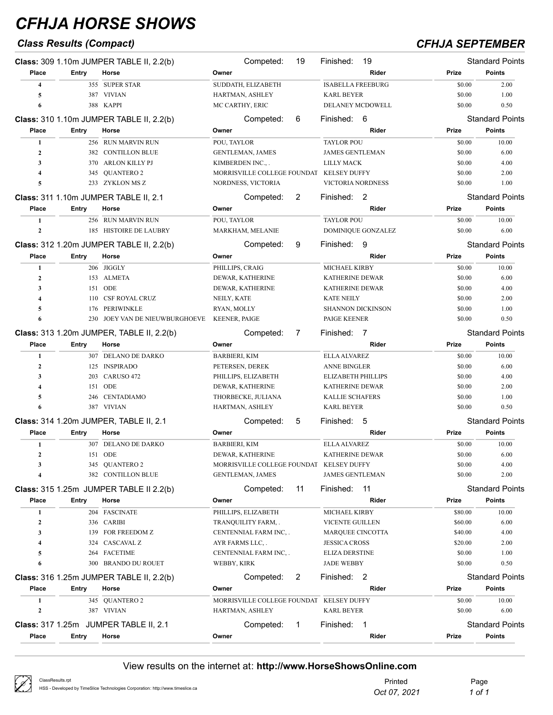## *Class Results (Compact) CFHJA SEPTEMBER*

|                         |              | Class: 309 1.10m JUMPER TABLE II, 2.2(b)  | Competed:                                | 19           | Finished:                 | 19                 |         | <b>Standard Points</b> |
|-------------------------|--------------|-------------------------------------------|------------------------------------------|--------------|---------------------------|--------------------|---------|------------------------|
| Place                   | Entry        | Horse                                     | Owner                                    |              |                           | Rider              | Prize   | <b>Points</b>          |
| $\overline{\mathbf{4}}$ |              | 355 SUPER STAR                            | SUDDATH, ELIZABETH                       |              | <b>ISABELLA FREEBURG</b>  |                    | \$0.00  | 2.00                   |
| 5                       |              | 387 VIVIAN                                | HARTMAN, ASHLEY                          |              | <b>KARL BEYER</b>         |                    | \$0.00  | 1.00                   |
| 6                       |              | 388 KAPPI                                 | MC CARTHY, ERIC                          |              | <b>DELANEY MCDOWELL</b>   |                    | \$0.00  | 0.50                   |
|                         |              | Class: 310 1.10m JUMPER TABLE II, 2.2(b)  | Competed:                                | 6            | Finished: 6               |                    |         | <b>Standard Points</b> |
| Place                   | Entry        | Horse                                     | Owner                                    |              |                           | Rider              | Prize   | <b>Points</b>          |
| 1                       |              | 256 RUN MARVIN RUN                        | POU, TAYLOR                              |              | <b>TAYLOR POU</b>         |                    | \$0.00  | 10.00                  |
| $\mathbf{2}$            |              | 382 CONTILLON BLUE                        | <b>GENTLEMAN, JAMES</b>                  |              | <b>JAMES GENTLEMAN</b>    |                    | \$0.00  | 6.00                   |
| 3                       |              | 370 ARLON KILLY PJ                        | KIMBERDEN INC.,.                         |              | <b>LILLY MACK</b>         |                    | \$0.00  | 4.00                   |
| $\overline{\mathbf{4}}$ | 345          | QUANTERO 2                                | MORRISVILLE COLLEGE FOUNDAT KELSEY DUFFY |              |                           |                    | \$0.00  | 2.00                   |
| 5                       |              | 233 ZYKLON MSZ                            | NORDNESS, VICTORIA                       |              | VICTORIA NORDNESS         |                    | \$0.00  | 1.00                   |
|                         |              | Class: 311 1.10m JUMPER TABLE II, 2.1     | Competed:                                | 2            | Finished: 2               |                    |         | <b>Standard Points</b> |
| Place                   | Entry        | Horse                                     | Owner                                    |              |                           | Rider              | Prize   | <b>Points</b>          |
| 1                       |              | 256 RUN MARVIN RUN                        | POU, TAYLOR                              |              | <b>TAYLOR POU</b>         |                    | \$0.00  | 10.00                  |
| $\mathbf{2}$            |              | 185 HISTOIRE DE LAUBRY                    | MARKHAM, MELANIE                         |              |                           | DOMINIQUE GONZALEZ | \$0.00  | 6.00                   |
|                         |              |                                           |                                          |              |                           |                    |         |                        |
|                         |              | Class: 312 1.20m JUMPER TABLE II, 2.2(b)  | Competed:                                | 9            | Finished: 9               |                    |         | <b>Standard Points</b> |
| Place                   | Entry        | Horse                                     | Owner                                    |              |                           | Rider              | Prize   | <b>Points</b>          |
| 1                       |              | 206 JIGGLY                                | PHILLIPS, CRAIG                          |              | MICHAEL KIRBY             |                    | \$0.00  | 10.00                  |
| $\mathbf{2}$            |              | 153 ALMETA                                | DEWAR, KATHERINE                         |              | <b>KATHERINE DEWAR</b>    |                    | \$0.00  | 6.00                   |
| 3                       |              | 151 ODE                                   | DEWAR, KATHERINE                         |              | KATHERINE DEWAR           |                    | \$0.00  | 4.00                   |
| $\overline{\mathbf{4}}$ | 110          | <b>CSF ROYAL CRUZ</b>                     | NEILY, KATE                              |              | <b>KATE NEILY</b>         |                    | \$0.00  | 2.00                   |
| 5                       | 176          | PERIWINKLE                                | RYAN, MOLLY                              |              | <b>SHANNON DICKINSON</b>  |                    | \$0.00  | 1.00                   |
| 6                       |              | 230 JOEY VAN DE NIEUWBURGHOEVE            | <b>KEENER, PAIGE</b>                     |              | PAIGE KEENER              |                    | \$0.00  | 0.50                   |
|                         |              | Class: 313 1.20m JUMPER, TABLE II, 2.2(b) | Competed:                                | 7            | Finished:                 | $\overline{7}$     |         | <b>Standard Points</b> |
| Place                   | Entry        | Horse                                     | Owner                                    |              |                           | Rider              | Prize   | <b>Points</b>          |
| 1                       |              | 307 DELANO DE DARKO                       | <b>BARBIERI, KIM</b>                     |              | <b>ELLA ALVAREZ</b>       |                    | \$0.00  | 10.00                  |
| $\overline{2}$          |              | 125 INSPIRADO                             | PETERSEN, DEREK                          |              | <b>ANNE BINGLER</b>       |                    | \$0.00  | 6.00                   |
| 3                       |              | 203 CARUSO 472                            | PHILLIPS, ELIZABETH                      |              | <b>ELIZABETH PHILLIPS</b> |                    | \$0.00  | 4.00                   |
| $\overline{\mathbf{4}}$ |              | 151 ODE                                   | DEWAR, KATHERINE                         |              | KATHERINE DEWAR           |                    | \$0.00  | 2.00                   |
| 5                       |              | 246 CENTADIAMO                            | THORBECKE, JULIANA                       |              | <b>KALLIE SCHAFERS</b>    |                    | \$0.00  | 1.00                   |
| 6                       |              | 387 VIVIAN                                | HARTMAN, ASHLEY                          |              | <b>KARL BEYER</b>         |                    | \$0.00  | 0.50                   |
|                         |              | Class: 314 1.20m JUMPER, TABLE II, 2.1    | Competed:                                | 5            | Finished:                 | -5                 |         | <b>Standard Points</b> |
| Place                   | <b>Entry</b> | Horse                                     | Owner                                    |              |                           | Rider              | Prize   | <b>Points</b>          |
| 1                       |              | 307 DELANO DE DARKO                       | <b>BARBIERI, KIM</b>                     |              | <b>ELLA ALVAREZ</b>       |                    | \$0.00  | 10.00                  |
| $\mathbf{2}$            |              | 151 ODE                                   | DEWAR, KATHERINE                         |              | KATHERINE DEWAR           |                    | \$0.00  | 6.00                   |
| 3                       |              | 345 QUANTERO 2                            | MORRISVILLE COLLEGE FOUNDAT KELSEY DUFFY |              |                           |                    | \$0.00  | 4.00                   |
| $\overline{\mathbf{4}}$ |              | 382 CONTILLON BLUE                        | <b>GENTLEMAN, JAMES</b>                  |              | <b>JAMES GENTLEMAN</b>    |                    | \$0.00  | 2.00                   |
|                         |              | Class: 315 1.25m JUMPER TABLE II 2.2(b)   | Competed:                                | 11           | Finished:                 | - 11               |         | <b>Standard Points</b> |
| Place                   | <b>Entry</b> | Horse                                     | Owner                                    |              |                           | Rider              | Prize   | <b>Points</b>          |
| 1                       |              | 204 FASCINATE                             | PHILLIPS, ELIZABETH                      |              | MICHAEL KIRBY             |                    | \$80.00 | 10.00                  |
| $\boldsymbol{2}$        |              | 336 CARIBI                                | TRANQUILITY FARM, .                      |              | <b>VICENTE GUILLEN</b>    |                    | \$60.00 | 6.00                   |
| 3                       |              | 139 FOR FREEDOM Z                         | CENTENNIAL FARM INC                      |              | MARQUEE CINCOTTA          |                    | \$40.00 | 4.00                   |
| 4                       |              | 324 CASCAVAL Z                            | AYR FARMS LLC, .                         |              | <b>JESSICA CROSS</b>      |                    | \$20.00 | 2.00                   |
| 5                       |              | 264 FACETIME                              | CENTENNIAL FARM INC                      |              | <b>ELIZA DERSTINE</b>     |                    | \$0.00  | 1.00                   |
| 6                       |              | 300 BRANDO DU ROUET                       | WEBBY, KIRK                              |              | JADE WEBBY                |                    | \$0.00  | 0.50                   |
|                         |              | Class: 316 1.25m JUMPER TABLE II, 2.2(b)  | Competed:                                | 2            | Finished: 2               |                    |         | <b>Standard Points</b> |
| Place                   | Entry        | Horse                                     | Owner                                    |              |                           | Rider              | Prize   | <b>Points</b>          |
| 1                       |              | 345 QUANTERO 2                            | MORRISVILLE COLLEGE FOUNDAT KELSEY DUFFY |              |                           |                    | \$0.00  | 10.00                  |
| $\mathbf{2}$            |              | 387 VIVIAN                                | HARTMAN, ASHLEY                          |              | <b>KARL BEYER</b>         |                    | \$0.00  | 6.00                   |
|                         |              |                                           |                                          |              | Finished: 1               |                    |         | <b>Standard Points</b> |
|                         |              | Class: 317 1.25m JUMPER TABLE II, 2.1     | Competed:                                | $\mathbf{1}$ |                           |                    |         |                        |
| Place                   | Entry        | Horse                                     | Owner                                    |              |                           | Rider              | Prize   | Points                 |

| ClassResults.rpt<br>HSS - Developed by TimeSlice Technologies Corporation: http://www.timeslice.ca | Printed      | Page   |
|----------------------------------------------------------------------------------------------------|--------------|--------|
|                                                                                                    | Oct 07, 2021 | 1 of 1 |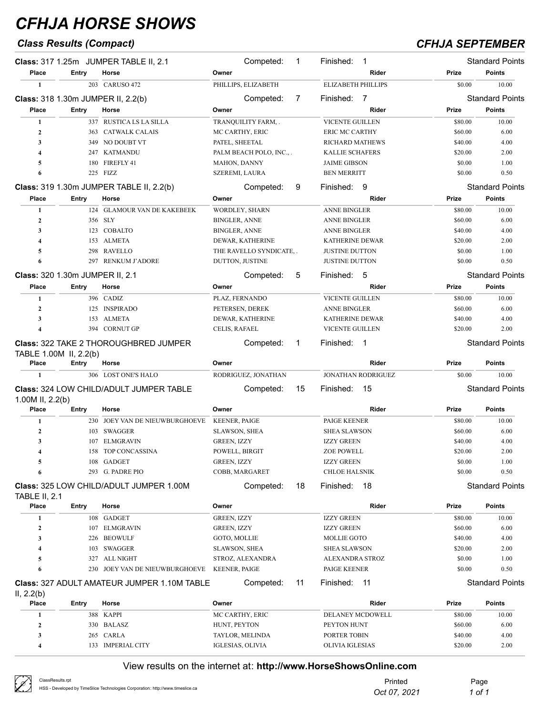## *Class Results (Compact) CFHJA SEPTEMBER*

|                                 |                        | Class: 317 1.25m JUMPER TABLE II, 2.1              | Competed:                       | 1  | Finished: 1                 |                    | <b>Standard Points</b> |
|---------------------------------|------------------------|----------------------------------------------------|---------------------------------|----|-----------------------------|--------------------|------------------------|
| Place                           | Entry                  | Horse                                              | Owner                           |    | Rider                       | Prize              | <b>Points</b>          |
| 1                               |                        | 203 CARUSO 472                                     | PHILLIPS, ELIZABETH             |    | <b>ELIZABETH PHILLIPS</b>   | \$0.00             | 10.00                  |
|                                 |                        | <b>Class: 318 1.30m JUMPER II, 2.2(b)</b>          | Competed:                       | 7  | Finished:<br>$\overline{7}$ |                    | <b>Standard Points</b> |
| Place                           | Entry                  | Horse                                              | Owner                           |    | Rider                       | Prize              | <b>Points</b>          |
| 1                               |                        | 337 RUSTICA LS LA SILLA                            | TRANQUILITY FARM,.              |    | <b>VICENTE GUILLEN</b>      | \$80.00            | 10.00                  |
| $\overline{2}$                  | 363                    | <b>CATWALK CALAIS</b>                              | MC CARTHY, ERIC                 |    | <b>ERIC MC CARTHY</b>       | \$60.00            | 6.00                   |
| 3                               | 349                    | NO DOUBT VT                                        | PATEL, SHEETAL                  |    | <b>RICHARD MATHEWS</b>      | \$40.00            | 4.00                   |
| $\overline{4}$                  |                        | 247 KATMANDU                                       | PALM BEACH POLO, INC.,.         |    | KALLIE SCHAFERS             | \$20.00            | 2.00                   |
| 5                               | 180                    | FIREFLY 41                                         | MAHON, DANNY                    |    | <b>JAIME GIBSON</b>         | \$0.00             | 1.00                   |
| 6                               |                        | 225 FIZZ                                           | SZEREMI, LAURA                  |    | <b>BEN MERRITT</b>          | \$0.00             | 0.50                   |
|                                 |                        | Class: 319 1.30m JUMPER TABLE II, 2.2(b)           | Competed:                       | 9  | Finished:<br>-9             |                    | <b>Standard Points</b> |
| Place                           | Entry                  | Horse                                              | Owner                           |    | Rider                       | Prize              | <b>Points</b>          |
| 1                               |                        | 124 GLAMOUR VAN DE KAKEBEEK                        | WORDLEY, SHARN                  |    | <b>ANNE BINGLER</b>         | \$80.00            | 10.00                  |
| $\overline{2}$                  |                        | 356 SLY                                            | BINGLER, ANNE                   |    | <b>ANNE BINGLER</b>         | \$60.00            | 6.00                   |
| 3                               |                        | 123 COBALTO                                        | <b>BINGLER, ANNE</b>            |    | <b>ANNE BINGLER</b>         | \$40.00            | 4.00                   |
| $\overline{4}$                  |                        | 153 ALMETA                                         | DEWAR, KATHERINE                |    | KATHERINE DEWAR             | \$20.00            | 2.00                   |
| 5                               | 298                    | <b>RAVELLO</b>                                     | THE RAVELLO SYNDICATE, .        |    | <b>JUSTINE DUTTON</b>       | \$0.00             | 1.00                   |
| 6                               |                        | 297 RENKUM J'ADORE                                 | DUTTON, JUSTINE                 |    | <b>JUSTINE DUTTON</b>       | \$0.00             | 0.50                   |
| Class: 320 1.30m JUMPER II, 2.1 |                        |                                                    | Competed:                       | 5  | Finished: 5                 |                    | <b>Standard Points</b> |
| Place                           | Entry                  | Horse                                              | Owner                           |    | Rider                       | Prize              | <b>Points</b>          |
| 1                               |                        | 396 CADIZ                                          | PLAZ, FERNANDO                  |    | <b>VICENTE GUILLEN</b>      | \$80.00            | 10.00                  |
| $\overline{2}$                  |                        | 125 INSPIRADO                                      | PETERSEN, DEREK                 |    | <b>ANNE BINGLER</b>         | \$60.00            | 6.00                   |
| $\mathbf{3}$                    |                        | 153 ALMETA                                         | DEWAR, KATHERINE                |    | <b>KATHERINE DEWAR</b>      | \$40.00            | 4.00                   |
| $\overline{4}$                  |                        | 394 CORNUT GP                                      | CELIS, RAFAEL                   |    | VICENTE GUILLEN             | \$20.00            | 2.00                   |
|                                 |                        | <b>Class: 322 TAKE 2 THOROUGHBRED JUMPER</b>       | Competed:                       | 1  | Finished: 1                 |                    | <b>Standard Points</b> |
|                                 | TABLE 1.00M II, 2.2(b) |                                                    |                                 |    |                             |                    |                        |
|                                 |                        |                                                    |                                 |    |                             |                    |                        |
| Place                           | Entry                  | Horse                                              | Owner                           |    | Rider                       | Prize              | <b>Points</b>          |
| $\mathbf{1}$                    |                        | 306 LOST ONE'S HALO                                | RODRIGUEZ, JONATHAN             |    | JONATHAN RODRIGUEZ          | \$0.00             | 10.00                  |
| 1.00M II, 2.2(b)                |                        | <b>Class: 324 LOW CHILD/ADULT JUMPER TABLE</b>     | Competed:                       | 15 | Finished:<br>-15            |                    | <b>Standard Points</b> |
| Place                           | <b>Entry</b>           | Horse                                              | Owner                           |    | Rider                       | Prize              | <b>Points</b>          |
| 1                               |                        | 230 JOEY VAN DE NIEUWBURGHOEVE                     | KEENER, PAIGE                   |    | PAIGE KEENER                | \$80.00            | 10.00                  |
| $\overline{2}$                  | 103                    | SWAGGER                                            | <b>SLAWSON, SHEA</b>            |    | <b>SHEA SLAWSON</b>         | \$60.00            | 6.00                   |
| 3                               | 107                    | <b>ELMGRAVIN</b>                                   | GREEN, IZZY                     |    | <b>IZZY GREEN</b>           | \$40.00            | 4.00                   |
| $\overline{4}$                  |                        | 158 TOP CONCASSINA                                 | POWELL, BIRGIT                  |    | <b>ZOE POWELL</b>           | \$20.00            | 2.00                   |
| 5                               |                        | 108 GADGET                                         | GREEN, IZZY                     |    | <b>IZZY GREEN</b>           | \$0.00             | 1.00                   |
| 6                               |                        | 293 G. PADRE PIO                                   | COBB, MARGARET                  |    | <b>CHLOE HALSNIK</b>        | \$0.00             | 0.50                   |
|                                 |                        | <b>Class: 325 LOW CHILD/ADULT JUMPER 1.00M</b>     | Competed:                       | 18 | Finished:<br>18             |                    | <b>Standard Points</b> |
| <b>TABLE II, 2.1</b><br>Place   | <b>Entry</b>           | Horse                                              | Owner                           |    | Rider                       | Prize              | <b>Points</b>          |
| 1                               |                        | 108 GADGET                                         | <b>GREEN, IZZY</b>              |    | <b>IZZY GREEN</b>           | \$80.00            | 10.00                  |
| $\mathbf{2}$                    |                        | 107 ELMGRAVIN                                      | <b>GREEN, IZZY</b>              |    | <b>IZZY GREEN</b>           | \$60.00            | 6.00                   |
| 3                               |                        | 226 BEOWULF                                        | GOTO, MOLLIE                    |    | <b>MOLLIE GOTO</b>          | \$40.00            | 4.00                   |
| 4                               |                        | 103 SWAGGER                                        | <b>SLAWSON, SHEA</b>            |    | <b>SHEA SLAWSON</b>         | \$20.00            | 2.00                   |
| 5                               | 327                    | ALL NIGHT                                          | STROZ, ALEXANDRA                |    | ALEXANDRA STROZ             | \$0.00             | 1.00                   |
| 6                               | 230                    | JOEY VAN DE NIEUWBURGHOEVE                         | <b>KEENER, PAIGE</b>            |    | PAIGE KEENER                | \$0.00             | 0.50                   |
|                                 |                        | <b>Class: 327 ADULT AMATEUR JUMPER 1.10M TABLE</b> | Competed:                       | 11 | Finished:<br>-11            |                    | <b>Standard Points</b> |
| II, 2.2(b)<br>Place             | <b>Entry</b>           | Horse                                              | Owner                           |    | Rider                       | <b>Prize</b>       | <b>Points</b>          |
| 1                               |                        |                                                    |                                 |    |                             |                    |                        |
|                                 |                        | 388 KAPPI                                          | MC CARTHY, ERIC                 |    | DELANEY MCDOWELL            | \$80.00            | 10.00                  |
| $\boldsymbol{2}$<br>3           |                        | 330 BALASZ<br>265 CARLA                            | HUNT, PEYTON<br>TAYLOR, MELINDA |    | PEYTON HUNT<br>PORTER TOBIN | \$60.00<br>\$40.00 | 6.00<br>4.00           |

| ClassResults.rpt                                                               | Printed      | Page   |
|--------------------------------------------------------------------------------|--------------|--------|
| HSS - Developed by TimeSlice Technologies Corporation: http://www.timeslice.ca | Oct 07, 2021 | 1 of 1 |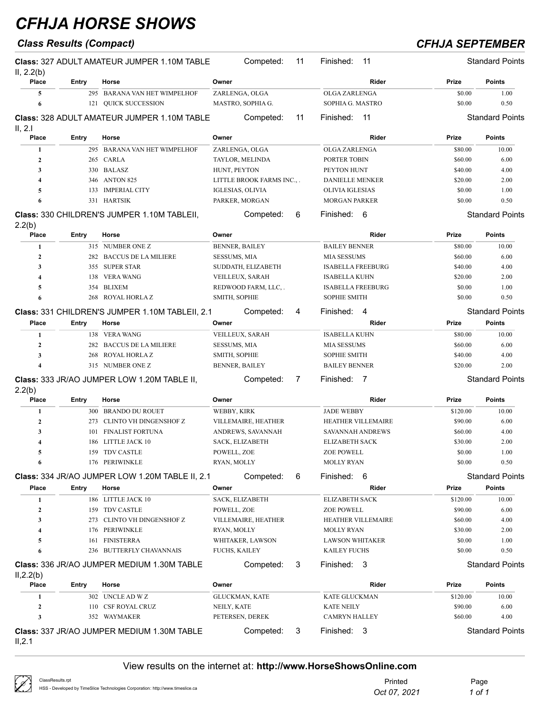## *Class Results (Compact) CFHJA SEPTEMBER*

| II, 2.2(b)              |       | <b>Class: 327 ADULT AMATEUR JUMPER 1.10M TABLE</b> |                       | Competed:                 | 11 | Finished:                | 11                        |          | <b>Standard Points</b> |
|-------------------------|-------|----------------------------------------------------|-----------------------|---------------------------|----|--------------------------|---------------------------|----------|------------------------|
| Place                   | Entry | Horse                                              | Owner                 |                           |    |                          | Rider                     | Prize    | <b>Points</b>          |
| 5                       |       | 295 BARANA VAN HET WIMPELHOF                       | ZARLENGA, OLGA        |                           |    | <b>OLGA ZARLENGA</b>     |                           | \$0.00   | 1.00                   |
| 6                       |       | 121 OUICK SUCCESSION                               |                       | MASTRO, SOPHIA G.         |    | SOPHIA G. MASTRO         |                           | \$0.00   | 0.50                   |
| II, 2.I                 |       | <b>Class: 328 ADULT AMATEUR JUMPER 1.10M TABLE</b> |                       | Competed:                 | 11 | Finished:                | -11                       |          | <b>Standard Points</b> |
| Place                   | Entry | Horse                                              | Owner                 |                           |    |                          | Rider                     | Prize    | Points                 |
| 1                       |       | 295 BARANA VAN HET WIMPELHOF                       | ZARLENGA, OLGA        |                           |    | <b>OLGA ZARLENGA</b>     |                           | \$80.00  | 10.00                  |
| $\mathbf{2}$            | 265   | <b>CARLA</b>                                       | TAYLOR, MELINDA       |                           |    | PORTER TOBIN             |                           | \$60.00  | 6.00                   |
| 3                       |       | 330 BALASZ                                         | HUNT, PEYTON          |                           |    | PEYTON HUNT              |                           | \$40.00  | 4.00                   |
| $\overline{\mathbf{4}}$ |       | 346 ANTON 825                                      |                       | LITTLE BROOK FARMS INC.,. |    | <b>DANIELLE MENKER</b>   |                           | \$20.00  | 2.00                   |
| 5                       | 133   | <b>IMPERIAL CITY</b>                               | IGLESIAS, OLIVIA      |                           |    | OLIVIA IGLESIAS          |                           | \$0.00   | 1.00                   |
| 6                       | 331   | HARTSIK                                            | PARKER, MORGAN        |                           |    | <b>MORGAN PARKER</b>     |                           | \$0.00   | 0.50                   |
| 2.2(b)                  |       | Class: 330 CHILDREN'S JUMPER 1.10M TABLEII,        |                       | Competed:                 | 6  | Finished:                | 6                         |          | <b>Standard Points</b> |
| Place                   | Entry | Horse                                              | Owner                 |                           |    |                          | Rider                     | Prize    | Points                 |
| 1                       |       | 315 NUMBER ONE Z                                   | <b>BENNER, BAILEY</b> |                           |    | <b>BAILEY BENNER</b>     |                           | \$80.00  | 10.00                  |
| $\mathbf{2}$            | 282   | <b>BACCUS DE LA MILIERE</b>                        | <b>SESSUMS, MIA</b>   |                           |    | <b>MIA SESSUMS</b>       |                           | \$60.00  | 6.00                   |
| 3                       |       | 355 SUPER STAR                                     |                       | SUDDATH, ELIZABETH        |    | <b>ISABELLA FREEBURG</b> |                           | \$40.00  | 4.00                   |
| $\overline{\mathbf{4}}$ | 138   | <b>VERA WANG</b>                                   | VEILLEUX, SARAH       |                           |    | <b>ISABELLA KUHN</b>     |                           | \$20.00  | 2.00                   |
| 5                       | 354   | <b>BLIXEM</b>                                      |                       | REDWOOD FARM, LLC,.       |    | <b>ISABELLA FREEBURG</b> |                           | \$0.00   | 1.00                   |
| 6                       | 268   | ROYAL HORLA Z                                      | SMITH, SOPHIE         |                           |    | <b>SOPHIE SMITH</b>      |                           | \$0.00   | 0.50                   |
|                         |       | Class: 331 CHILDREN'S JUMPER 1.10M TABLEII, 2.1    |                       | Competed:                 | 4  | Finished:                | $\overline{4}$            |          | <b>Standard Points</b> |
| Place                   | Entry | Horse                                              | Owner                 |                           |    |                          | Rider                     | Prize    | <b>Points</b>          |
| 1                       |       | 138 VERA WANG                                      | VEILLEUX, SARAH       |                           |    | <b>ISABELLA KUHN</b>     |                           | \$80.00  | 10.00                  |
| $\overline{2}$          | 282   | <b>BACCUS DE LA MILIERE</b>                        | <b>SESSUMS, MIA</b>   |                           |    | <b>MIA SESSUMS</b>       |                           | \$60.00  | 6.00                   |
| 3                       | 268   | ROYAL HORLA Z                                      | SMITH, SOPHIE         |                           |    | <b>SOPHIE SMITH</b>      |                           | \$40.00  | 4.00                   |
| $\overline{4}$          |       | 315 NUMBER ONE Z                                   | <b>BENNER, BAILEY</b> |                           |    | <b>BAILEY BENNER</b>     |                           | \$20.00  | 2.00                   |
|                         |       | Class: 333 JR/AO JUMPER LOW 1.20M TABLE II,        |                       | Competed:                 | 7  | Finished:                | $\overline{7}$            |          | <b>Standard Points</b> |
| 2.2(b)                  |       |                                                    |                       |                           |    |                          |                           |          |                        |
| Place                   | Entry | Horse                                              | Owner                 |                           |    |                          | Rider                     | Prize    | Points                 |
| 1                       |       | 300 BRANDO DU ROUET                                | WEBBY, KIRK           |                           |    | <b>JADE WEBBY</b>        |                           | \$120.00 | 10.00                  |
| $\boldsymbol{2}$        | 273   | CLINTO VH DINGENSHOF Z                             |                       | VILLEMAIRE, HEATHER       |    |                          | <b>HEATHER VILLEMAIRE</b> | \$90.00  | 6.00                   |
| 3                       | 101   | <b>FINALIST FORTUNA</b>                            |                       | ANDREWS, SAVANNAH         |    | <b>SAVANNAH ANDREWS</b>  |                           | \$60.00  | 4.00                   |
| 4                       |       | 186 LITTLE JACK 10                                 | SACK, ELIZABETH       |                           |    | <b>ELIZABETH SACK</b>    |                           | \$30.00  | 2.00                   |
| 5                       |       | 159 TDV CASTLE                                     | POWELL, ZOE           |                           |    | ZOE POWELL               |                           | \$0.00   | 1.00                   |
| 6                       |       | 176 PERIWINKLE                                     | RYAN, MOLLY           |                           |    | <b>MOLLY RYAN</b>        |                           | \$0.00   | 0.50                   |
|                         |       | Class: 334 JR/AO JUMPER LOW 1.20M TABLE II, 2.1    |                       | Competed:                 | 6  | Finished: 6              |                           |          | <b>Standard Points</b> |
| Place                   | Entry | Horse                                              | Owner                 |                           |    |                          | Rider                     | Prize    | <b>Points</b>          |
| 1                       |       | 186 LITTLE JACK 10                                 | SACK, ELIZABETH       |                           |    | <b>ELIZABETH SACK</b>    |                           | \$120.00 | 10.00                  |
| $\boldsymbol{2}$        |       | 159 TDV CASTLE                                     | POWELL, ZOE           |                           |    | ZOE POWELL               |                           | \$90.00  | 6.00                   |
| 3                       |       | 273 CLINTO VH DINGENSHOF Z                         |                       | VILLEMAIRE, HEATHER       |    |                          | HEATHER VILLEMAIRE        | \$60.00  | 4.00                   |
| 4                       |       | 176 PERIWINKLE                                     | RYAN, MOLLY           |                           |    | <b>MOLLY RYAN</b>        |                           | \$30.00  | 2.00                   |
| 5                       | 161   | FINISTERRA                                         |                       | WHITAKER, LAWSON          |    | <b>LAWSON WHITAKER</b>   |                           | \$0.00   | 1.00                   |
| 6                       |       | 236 BUTTERFLY CHAVANNAIS                           | FUCHS, KAILEY         |                           |    | <b>KAILEY FUCHS</b>      |                           | \$0.00   | 0.50                   |
|                         |       | Class: 336 JR/AO JUMPER MEDIUM 1.30M TABLE         |                       | Competed:                 | 3  | Finished: 3              |                           |          | <b>Standard Points</b> |
| II, 2.2(b)<br>Place     | Entry | Horse                                              | Owner                 |                           |    |                          | Rider                     | Prize    | <b>Points</b>          |
| 1                       |       | 302 UNCLE AD W Z                                   | GLUCKMAN, KATE        |                           |    | KATE GLUCKMAN            |                           | \$120.00 | 10.00                  |
| $\boldsymbol{2}$        |       | 110 CSF ROYAL CRUZ                                 | NEILY, KATE           |                           |    | KATE NEILY               |                           | \$90.00  | 6.00                   |
| 3                       |       | 352 WAYMAKER                                       | PETERSEN, DEREK       |                           |    | CAMRYN HALLEY            |                           | \$60.00  | 4.00                   |
|                         |       | Class: 337 JR/AO JUMPER MEDIUM 1.30M TABLE         |                       | Competed:                 | 3  | Finished: 3              |                           |          | <b>Standard Points</b> |
| II, 2.1                 |       |                                                    |                       |                           |    |                          |                           |          |                        |

| ClassResults.rpt                                                               | Printed      | Page   |
|--------------------------------------------------------------------------------|--------------|--------|
| HSS - Developed by TimeSlice Technologies Corporation: http://www.timeslice.ca | Oct 07, 2021 | 1 of 1 |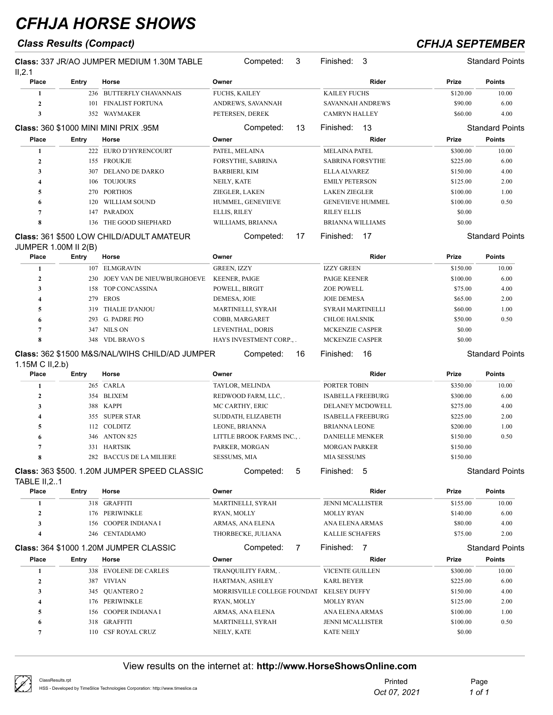## *Class Results (Compact) CFHJA SEPTEMBER*

| II, 2.1                     |       | <b>Class: 337 JR/AO JUMPER MEDIUM 1.30M TABLE</b> | Competed:<br>3              | Finished: 3              |          | <b>Standard Points</b> |
|-----------------------------|-------|---------------------------------------------------|-----------------------------|--------------------------|----------|------------------------|
| Place                       | Entry | Horse                                             | Owner                       | Rider                    | Prize    | <b>Points</b>          |
| 1                           |       | 236 BUTTERFLY CHAVANNAIS                          | <b>FUCHS, KAILEY</b>        | <b>KAILEY FUCHS</b>      | \$120.00 | 10.00                  |
| $\mathbf{2}$                |       | 101 FINALIST FORTUNA                              | ANDREWS, SAVANNAH           | <b>SAVANNAH ANDREWS</b>  | \$90.00  | 6.00                   |
| 3                           |       | 352 WAYMAKER                                      | PETERSEN, DEREK             | <b>CAMRYN HALLEY</b>     | \$60.00  | 4.00                   |
|                             |       | <b>Class: 360 \$1000 MINI MINI PRIX .95M</b>      | Competed:<br>13             | 13<br>Finished:          |          | <b>Standard Points</b> |
| Place                       | Entry | Horse                                             | Owner                       | Rider                    | Prize    | <b>Points</b>          |
| 1                           |       | 222 EURO D'HYRENCOURT                             | PATEL, MELAINA              | <b>MELAINA PATEL</b>     | \$300.00 | 10.00                  |
| $\overline{2}$              |       | 155 FROUKJE                                       | FORSYTHE, SABRINA           | <b>SABRINA FORSYTHE</b>  | \$225.00 | 6.00                   |
| 3                           | 307   | <b>DELANO DE DARKO</b>                            | <b>BARBIERI, KIM</b>        | <b>ELLA ALVAREZ</b>      | \$150.00 | 4.00                   |
| 4                           | 106   | <b>TOUJOURS</b>                                   | NEILY, KATE                 | <b>EMILY PETERSON</b>    | \$125.00 | 2.00                   |
| 5                           |       | 270 PORTHOS                                       | ZIEGLER, LAKEN              | <b>LAKEN ZIEGLER</b>     | \$100.00 | 1.00                   |
| 6                           | 120   | WILLIAM SOUND                                     | HUMMEL, GENEVIEVE           | <b>GENEVIEVE HUMMEL</b>  | \$100.00 | 0.50                   |
| 7                           | 147   | PARADOX                                           | ELLIS, RILEY                | <b>RILEY ELLIS</b>       | \$0.00   |                        |
| 8                           | 136   | THE GOOD SHEPHARD                                 | WILLIAMS, BRIANNA           | <b>BRIANNA WILLIAMS</b>  | \$0.00   |                        |
|                             |       | <b>Class: 361 \$500 LOW CHILD/ADULT AMATEUR</b>   | Competed:<br>17             | Finished:<br>17          |          | <b>Standard Points</b> |
| <b>JUMPER 1.00M II 2(B)</b> |       |                                                   |                             |                          |          |                        |
| Place                       | Entry | Horse                                             | Owner                       | Rider                    | Prize    | <b>Points</b>          |
| 1                           | 107   | <b>ELMGRAVIN</b>                                  | <b>GREEN, IZZY</b>          | <b>IZZY GREEN</b>        | \$150.00 | 10.00                  |
| $\boldsymbol{2}$            | 230   | JOEY VAN DE NIEUWBURGHOEVE                        | <b>KEENER, PAIGE</b>        | PAIGE KEENER             | \$100.00 | 6.00                   |
| 3                           | 158   | TOP CONCASSINA                                    | POWELL, BIRGIT              | <b>ZOE POWELL</b>        | \$75.00  | 4.00                   |
| $\overline{\bf{4}}$         | 279   | EROS                                              | DEMESA, JOIE                | <b>JOIE DEMESA</b>       | \$65.00  | 2.00                   |
| 5                           | 319   | <b>THALIE D'ANJOU</b>                             | MARTINELLI, SYRAH           | SYRAH MARTINELLI         | \$60.00  | 1.00                   |
| 6                           | 293   | G. PADRE PIO                                      | COBB, MARGARET              | <b>CHLOE HALSNIK</b>     | \$50.00  | 0.50                   |
| 7                           |       | 347 NILS ON                                       | LEVENTHAL, DORIS            | MCKENZIE CASPER          | \$0.00   |                        |
| 8                           | 348   | <b>VDL BRAVO S</b>                                | HAYS INVESTMENT CORP.,.     | MCKENZIE CASPER          | \$0.00   |                        |
| 1.15M C II, 2.b)            |       | Class: 362 \$1500 M&S/NAL/WIHS CHILD/AD JUMPER    | Competed:<br>16             | 16<br>Finished:          |          | <b>Standard Points</b> |
| Place                       | Entry | Horse                                             | Owner                       | Rider                    | Prize    | <b>Points</b>          |
| 1                           |       | 265 CARLA                                         | TAYLOR, MELINDA             | PORTER TOBIN             | \$350.00 | 10.00                  |
| $\mathbf{2}$                |       | 354 BLIXEM                                        | REDWOOD FARM, LLC, .        | <b>ISABELLA FREEBURG</b> | \$300.00 | 6.00                   |
| 3                           |       | 388 KAPPI                                         | MC CARTHY, ERIC             | DELANEY MCDOWELL         | \$275.00 | 4.00                   |
| 4                           |       | 355 SUPER STAR                                    | SUDDATH, ELIZABETH          | <b>ISABELLA FREEBURG</b> | \$225.00 | 2.00                   |
| 5                           |       | 112 COLDITZ                                       | LEONE, BRIANNA              | <b>BRIANNA LEONE</b>     | \$200.00 | 1.00                   |
| 6                           |       | 346 ANTON 825                                     | LITTLE BROOK FARMS INC.,.   | <b>DANIELLE MENKER</b>   | \$150.00 | 0.50                   |
| $\overline{7}$              |       | 331 HARTSIK                                       | PARKER, MORGAN              | <b>MORGAN PARKER</b>     | \$150.00 |                        |
| 8                           |       | 282 BACCUS DE LA MILIERE                          | SESSUMS, MIA                | MIA SESSUMS              | \$150.00 |                        |
| <b>TABLE II, 21</b>         |       | Class: 363 \$500. 1.20M JUMPER SPEED CLASSIC      | 5<br>Competed:              | Finished: 5              |          | <b>Standard Points</b> |
| Place                       | Entry | Horse                                             | Owner                       | Rider                    | Prize    | <b>Points</b>          |
| -1                          |       | 318 GRAFFITI                                      | MARTINELLI, SYRAH           | <b>JENNI MCALLISTER</b>  | \$155.00 | 10.00                  |
| $\boldsymbol{2}$            |       | 176 PERIWINKLE                                    | RYAN, MOLLY                 | <b>MOLLY RYAN</b>        | \$140.00 | 6.00                   |
| 3                           | 156   | COOPER INDIANA I                                  | ARMAS, ANA ELENA            | ANA ELENA ARMAS          | \$80.00  | 4.00                   |
| 4                           |       | 246 CENTADIAMO                                    | THORBECKE, JULIANA          | KALLIE SCHAFERS          | \$75.00  | 2.00                   |
|                             |       | <b>Class: 364 \$1000 1.20M JUMPER CLASSIC</b>     | Competed:<br>7              | Finished: 7              |          | <b>Standard Points</b> |
| Place                       | Entry | Horse                                             | Owner                       | Rider                    | Prize    | <b>Points</b>          |
| 1                           |       | 338 EVOLENE DE CARLES                             | TRANQUILITY FARM, .         | VICENTE GUILLEN          | \$300.00 | 10.00                  |
| 2                           |       | 387 VIVIAN                                        | HARTMAN, ASHLEY             | <b>KARL BEYER</b>        | \$225.00 | 6.00                   |
| 3                           |       | 345 QUANTERO 2                                    | MORRISVILLE COLLEGE FOUNDAT | <b>KELSEY DUFFY</b>      | \$150.00 | 4.00                   |
| 4                           |       | 176 PERIWINKLE                                    | RYAN, MOLLY                 | <b>MOLLY RYAN</b>        | \$125.00 | 2.00                   |
| 5                           |       | 156 COOPER INDIANA I                              | ARMAS, ANA ELENA            | ANA ELENA ARMAS          | \$100.00 | 1.00                   |
| 6                           |       | 318 GRAFFITI                                      | MARTINELLI, SYRAH           | JENNI MCALLISTER         | \$100.00 | 0.50                   |
| 7                           |       | 110 CSF ROYAL CRUZ                                | NEILY, KATE                 | <b>KATE NEILY</b>        | \$0.00   |                        |

| ClassResults.rpt<br>HSS - Developed by TimeSlice Technologies Corporation: http://www.timeslice.ca | Printed<br>Oct 07, 2021 | Page<br>1 of 1 |
|----------------------------------------------------------------------------------------------------|-------------------------|----------------|
|                                                                                                    |                         |                |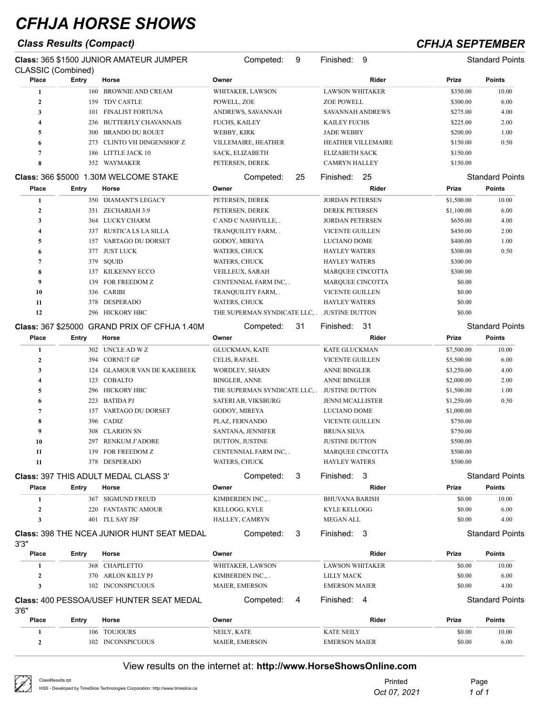## *Class Results (Compact) CFHJA SEPTEMBER*

 $\oslash$ 

| CLASSIC (Combined)      |       | Class: 365 \$1500 JUNIOR AMATEUR JUMPER           | Competed:                     | 9  | Finished:<br>- 9        |            | <b>Standard Points</b> |
|-------------------------|-------|---------------------------------------------------|-------------------------------|----|-------------------------|------------|------------------------|
| Place                   | Entry | Horse                                             | Owner                         |    | Rider                   | Prize      | <b>Points</b>          |
| 1                       | 160   | <b>BROWNIE AND CREAM</b>                          | WHITAKER, LAWSON              |    | <b>LAWSON WHITAKER</b>  | \$350.00   | 10.00                  |
| $\boldsymbol{2}$        | 159   | <b>TDV CASTLE</b>                                 | POWELL, ZOE                   |    | <b>ZOE POWELL</b>       | \$300.00   | 6.00                   |
| 3                       | 101   | <b>FINALIST FORTUNA</b>                           | ANDREWS, SAVANNAH             |    | SAVANNAH ANDREWS        | \$275.00   | 4.00                   |
| $\overline{\mathbf{4}}$ | 236   | <b>BUTTERFLY CHAVANNAIS</b>                       | <b>FUCHS, KAILEY</b>          |    | <b>KAILEY FUCHS</b>     | \$225.00   | 2.00                   |
| 5                       | 300   | <b>BRANDO DU ROUET</b>                            | WEBBY, KIRK                   |    | <b>JADE WEBBY</b>       | \$200.00   | 1.00                   |
| 6                       | 273   | CLINTO VH DINGENSHOF Z                            | VILLEMAIRE, HEATHER           |    | HEATHER VILLEMAIRE      | \$150.00   | 0.50                   |
| $\overline{7}$          | 186   | LITTLE JACK 10                                    | SACK, ELIZABETH               |    | <b>ELIZABETH SACK</b>   | \$150.00   |                        |
| 8                       |       | 352 WAYMAKER                                      | PETERSEN, DEREK               |    | <b>CAMRYN HALLEY</b>    | \$150.00   |                        |
|                         |       | Class: 366 \$5000 1.30M WELCOME STAKE             | Competed:                     | 25 | -25<br>Finished:        |            | <b>Standard Points</b> |
| Place                   | Entry | Horse                                             | Owner                         |    | Rider                   | Prize      | Points                 |
| 1                       | 350   | DIAMANT'S LEGACY                                  | PETERSEN, DEREK               |    | <b>JORDAN PETERSEN</b>  | \$1,500.00 | 10.00                  |
| $\mathbf{2}$            |       | 351 ZECHARIAH 3:9                                 | PETERSEN, DEREK               |    | <b>DEREK PETERSEN</b>   | \$1,100.00 | 6.00                   |
| 3                       |       | 364 LUCKY CHARM                                   | CAND C NASHVILLE, .           |    | <b>JORDAN PETERSEN</b>  | \$650.00   | 4.00                   |
| $\overline{\mathbf{4}}$ |       | 337 RUSTICA LS LA SILLA                           | TRANQUILITY FARM,.            |    | <b>VICENTE GUILLEN</b>  | \$450.00   | 2.00                   |
| 5                       |       | 157 VARTAGO DU DORSET                             | GODOY, MIREYA                 |    | <b>LUCIANO DOME</b>     | \$400.00   | 1.00                   |
| 6                       | 377   | JUST LUCK                                         | WATERS, CHUCK                 |    | <b>HAYLEY WATERS</b>    | \$300.00   | 0.50                   |
| $\overline{7}$          | 379   | SQUID                                             | WATERS, CHUCK                 |    | <b>HAYLEY WATERS</b>    | \$300.00   |                        |
| 8                       |       | 137 KILKENNY ECCO                                 | VEILLEUX, SARAH               |    | <b>MARQUEE CINCOTTA</b> | \$300.00   |                        |
| 9                       | 139   | FOR FREEDOM Z                                     | CENTENNIAL FARM INC, .        |    | MARQUEE CINCOTTA        | \$0.00     |                        |
| 10                      |       | 336 CARIBI                                        | TRANQUILITY FARM, .           |    | <b>VICENTE GUILLEN</b>  | \$0.00     |                        |
| 11                      | 378   | DESPERADO                                         | WATERS, CHUCK                 |    | <b>HAYLEY WATERS</b>    | \$0.00     |                        |
| 12                      |       | 296 HICKORY HBC                                   | THE SUPERMAN SYNDICATE LLC, . |    | <b>JUSTINE DUTTON</b>   | \$0.00     |                        |
|                         |       | Class: 367 \$25000 GRAND PRIX OF CFHJA 1.40M      | Competed:                     | 31 | Finished:<br>-31        |            | <b>Standard Points</b> |
| Place                   | Entry | Horse                                             | Owner                         |    | Rider                   | Prize      | <b>Points</b>          |
| 1                       |       | 302 UNCLE AD W Z                                  | <b>GLUCKMAN, KATE</b>         |    | KATE GLUCKMAN           | \$7,500.00 | 10.00                  |
| $\mathbf{2}$            |       | 394 CORNUT GP                                     | CELIS, RAFAEL                 |    | VICENTE GUILLEN         | \$5,500.00 | 6.00                   |
| 3                       |       | 124 GLAMOUR VAN DE KAKEBEEK                       | WORDLEY, SHARN                |    | ANNE BINGLER            | \$3,250.00 | 4.00                   |
| $\overline{4}$          |       | 123 COBALTO                                       | <b>BINGLER, ANNE</b>          |    | <b>ANNE BINGLER</b>     | \$2,000.00 | 2.00                   |
| 5                       | 296   | HICKORY HBC                                       | THE SUPERMAN SYNDICATE LLC, . |    | <b>JUSTINE DUTTON</b>   | \$1,500.00 | 1.00                   |
| 6                       |       | 223 BATIDA PJ                                     | SATERI AB, VIKSBURG           |    | <b>JENNI MCALLISTER</b> | \$1,250.00 | 0.50                   |
| 7                       |       | 157 VARTAGO DU DORSET                             | GODOY, MIREYA                 |    | <b>LUCIANO DOME</b>     | \$1,000.00 |                        |
| 8                       |       | 396 CADIZ                                         | PLAZ, FERNANDO                |    | VICENTE GUILLEN         | \$750.00   |                        |
| 9                       |       | 308 CLARION SN                                    | SANTANA, JENNIFER             |    | <b>BRUNA SILVA</b>      | \$750.00   |                        |
| 10                      | 297   | RENKUM J'ADORE                                    | DUTTON, JUSTINE               |    | <b>JUSTINE DUTTON</b>   | \$500.00   |                        |
| 11                      |       | 139 FOR FREEDOM Z                                 | CENTENNIAL FARM INC,.         |    | <b>MARQUEE CINCOTTA</b> | \$500.00   |                        |
| 11                      |       | 378 DESPERADO                                     | WATERS, CHUCK                 |    | <b>HAYLEY WATERS</b>    | \$500.00   |                        |
|                         |       | <b>Class: 397 THIS ADULT MEDAL CLASS 3'</b>       | Competed:                     | 3  | Finished:<br>-3         |            | <b>Standard Points</b> |
| Place                   | Entry | Horse                                             | Owner                         |    | Rider                   | Prize      | <b>Points</b>          |
| 1                       |       | 367 SIGMUND FREUD                                 | KIMBERDEN INC.,.              |    | <b>BHUVANA BARISH</b>   | \$0.00     | 10.00                  |
| 2                       | 220   | <b>FANTASTIC AMOUR</b>                            | KELLOGG, KYLE                 |    | <b>KYLE KELLOGG</b>     | \$0.00     | 6.00                   |
| 3                       |       | 401 I'LL SAY JSF                                  | HALLEY, CAMRYN                |    | MEGAN ALL               | \$0.00     | 4.00                   |
| 3'3''                   |       | <b>Class: 398 THE NCEA JUNIOR HUNT SEAT MEDAL</b> | Competed:                     | 3  | Finished: 3             |            | <b>Standard Points</b> |
| Place                   | Entry | Horse                                             | Owner                         |    | Rider                   | Prize      | <b>Points</b>          |
| 1                       |       | 368 CHAPILETTO                                    | WHITAKER, LAWSON              |    | <b>LAWSON WHITAKER</b>  | \$0.00     | 10.00                  |
| 2                       |       | 370 ARLON KILLY PJ                                | KIMBERDEN INC.,.              |    | LILLY MACK              | \$0.00     | 6.00                   |
| 3                       |       | 102 INCONSPICUOUS                                 | MAIER, EMERSON                |    | <b>EMERSON MAIER</b>    | \$0.00     | 4.00                   |
| 3'6''                   |       | <b>Class: 400 PESSOA/USEF HUNTER SEAT MEDAL</b>   | Competed:                     | 4  | Finished: 4             |            | <b>Standard Points</b> |
| Place                   | Entry | Horse                                             | Owner                         |    | Rider                   | Prize      | <b>Points</b>          |

### View results on the internet at: **http://www.HorseShowsOnline.com**

 106 TOUJOURS NEILY, KATE NEILY KATE NEILY \$0.00 10.00 102 INCONSPICUOUS MAIER, EMERSON EMERSON MAIER \$0.00 6.00

| ClassResults.rpt                                                               | Printed      | Page   |
|--------------------------------------------------------------------------------|--------------|--------|
| HSS - Developed by TimeSlice Technologies Corporation: http://www.timeslice.ca | Oct 07, 2021 | 1 of 1 |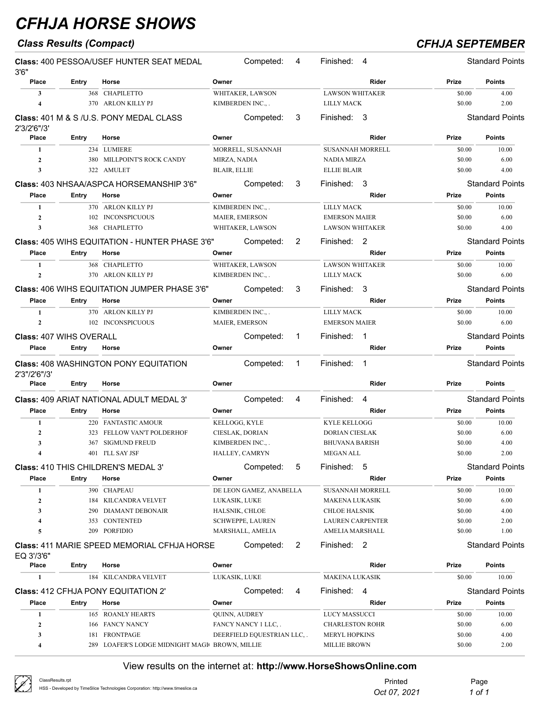## *Class Results (Compact) CFHJA SEPTEMBER*

| 3'6''                   |                                | <b>Class: 400 PESSOA/USEF HUNTER SEAT MEDAL</b>       |                     | Competed:                          | 4 | Finished:                                 | 4            |                  | <b>Standard Points</b> |
|-------------------------|--------------------------------|-------------------------------------------------------|---------------------|------------------------------------|---|-------------------------------------------|--------------|------------------|------------------------|
| Place                   | Entry                          | Horse                                                 | Owner               |                                    |   |                                           | Rider        | Prize            | <b>Points</b>          |
| 3                       |                                | 368 CHAPILETTO                                        |                     | WHITAKER, LAWSON                   |   | <b>LAWSON WHITAKER</b>                    |              | \$0.00           | 4.00                   |
| $\overline{\mathbf{4}}$ |                                | 370 ARLON KILLY PJ                                    |                     | KIMBERDEN INC.,.                   |   | <b>LILLY MACK</b>                         |              | \$0.00           | 2.00                   |
| 2'3/2'6"/3'             |                                | <b>Class: 401 M &amp; S /U.S. PONY MEDAL CLASS</b>    |                     | Competed:                          | 3 | Finished: 3                               |              |                  | <b>Standard Points</b> |
| Place                   | Entry                          | Horse                                                 | Owner               |                                    |   |                                           | Rider        | Prize            | <b>Points</b>          |
| 1                       |                                | 234 LUMIERE                                           |                     | MORRELL, SUSANNAH                  |   | <b>SUSANNAH MORRELL</b>                   |              | \$0.00           | 10.00                  |
| $\mathbf{2}$            |                                | 380 MILLPOINT'S ROCK CANDY                            | MIRZA, NADIA        |                                    |   | <b>NADIA MIRZA</b>                        |              | \$0.00           | 6.00                   |
| 3                       |                                | 322 AMULET                                            | <b>BLAIR, ELLIE</b> |                                    |   | <b>ELLIE BLAIR</b>                        |              | \$0.00           | 4.00                   |
|                         |                                | Class: 403 NHSAA/ASPCA HORSEMANSHIP 3'6"              |                     | Competed:                          | 3 | Finished:                                 | -3           |                  | <b>Standard Points</b> |
| Place                   | Entry                          | Horse                                                 | Owner               |                                    |   |                                           | Rider        | Prize            | <b>Points</b>          |
|                         |                                |                                                       |                     |                                    |   |                                           |              |                  |                        |
| 1<br>$\mathbf{2}$       |                                | 370 ARLON KILLY PJ                                    |                     | KIMBERDEN INC.,.                   |   | <b>LILLY MACK</b><br><b>EMERSON MAIER</b> |              | \$0.00<br>\$0.00 | 10.00<br>6.00          |
| 3                       | 102<br>368                     | <b>INCONSPICUOUS</b><br><b>CHAPILETTO</b>             |                     | MAIER, EMERSON<br>WHITAKER, LAWSON |   | <b>LAWSON WHITAKER</b>                    |              | \$0.00           | 4.00                   |
|                         |                                |                                                       |                     |                                    |   |                                           |              |                  |                        |
|                         |                                | <b>Class: 405 WIHS EQUITATION - HUNTER PHASE 3'6"</b> |                     | Competed:                          | 2 | Finished: 2                               |              |                  | <b>Standard Points</b> |
| Place                   | Entry                          | Horse                                                 | Owner               |                                    |   |                                           | Rider        | Prize            | <b>Points</b>          |
| 1                       |                                | 368 CHAPILETTO                                        |                     | WHITAKER, LAWSON                   |   | <b>LAWSON WHITAKER</b>                    |              | \$0.00           | 10.00                  |
| $\overline{2}$          |                                | 370 ARLON KILLY PJ                                    |                     | KIMBERDEN INC.,.                   |   | <b>LILLY MACK</b>                         |              | \$0.00           | 6.00                   |
|                         |                                | <b>Class: 406 WIHS EQUITATION JUMPER PHASE 3'6"</b>   |                     | Competed:                          | 3 | Finished:                                 | 3            |                  | <b>Standard Points</b> |
| Place                   | Entry                          | Horse                                                 | Owner               |                                    |   |                                           | Rider        | Prize            | <b>Points</b>          |
| 1                       |                                | 370 ARLON KILLY PJ                                    |                     | KIMBERDEN INC.,.                   |   | <b>LILLY MACK</b>                         |              | \$0.00           | 10.00                  |
| $\mathbf{2}$            |                                | 102 INCONSPICUOUS                                     |                     | MAIER, EMERSON                     |   | <b>EMERSON MAIER</b>                      |              | \$0.00           | 6.00                   |
|                         |                                |                                                       |                     |                                    |   |                                           |              |                  |                        |
|                         | <b>Class: 407 WIHS OVERALL</b> |                                                       |                     | Competed:                          | 1 | Finished:                                 | 1            |                  | <b>Standard Points</b> |
| Place                   | Entry                          | Horse                                                 | Owner               |                                    |   |                                           | Rider        | Prize            | <b>Points</b>          |
| 2'3"/2'6"/3'            |                                | <b>Class: 408 WASHINGTON PONY EQUITATION</b>          |                     | Competed:                          | 1 | Finished:                                 | $\mathbf{1}$ |                  | <b>Standard Points</b> |
| Place                   | Entry                          | Horse                                                 | Owner               |                                    |   |                                           | Rider        | Prize            | <b>Points</b>          |
|                         |                                | <b>Class: 409 ARIAT NATIONAL ADULT MEDAL 3'</b>       |                     | Competed:                          | 4 | Finished:                                 | 4            |                  | <b>Standard Points</b> |
| Place                   | Entry                          | Horse                                                 | Owner               |                                    |   |                                           | Rider        | Prize            | <b>Points</b>          |
| 1                       |                                | 220 FANTASTIC AMOUR                                   | KELLOGG, KYLE       |                                    |   | <b>KYLE KELLOGG</b>                       |              | \$0.00           | 10.00                  |
| $\mathbf{2}$            | 323                            | FELLOW VAN'T POLDERHOF                                |                     | CIESLAK, DORIAN                    |   | <b>DORIAN CIESLAK</b>                     |              | \$0.00           | 6.00                   |
| 3                       | 367                            | <b>SIGMUND FREUD</b>                                  |                     | KIMBERDEN INC.,.                   |   | <b>BHUVANA BARISH</b>                     |              | \$0.00           | 4.00                   |
| 4                       |                                | 401 I'LL SAY JSF                                      |                     | HALLEY, CAMRYN                     |   | <b>MEGAN ALL</b>                          |              | \$0.00           | 2.00                   |
|                         |                                | Class: 410 THIS CHILDREN'S MEDAL 3'                   |                     | Competed:                          | 5 | Finished:                                 | 5            |                  | <b>Standard Points</b> |
| Place                   | Entry                          | Horse                                                 | Owner               |                                    |   |                                           | Rider        | Prize            | <b>Points</b>          |
| 1                       |                                | 390 CHAPEAU                                           |                     | DE LEON GAMEZ, ANABELLA            |   | SUSANNAH MORRELL                          |              | \$0.00           | 10.00                  |
| $\boldsymbol{2}$        |                                | 184 KILCANDRA VELVET                                  | LUKASIK, LUKE       |                                    |   | <b>MAKENA LUKASIK</b>                     |              | \$0.00           | 6.00                   |
| 3                       |                                | 290 DIAMANT DEBONAIR                                  |                     | HALSNIK, CHLOE                     |   | <b>CHLOE HALSNIK</b>                      |              | \$0.00           | 4.00                   |
| 4                       | 353                            | CONTENTED                                             |                     | <b>SCHWEPPE, LAUREN</b>            |   | <b>LAUREN CARPENTER</b>                   |              | \$0.00           | 2.00                   |
| 5                       |                                | 209 PORFIDIO                                          |                     | MARSHALL, AMELIA                   |   | AMELIA MARSHALL                           |              | \$0.00           | 1.00                   |
| EQ 3'/3'6"              |                                | <b>Class: 411 MARIE SPEED MEMORIAL CFHJA HORSE</b>    |                     | Competed:                          | 2 | Finished: 2                               |              |                  | <b>Standard Points</b> |
| Place                   | Entry                          | Horse                                                 | Owner               |                                    |   |                                           | Rider        | Prize            | <b>Points</b>          |
| 1                       |                                | 184 KILCANDRA VELVET                                  | LUKASIK, LUKE       |                                    |   | <b>MAKENA LUKASIK</b>                     |              | \$0.00           | 10.00                  |
|                         |                                |                                                       |                     |                                    |   |                                           |              |                  |                        |
|                         |                                | <b>Class: 412 CFHJA PONY EQUITATION 2'</b>            |                     | Competed:                          | 4 | Finished: 4                               |              |                  | <b>Standard Points</b> |
| <b>Place</b>            | Entry                          | Horse                                                 | Owner               |                                    |   |                                           | Rider        | Prize            | <b>Points</b>          |
| 1                       |                                | 165 ROANLY HEARTS                                     | QUINN, AUDREY       |                                    |   | <b>LUCY MASSUCCI</b>                      |              | \$0.00           | 10.00                  |
| $\boldsymbol{2}$        |                                | 166 FANCY NANCY                                       |                     | FANCY NANCY 1 LLC, .               |   | <b>CHARLESTON ROHR</b>                    |              | \$0.00           | 6.00                   |
| 3                       |                                | 181 FRONTPAGE                                         |                     | DEERFIELD EQUESTRIAN LLC, .        |   | <b>MERYL HOPKINS</b>                      |              | \$0.00           | 4.00                   |
| 4                       |                                | 289 LOAFER'S LODGE MIDNIGHT MAGI BROWN, MILLIE        |                     |                                    |   | <b>MILLIE BROWN</b>                       |              | \$0.00           | 2.00                   |

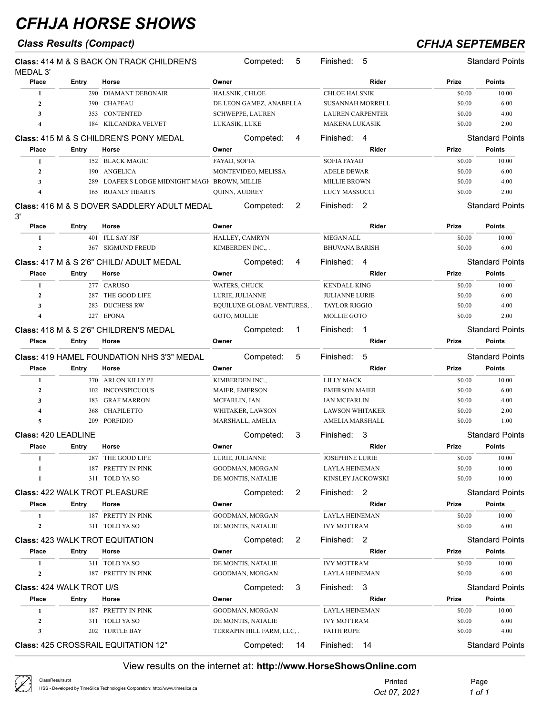## *Class Results (Compact) CFHJA SEPTEMBER*

| MEDAL 3'                   |       | <b>Class: 414 M &amp; S BACK ON TRACK CHILDREN'S</b>   |                | Competed:                   | 5  | Finished:                                     | -5    |        | <b>Standard Points</b> |
|----------------------------|-------|--------------------------------------------------------|----------------|-----------------------------|----|-----------------------------------------------|-------|--------|------------------------|
| Place                      | Entry | Horse                                                  | Owner          |                             |    |                                               | Rider | Prize  | <b>Points</b>          |
| 1                          |       | 290 DIAMANT DEBONAIR                                   | HALSNIK, CHLOE |                             |    | <b>CHLOE HALSNIK</b>                          |       | \$0.00 | 10.00                  |
| $\mathbf{2}$               | 390   | <b>CHAPEAU</b>                                         |                | DE LEON GAMEZ, ANABELLA     |    | <b>SUSANNAH MORRELL</b>                       |       | \$0.00 | 6.00                   |
| 3                          | 353   | CONTENTED                                              |                | <b>SCHWEPPE, LAUREN</b>     |    | LAUREN CARPENTER                              |       | \$0.00 | 4.00                   |
| 4                          | 184   | KILCANDRA VELVET                                       | LUKASIK, LUKE  |                             |    | <b>MAKENA LUKASIK</b>                         |       | \$0.00 | 2.00                   |
|                            |       | <b>Class: 415 M &amp; S CHILDREN'S PONY MEDAL</b>      |                | Competed:                   | 4  | Finished: 4                                   |       |        | <b>Standard Points</b> |
| Place                      | Entry | Horse                                                  | Owner          |                             |    |                                               | Rider | Prize  | <b>Points</b>          |
| 1                          |       | 152 BLACK MAGIC                                        | FAYAD, SOFIA   |                             |    | <b>SOFIA FAYAD</b>                            |       | \$0.00 | 10.00                  |
| $\mathbf{2}$               | 190   | <b>ANGELICA</b>                                        |                | MONTEVIDEO, MELISSA         |    | <b>ADELE DEWAR</b>                            |       | \$0.00 | 6.00                   |
| 3                          | 289   | LOAFER'S LODGE MIDNIGHT MAGIC BROWN, MILLIE            |                |                             |    | <b>MILLIE BROWN</b>                           |       | \$0.00 | 4.00                   |
| 4                          | 165   | <b>ROANLY HEARTS</b>                                   | QUINN, AUDREY  |                             |    | LUCY MASSUCCI                                 |       | \$0.00 | 2.00                   |
| 3'                         |       | <b>Class: 416 M &amp; S DOVER SADDLERY ADULT MEDAL</b> |                | Competed:                   | 2  | Finished: 2                                   |       |        | <b>Standard Points</b> |
| Place                      | Entry | Horse                                                  | Owner          |                             |    |                                               | Rider | Prize  | <b>Points</b>          |
| 1                          |       | 401 I'LL SAY JSF                                       |                | HALLEY, CAMRYN              |    | <b>MEGAN ALL</b>                              |       | \$0.00 | 10.00                  |
| $\mathbf{2}$               | 367   | <b>SIGMUND FREUD</b>                                   |                | KIMBERDEN INC.,.            |    | <b>BHUVANA BARISH</b>                         |       | \$0.00 | 6.00                   |
|                            |       | Class: 417 M & S 2'6" CHILD/ ADULT MEDAL               |                | Competed:                   | 4  | Finished:                                     | 4     |        | <b>Standard Points</b> |
| Place                      | Entry | Horse                                                  | Owner          |                             |    |                                               | Rider | Prize  | Points                 |
|                            |       | 277 CARUSO                                             |                |                             |    | <b>KENDALL KING</b>                           |       | \$0.00 | 10.00                  |
| 1                          | 287   | THE GOOD LIFE                                          | WATERS, CHUCK  | LURIE, JULIANNE             |    |                                               |       | \$0.00 | 6.00                   |
| $\mathbf{2}$<br>3          | 283   | <b>DUCHESS RW</b>                                      |                | EQUILUXE GLOBAL VENTURES, . |    | <b>JULIANNE LURIE</b><br><b>TAYLOR RIGGIO</b> |       | \$0.00 | 4.00                   |
| 4                          |       | 227 EPONA                                              | GOTO, MOLLIE   |                             |    | MOLLIE GOTO                                   |       | \$0.00 | 2.00                   |
|                            |       |                                                        |                |                             |    |                                               |       |        |                        |
|                            |       | Class: 418 M & S 2'6" CHILDREN'S MEDAL                 |                | Competed:                   | 1  | Finished:                                     | -1    |        | <b>Standard Points</b> |
| Place                      | Entry | Horse                                                  | Owner          |                             |    |                                               | Rider | Prize  | <b>Points</b>          |
|                            |       | <b>Class: 419 HAMEL FOUNDATION NHS 3'3" MEDAL</b>      |                | Competed:                   | 5  | Finished:                                     | 5     |        | <b>Standard Points</b> |
| Place                      | Entry | Horse                                                  | Owner          |                             |    |                                               | Rider | Prize  | <b>Points</b>          |
| $\mathbf{1}$               |       | 370 ARLON KILLY PJ                                     |                | KIMBERDEN INC.,.            |    | <b>LILLY MACK</b>                             |       | \$0.00 | 10.00                  |
| $\mathbf{2}$               | 102   | <b>INCONSPICUOUS</b>                                   |                | <b>MAIER, EMERSON</b>       |    | <b>EMERSON MAIER</b>                          |       | \$0.00 | 6.00                   |
| 3                          | 183   | <b>GRAF MARRON</b>                                     | MCFARLIN, IAN  |                             |    | <b>IAN MCFARLIN</b>                           |       | \$0.00 | 4.00                   |
| 4                          | 368   | <b>CHAPILETTO</b>                                      |                | WHITAKER, LAWSON            |    | <b>LAWSON WHITAKER</b>                        |       | \$0.00 | 2.00                   |
| 5                          | 209   | <b>PORFIDIO</b>                                        |                | MARSHALL, AMELIA            |    | AMELIA MARSHALL                               |       | \$0.00 | 1.00                   |
| <b>Class: 420 LEADLINE</b> |       |                                                        |                | Competed:                   | 3  | Finished:                                     | 3     |        | <b>Standard Points</b> |
| Place                      | Entry | Horse                                                  | Owner          |                             |    |                                               | Rider | Prize  | <b>Points</b>          |
|                            |       | 287 THE GOOD LIFE                                      |                | LURIE, JULIANNE             |    | JOSEPHINE LURIE                               |       | \$0.00 | 10.00                  |
| 1                          |       | 187 PRETTY IN PINK                                     |                | GOODMAN, MORGAN             |    | LAYLA HEINEMAN                                |       | \$0.00 | 10.00                  |
| 1                          |       | 311 TOLD YA SO                                         |                | DE MONTIS, NATALIE          |    | KINSLEY JACKOWSKI                             |       | \$0.00 | 10.00                  |
|                            |       | <b>Class: 422 WALK TROT PLEASURE</b>                   |                | Competed:                   | 2  | Finished: 2                                   |       |        | <b>Standard Points</b> |
| Place                      | Entry | Horse                                                  | Owner          |                             |    |                                               | Rider | Prize  | <b>Points</b>          |
| 1                          |       | 187 PRETTY IN PINK                                     |                | GOODMAN, MORGAN             |    | LAYLA HEINEMAN                                |       | \$0.00 | 10.00                  |
| 2                          |       | 311 TOLD YA SO                                         |                | DE MONTIS, NATALIE          |    | <b>IVY MOTTRAM</b>                            |       | \$0.00 | 6.00                   |
|                            |       | <b>Class: 423 WALK TROT EQUITATION</b>                 |                | Competed:                   | 2  | Finished: 2                                   |       |        | <b>Standard Points</b> |
| Place                      | Entry | Horse                                                  | Owner          |                             |    |                                               | Rider | Prize  | <b>Points</b>          |
| 1                          |       | 311 TOLD YA SO                                         |                | DE MONTIS, NATALIE          |    | <b>IVY MOTTRAM</b>                            |       | \$0.00 | 10.00                  |
| 2                          |       | 187 PRETTY IN PINK                                     |                | GOODMAN, MORGAN             |    | LAYLA HEINEMAN                                |       | \$0.00 | 6.00                   |
|                            |       |                                                        |                |                             |    |                                               |       |        |                        |
| Class: 424 WALK TROT U/S   |       |                                                        |                | Competed:                   | 3  | Finished: 3                                   |       |        | <b>Standard Points</b> |
| Place                      | Entry | Horse                                                  | Owner          |                             |    |                                               | Rider | Prize  | <b>Points</b>          |
| 1                          |       | 187 PRETTY IN PINK                                     |                | GOODMAN, MORGAN             |    | LAYLA HEINEMAN                                |       | \$0.00 | 10.00                  |
| $\boldsymbol{2}$           |       | 311 TOLD YA SO                                         |                | DE MONTIS, NATALIE          |    | <b>IVY MOTTRAM</b>                            |       | \$0.00 | 6.00                   |
| 3                          | 202   | TURTLE BAY                                             |                | TERRAPIN HILL FARM, LLC, .  |    | <b>FAITH RUPE</b>                             |       | \$0.00 | 4.00                   |
|                            |       | <b>Class: 425 CROSSRAIL EQUITATION 12"</b>             |                | Competed:                   | 14 | Finished:                                     | 14    |        | <b>Standard Points</b> |

| Ø<br>ClassResults.rpt<br>HSS - Developed by TimeSlice Technologies Corporation: http://www.timeslice.ca | Printed<br>Oct 07, 2021 | Page<br>1 of 1 |
|---------------------------------------------------------------------------------------------------------|-------------------------|----------------|
|---------------------------------------------------------------------------------------------------------|-------------------------|----------------|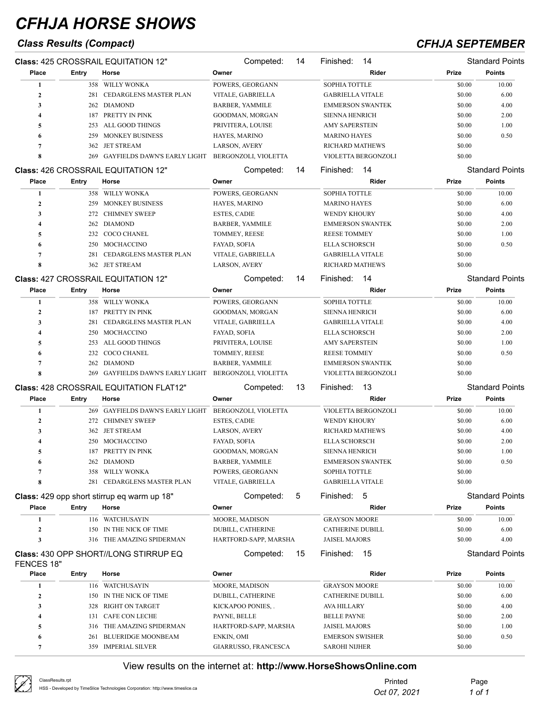## *Class Results (Compact) CFHJA SEPTEMBER*

|                  |              | Class: 425 CROSSRAIL EQUITATION 12"            | Competed:                | 14 | Finished:<br>14         |        | <b>Standard Points</b> |
|------------------|--------------|------------------------------------------------|--------------------------|----|-------------------------|--------|------------------------|
| Place            | Entry        | Horse                                          | Owner                    |    | Rider                   | Prize  | Points                 |
| 1                |              | 358 WILLY WONKA                                | POWERS, GEORGANN         |    | SOPHIA TOTTLE           | \$0.00 | 10.00                  |
| $\mathbf{2}$     | 281          | CEDARGLENS MASTER PLAN                         | VITALE, GABRIELLA        |    | <b>GABRIELLA VITALE</b> | \$0.00 | 6.00                   |
| 3                |              | 262 DIAMOND                                    | <b>BARBER, YAMMILE</b>   |    | <b>EMMERSON SWANTEK</b> | \$0.00 | 4.00                   |
| 4                | 187          | PRETTY IN PINK                                 | GOODMAN, MORGAN          |    | <b>SIENNA HENRICH</b>   | \$0.00 | 2.00                   |
| 5                | 253          | ALL GOOD THINGS                                | PRIVITERA, LOUISE        |    | <b>AMY SAPERSTEIN</b>   | \$0.00 | 1.00                   |
| 6                | 259          | <b>MONKEY BUSINESS</b>                         | HAYES, MARINO            |    | <b>MARINO HAYES</b>     | \$0.00 | 0.50                   |
| 7                | 362          | <b>JET STREAM</b>                              | LARSON, AVERY            |    | <b>RICHARD MATHEWS</b>  | \$0.00 |                        |
| 8                | 269          | <b>GAYFIELDS DAWN'S EARLY LIGHT</b>            | BERGONZOLI, VIOLETTA     |    | VIOLETTA BERGONZOLI     | \$0.00 |                        |
|                  |              | <b>Class: 426 CROSSRAIL EQUITATION 12"</b>     | Competed:                | 14 | 14<br>Finished:         |        | <b>Standard Points</b> |
| Place            | Entry        | Horse                                          | Owner                    |    | Rider                   | Prize  | Points                 |
| 1                |              | 358 WILLY WONKA                                | POWERS, GEORGANN         |    | SOPHIA TOTTLE           | \$0.00 | 10.00                  |
| $\mathbf{2}$     | 259          | <b>MONKEY BUSINESS</b>                         | HAYES, MARINO            |    | <b>MARINO HAYES</b>     | \$0.00 | 6.00                   |
| 3                |              | 272 CHIMNEY SWEEP                              | <b>ESTES, CADIE</b>      |    | WENDY KHOURY            | \$0.00 | 4.00                   |
| 4                |              | 262 DIAMOND                                    | <b>BARBER, YAMMILE</b>   |    | <b>EMMERSON SWANTEK</b> | \$0.00 | 2.00                   |
| 5                |              | 232 COCO CHANEL                                | TOMMEY, REESE            |    | <b>REESE TOMMEY</b>     | \$0.00 | 1.00                   |
| 6                | 250          | MOCHACCINO                                     | FAYAD, SOFIA             |    | <b>ELLA SCHORSCH</b>    | \$0.00 | 0.50                   |
| 7                | 281          | CEDARGLENS MASTER PLAN                         | VITALE, GABRIELLA        |    | <b>GABRIELLA VITALE</b> | \$0.00 |                        |
| 8                |              | 362 JET STREAM                                 | <b>LARSON, AVERY</b>     |    | <b>RICHARD MATHEWS</b>  | \$0.00 |                        |
|                  |              | Class: 427 CROSSRAIL EQUITATION 12"            | Competed:                | 14 | 14<br>Finished:         |        | <b>Standard Points</b> |
| Place            | <b>Entry</b> | Horse                                          | Owner                    |    | Rider                   | Prize  | <b>Points</b>          |
|                  |              |                                                |                          |    |                         |        |                        |
| 1                | 358          | WILLY WONKA                                    | POWERS, GEORGANN         |    | SOPHIA TOTTLE           | \$0.00 | 10.00                  |
| $\boldsymbol{2}$ | 187          | PRETTY IN PINK                                 | GOODMAN, MORGAN          |    | <b>SIENNA HENRICH</b>   | \$0.00 | 6.00                   |
| 3                | 281          | CEDARGLENS MASTER PLAN                         | VITALE, GABRIELLA        |    | <b>GABRIELLA VITALE</b> | \$0.00 | 4.00                   |
| 4                | 250          | MOCHACCINO                                     | FAYAD, SOFIA             |    | <b>ELLA SCHORSCH</b>    | \$0.00 | 2.00                   |
| 5                | 253          | ALL GOOD THINGS                                | PRIVITERA, LOUISE        |    | <b>AMY SAPERSTEIN</b>   | \$0.00 | 1.00                   |
| 6                | 232          | COCO CHANEL                                    | TOMMEY, REESE            |    | REESE TOMMEY            | \$0.00 | 0.50                   |
| 7                | 262          | <b>DIAMOND</b>                                 | <b>BARBER, YAMMILE</b>   |    | <b>EMMERSON SWANTEK</b> | \$0.00 |                        |
| 8                |              | 269 GAYFIELDS DAWN'S EARLY LIGHT               | BERGONZOLI, VIOLETTA     |    | VIOLETTA BERGONZOLI     | \$0.00 |                        |
|                  |              | <b>Class: 428 CROSSRAIL EQUITATION FLAT12"</b> | Competed:                | 13 | 13<br>Finished:         |        | <b>Standard Points</b> |
| Place            | <b>Entry</b> | Horse                                          | Owner                    |    | Rider                   | Prize  | <b>Points</b>          |
| 1                | 269          | <b>GAYFIELDS DAWN'S EARLY LIGHT</b>            | BERGONZOLI, VIOLETTA     |    | VIOLETTA BERGONZOLI     | \$0.00 | 10.00                  |
| $\mathbf{2}$     | 272          | <b>CHIMNEY SWEEP</b>                           | <b>ESTES, CADIE</b>      |    | WENDY KHOURY            | \$0.00 | 6.00                   |
| 3                | 362          | <b>JET STREAM</b>                              | LARSON, AVERY            |    | <b>RICHARD MATHEWS</b>  | \$0.00 | 4.00                   |
| 4                | 250          | MOCHACCINO                                     | FAYAD, SOFIA             |    | <b>ELLA SCHORSCH</b>    | \$0.00 | 2.00                   |
| 5                |              | 187 PRETTY IN PINK                             | GOODMAN, MORGAN          |    | <b>SIENNA HENRICH</b>   | \$0.00 | 1.00                   |
| 6                |              | 262 DIAMOND                                    | BARBER, YAMMILE          |    | <b>EMMERSON SWANTEK</b> | \$0.00 | 0.50                   |
| $\overline{7}$   |              | 358 WILLY WONKA                                | POWERS, GEORGANN         |    | SOPHIA TOTTLE           | \$0.00 |                        |
| 8                |              | 281 CEDARGLENS MASTER PLAN                     | VITALE, GABRIELLA        |    | <b>GABRIELLA VITALE</b> | \$0.00 |                        |
|                  |              | Class: 429 opp short stirrup eq warm up 18"    | Competed:                | 5  | Finished: 5             |        | <b>Standard Points</b> |
| Place            | Entry        | Horse                                          | Owner                    |    | Rider                   | Prize  | <b>Points</b>          |
| 1                |              | 116 WATCHUSAYIN                                | MOORE, MADISON           |    | <b>GRAYSON MOORE</b>    | \$0.00 | 10.00                  |
| $\boldsymbol{2}$ | 150          | IN THE NICK OF TIME                            | <b>DUBILL, CATHERINE</b> |    | <b>CATHERINE DUBILL</b> | \$0.00 | 6.00                   |
| 3                |              | 316 THE AMAZING SPIDERMAN                      | HARTFORD-SAPP, MARSHA    |    | <b>JAISEL MAJORS</b>    | \$0.00 | 4.00                   |
|                  |              | <b>Class: 430 OPP SHORT//LONG STIRRUP EQ</b>   | Competed:                | 15 | Finished:<br>- 15       |        | <b>Standard Points</b> |
| FENCES 18"       |              |                                                |                          |    |                         |        |                        |
| Place            | Entry        | Horse                                          | Owner                    |    | Rider                   | Prize  | <b>Points</b>          |
| 1                | 116          | WATCHUSAYIN                                    | MOORE, MADISON           |    | <b>GRAYSON MOORE</b>    | \$0.00 | 10.00                  |
| $\boldsymbol{2}$ | 150          | IN THE NICK OF TIME                            | DUBILL, CATHERINE        |    | <b>CATHERINE DUBILL</b> | \$0.00 | 6.00                   |
| 3                | 328          | <b>RIGHT ON TARGET</b>                         | KICKAPOO PONIES,.        |    | AVA HILLARY             | \$0.00 | 4.00                   |
| 4                | 131          | CAFE CON LECHE                                 | PAYNE, BELLE             |    | <b>BELLE PAYNE</b>      | \$0.00 | 2.00                   |
| 5                | 316          | THE AMAZING SPIDERMAN                          | HARTFORD-SAPP, MARSHA    |    | <b>JAISEL MAJORS</b>    | \$0.00 | 1.00                   |
| 6                | 261          | <b>BLUERIDGE MOONBEAM</b>                      | ENKIN, OMI               |    | <b>EMERSON SWISHER</b>  | \$0.00 | 0.50                   |
| 7                |              | 359 IMPERIAL SILVER                            | GIARRUSSO, FRANCESCA     |    | <b>SAROHI NIJHER</b>    | \$0.00 |                        |

 $\oslash$ 

| ClassResults.rpt                                                               | Printed      | Page   |
|--------------------------------------------------------------------------------|--------------|--------|
| HSS - Developed by TimeSlice Technologies Corporation: http://www.timeslice.ca | Oct 07, 2021 | 1 of 1 |
|                                                                                |              |        |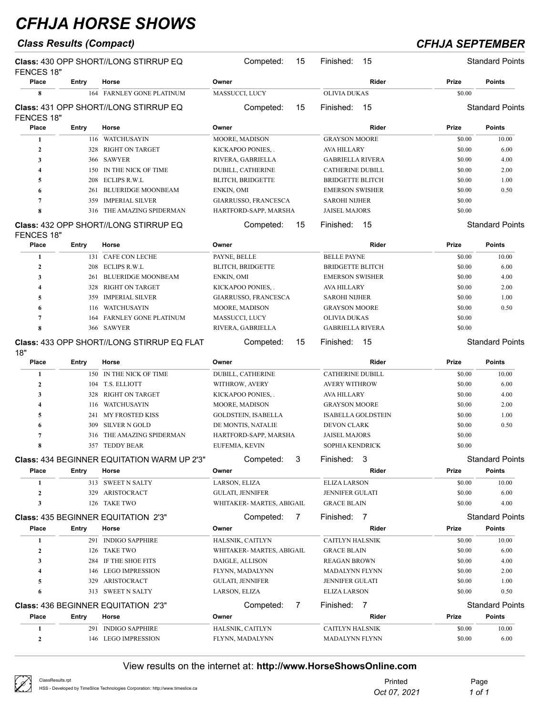## *Class Results (Compact) CFHJA SEPTEMBER*

| 15<br>HARTFORD-SAPP, MARSHA<br>15<br>15 | Rider<br><b>OLIVIA DUKAS</b><br>Finished:<br>15<br>Rider<br><b>GRAYSON MOORE</b><br><b>AVA HILLARY</b><br><b>GABRIELLA RIVERA</b><br><b>CATHERINE DUBILL</b><br><b>BRIDGETTE BLITCH</b><br><b>EMERSON SWISHER</b><br><b>SAROHI NIJHER</b><br><b>JAISEL MAJORS</b><br>Finished:<br>15<br>Rider<br><b>BELLE PAYNE</b><br><b>BRIDGETTE BLITCH</b><br><b>EMERSON SWISHER</b><br>AVA HILLARY<br><b>SAROHI NIJHER</b><br><b>GRAYSON MOORE</b><br>OLIVIA DUKAS<br><b>GABRIELLA RIVERA</b><br>Finished:<br>-15 | Prize<br>\$0.00<br>Prize<br>\$0.00<br>\$0.00<br>\$0.00<br>\$0.00<br>\$0.00<br>\$0.00<br>\$0.00<br>\$0.00<br>Prize<br>\$0.00<br>\$0.00<br>\$0.00<br>\$0.00<br>\$0.00<br>\$0.00<br>\$0.00<br>\$0.00 | <b>Points</b><br>Standard Points<br><b>Points</b><br>10.00<br>6.00<br>4.00<br>2.00<br>1.00<br>0.50<br>Standard Points<br><b>Points</b><br>10.00<br>6.00<br>4.00<br>2.00<br>1.00<br>0.50<br><b>Standard Points</b> |
|-----------------------------------------|--------------------------------------------------------------------------------------------------------------------------------------------------------------------------------------------------------------------------------------------------------------------------------------------------------------------------------------------------------------------------------------------------------------------------------------------------------------------------------------------------------|---------------------------------------------------------------------------------------------------------------------------------------------------------------------------------------------------|-------------------------------------------------------------------------------------------------------------------------------------------------------------------------------------------------------------------|
|                                         |                                                                                                                                                                                                                                                                                                                                                                                                                                                                                                        |                                                                                                                                                                                                   |                                                                                                                                                                                                                   |
|                                         |                                                                                                                                                                                                                                                                                                                                                                                                                                                                                                        |                                                                                                                                                                                                   |                                                                                                                                                                                                                   |
|                                         |                                                                                                                                                                                                                                                                                                                                                                                                                                                                                                        |                                                                                                                                                                                                   |                                                                                                                                                                                                                   |
|                                         |                                                                                                                                                                                                                                                                                                                                                                                                                                                                                                        |                                                                                                                                                                                                   |                                                                                                                                                                                                                   |
|                                         |                                                                                                                                                                                                                                                                                                                                                                                                                                                                                                        |                                                                                                                                                                                                   |                                                                                                                                                                                                                   |
|                                         |                                                                                                                                                                                                                                                                                                                                                                                                                                                                                                        |                                                                                                                                                                                                   |                                                                                                                                                                                                                   |
|                                         |                                                                                                                                                                                                                                                                                                                                                                                                                                                                                                        |                                                                                                                                                                                                   |                                                                                                                                                                                                                   |
|                                         |                                                                                                                                                                                                                                                                                                                                                                                                                                                                                                        |                                                                                                                                                                                                   |                                                                                                                                                                                                                   |
|                                         |                                                                                                                                                                                                                                                                                                                                                                                                                                                                                                        |                                                                                                                                                                                                   |                                                                                                                                                                                                                   |
|                                         |                                                                                                                                                                                                                                                                                                                                                                                                                                                                                                        |                                                                                                                                                                                                   |                                                                                                                                                                                                                   |
|                                         |                                                                                                                                                                                                                                                                                                                                                                                                                                                                                                        |                                                                                                                                                                                                   |                                                                                                                                                                                                                   |
|                                         |                                                                                                                                                                                                                                                                                                                                                                                                                                                                                                        |                                                                                                                                                                                                   |                                                                                                                                                                                                                   |
|                                         |                                                                                                                                                                                                                                                                                                                                                                                                                                                                                                        |                                                                                                                                                                                                   |                                                                                                                                                                                                                   |
|                                         |                                                                                                                                                                                                                                                                                                                                                                                                                                                                                                        |                                                                                                                                                                                                   |                                                                                                                                                                                                                   |
|                                         |                                                                                                                                                                                                                                                                                                                                                                                                                                                                                                        |                                                                                                                                                                                                   |                                                                                                                                                                                                                   |
|                                         |                                                                                                                                                                                                                                                                                                                                                                                                                                                                                                        |                                                                                                                                                                                                   |                                                                                                                                                                                                                   |
|                                         |                                                                                                                                                                                                                                                                                                                                                                                                                                                                                                        |                                                                                                                                                                                                   |                                                                                                                                                                                                                   |
|                                         |                                                                                                                                                                                                                                                                                                                                                                                                                                                                                                        |                                                                                                                                                                                                   |                                                                                                                                                                                                                   |
|                                         |                                                                                                                                                                                                                                                                                                                                                                                                                                                                                                        |                                                                                                                                                                                                   |                                                                                                                                                                                                                   |
|                                         |                                                                                                                                                                                                                                                                                                                                                                                                                                                                                                        |                                                                                                                                                                                                   |                                                                                                                                                                                                                   |
|                                         |                                                                                                                                                                                                                                                                                                                                                                                                                                                                                                        |                                                                                                                                                                                                   |                                                                                                                                                                                                                   |
|                                         |                                                                                                                                                                                                                                                                                                                                                                                                                                                                                                        |                                                                                                                                                                                                   |                                                                                                                                                                                                                   |
|                                         |                                                                                                                                                                                                                                                                                                                                                                                                                                                                                                        |                                                                                                                                                                                                   |                                                                                                                                                                                                                   |
|                                         | Rider                                                                                                                                                                                                                                                                                                                                                                                                                                                                                                  | Prize                                                                                                                                                                                             | <b>Points</b>                                                                                                                                                                                                     |
|                                         | <b>CATHERINE DUBILL</b>                                                                                                                                                                                                                                                                                                                                                                                                                                                                                | \$0.00                                                                                                                                                                                            | 10.00                                                                                                                                                                                                             |
|                                         | <b>AVERY WITHROW</b>                                                                                                                                                                                                                                                                                                                                                                                                                                                                                   | \$0.00                                                                                                                                                                                            | 6.00                                                                                                                                                                                                              |
|                                         | AVA HILLARY                                                                                                                                                                                                                                                                                                                                                                                                                                                                                            | \$0.00                                                                                                                                                                                            | 4.00                                                                                                                                                                                                              |
|                                         | <b>GRAYSON MOORE</b>                                                                                                                                                                                                                                                                                                                                                                                                                                                                                   | \$0.00                                                                                                                                                                                            | 2.00                                                                                                                                                                                                              |
|                                         | <b>ISABELLA GOLDSTEIN</b>                                                                                                                                                                                                                                                                                                                                                                                                                                                                              | \$0.00                                                                                                                                                                                            | 1.00                                                                                                                                                                                                              |
|                                         | DEVON CLARK                                                                                                                                                                                                                                                                                                                                                                                                                                                                                            | \$0.00                                                                                                                                                                                            | 0.50                                                                                                                                                                                                              |
|                                         | <b>JAISEL MAJORS</b>                                                                                                                                                                                                                                                                                                                                                                                                                                                                                   | \$0.00                                                                                                                                                                                            |                                                                                                                                                                                                                   |
|                                         | <b>SOPHIA KENDRICK</b>                                                                                                                                                                                                                                                                                                                                                                                                                                                                                 | \$0.00                                                                                                                                                                                            |                                                                                                                                                                                                                   |
|                                         | Finished:<br>3                                                                                                                                                                                                                                                                                                                                                                                                                                                                                         |                                                                                                                                                                                                   | <b>Standard Points</b>                                                                                                                                                                                            |
|                                         | Rider                                                                                                                                                                                                                                                                                                                                                                                                                                                                                                  | Prize                                                                                                                                                                                             | <b>Points</b>                                                                                                                                                                                                     |
|                                         | <b>ELIZA LARSON</b>                                                                                                                                                                                                                                                                                                                                                                                                                                                                                    | \$0.00                                                                                                                                                                                            | 10.00                                                                                                                                                                                                             |
|                                         | JENNIFER GULATI                                                                                                                                                                                                                                                                                                                                                                                                                                                                                        | \$0.00                                                                                                                                                                                            | 6.00                                                                                                                                                                                                              |
|                                         | <b>GRACE BLAIN</b>                                                                                                                                                                                                                                                                                                                                                                                                                                                                                     | \$0.00                                                                                                                                                                                            | 4.00                                                                                                                                                                                                              |
|                                         | Finished: 7                                                                                                                                                                                                                                                                                                                                                                                                                                                                                            |                                                                                                                                                                                                   | <b>Standard Points</b>                                                                                                                                                                                            |
|                                         | Rider                                                                                                                                                                                                                                                                                                                                                                                                                                                                                                  | Prize                                                                                                                                                                                             | <b>Points</b>                                                                                                                                                                                                     |
|                                         |                                                                                                                                                                                                                                                                                                                                                                                                                                                                                                        |                                                                                                                                                                                                   | 10.00                                                                                                                                                                                                             |
|                                         |                                                                                                                                                                                                                                                                                                                                                                                                                                                                                                        |                                                                                                                                                                                                   | 6.00                                                                                                                                                                                                              |
|                                         |                                                                                                                                                                                                                                                                                                                                                                                                                                                                                                        |                                                                                                                                                                                                   | 4.00                                                                                                                                                                                                              |
|                                         |                                                                                                                                                                                                                                                                                                                                                                                                                                                                                                        |                                                                                                                                                                                                   | 2.00                                                                                                                                                                                                              |
|                                         |                                                                                                                                                                                                                                                                                                                                                                                                                                                                                                        |                                                                                                                                                                                                   | 1.00                                                                                                                                                                                                              |
|                                         |                                                                                                                                                                                                                                                                                                                                                                                                                                                                                                        |                                                                                                                                                                                                   | 0.50                                                                                                                                                                                                              |
|                                         |                                                                                                                                                                                                                                                                                                                                                                                                                                                                                                        |                                                                                                                                                                                                   | <b>Standard Points</b>                                                                                                                                                                                            |
|                                         |                                                                                                                                                                                                                                                                                                                                                                                                                                                                                                        |                                                                                                                                                                                                   | Points                                                                                                                                                                                                            |
|                                         |                                                                                                                                                                                                                                                                                                                                                                                                                                                                                                        |                                                                                                                                                                                                   | 10.00                                                                                                                                                                                                             |
|                                         |                                                                                                                                                                                                                                                                                                                                                                                                                                                                                                        |                                                                                                                                                                                                   | 6.00                                                                                                                                                                                                              |
|                                         | HARTFORD-SAPP, MARSHA<br>3<br>WHITAKER- MARTES, ABIGAIL<br>7<br>WHITAKER- MARTES, ABIGAIL<br>7                                                                                                                                                                                                                                                                                                                                                                                                         | CAITLYN HALSNIK<br><b>GRACE BLAIN</b><br><b>REAGAN BROWN</b><br>MADALYNN FLYNN<br>JENNIFER GULATI<br><b>ELIZA LARSON</b><br>Finished: 7<br>Rider<br>CAITLYN HALSNIK                               | \$0.00<br>\$0.00<br>\$0.00<br>\$0.00<br>\$0.00<br>\$0.00<br>Prize<br>\$0.00<br>\$0.00<br>MADALYNN FLYNN                                                                                                           |

| $\oslash$ | ClassResults.rpt                                                               | Printed      | Page   |
|-----------|--------------------------------------------------------------------------------|--------------|--------|
|           | HSS - Developed by TimeSlice Technologies Corporation: http://www.timeslice.ca | Oct 07, 2021 | 1 of 1 |
|           |                                                                                |              |        |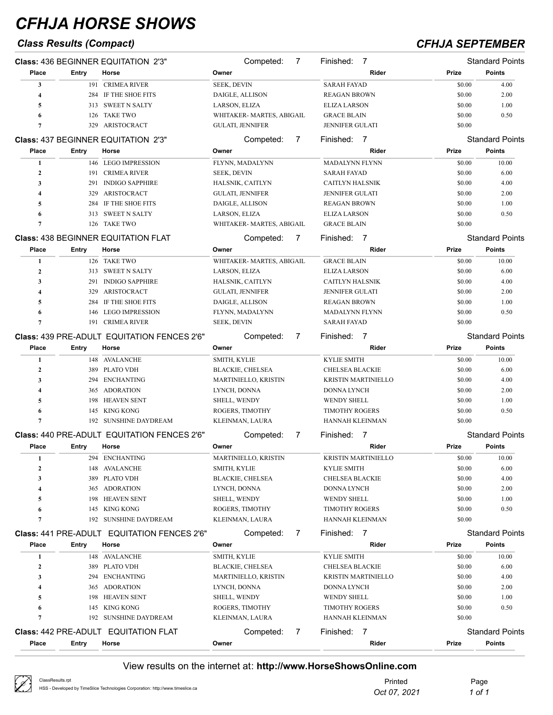## *Class Results (Compact) CFHJA SEPTEMBER*

|                  |       | <b>Class: 436 BEGINNER EQUITATION 2'3"</b>         | Competed:                   | 7              | Finished:<br>7                              |        | <b>Standard Points</b> |
|------------------|-------|----------------------------------------------------|-----------------------------|----------------|---------------------------------------------|--------|------------------------|
| Place            | Entry | Horse                                              | Owner                       |                | Rider                                       | Prize  | <b>Points</b>          |
| 3                |       | 191 CRIMEA RIVER                                   | <b>SEEK, DEVIN</b>          |                | <b>SARAH FAYAD</b>                          | \$0.00 | 4.00                   |
| 4                | 284   | IF THE SHOE FITS                                   | DAIGLE, ALLISON             |                | <b>REAGAN BROWN</b>                         | \$0.00 | 2.00                   |
| 5                | 313   | <b>SWEET N SALTY</b>                               | LARSON, ELIZA               |                | <b>ELIZA LARSON</b>                         | \$0.00 | 1.00                   |
| 6                | 126   | <b>TAKE TWO</b>                                    | WHITAKER- MARTES, ABIGAIL   |                | <b>GRACE BLAIN</b>                          | \$0.00 | 0.50                   |
| 7                | 329   | ARISTOCRACT                                        | GULATI, JENNIFER            |                | <b>JENNIFER GULATI</b>                      | \$0.00 |                        |
|                  |       | <b>Class: 437 BEGINNER EQUITATION 2'3"</b>         | Competed:                   | 7              | Finished:<br>$\overline{7}$                 |        | <b>Standard Points</b> |
| <b>Place</b>     | Entry | Horse                                              | Owner                       |                | Rider                                       | Prize  | <b>Points</b>          |
| 1                |       | 146 LEGO IMPRESSION                                | FLYNN, MADALYNN             |                | <b>MADALYNN FLYNN</b>                       | \$0.00 | 10.00                  |
| $\mathbf{2}$     | 191   | <b>CRIMEA RIVER</b>                                | <b>SEEK, DEVIN</b>          |                | <b>SARAH FAYAD</b>                          | \$0.00 | 6.00                   |
| 3                | 291   | <b>INDIGO SAPPHIRE</b>                             | HALSNIK, CAITLYN            |                | <b>CAITLYN HALSNIK</b>                      | \$0.00 | 4.00                   |
| 4                | 329   | ARISTOCRACT                                        | <b>GULATI, JENNIFER</b>     |                | <b>JENNIFER GULATI</b>                      | \$0.00 | 2.00                   |
| 5                | 284   | IF THE SHOE FITS                                   | DAIGLE, ALLISON             |                | <b>REAGAN BROWN</b>                         | \$0.00 | 1.00                   |
| 6                | 313   | <b>SWEET N SALTY</b>                               | LARSON, ELIZA               |                | <b>ELIZA LARSON</b>                         | \$0.00 | 0.50                   |
| 7                | 126   | <b>TAKE TWO</b>                                    | WHITAKER- MARTES, ABIGAIL   |                | <b>GRACE BLAIN</b>                          | \$0.00 |                        |
|                  |       | <b>Class: 438 BEGINNER EQUITATION FLAT</b>         | Competed:                   | 7              | Finished:<br>$\overline{7}$                 |        | <b>Standard Points</b> |
| Place            | Entry | Horse                                              | Owner                       |                | Rider                                       | Prize  | <b>Points</b>          |
| 1                |       | 126 TAKE TWO                                       | WHITAKER-MARTES, ABIGAIL    |                | <b>GRACE BLAIN</b>                          | \$0.00 | 10.00                  |
| $\mathbf{2}$     | 313   | <b>SWEET N SALTY</b>                               | LARSON, ELIZA               |                | <b>ELIZA LARSON</b>                         | \$0.00 | 6.00                   |
| 3                | 291   | <b>INDIGO SAPPHIRE</b>                             | HALSNIK, CAITLYN            |                | CAITLYN HALSNIK                             | \$0.00 | 4.00                   |
| 4                | 329   | ARISTOCRACT                                        | <b>GULATI, JENNIFER</b>     |                | JENNIFER GULATI                             | \$0.00 | 2.00                   |
| 5                | 284   | IF THE SHOE FITS                                   | DAIGLE, ALLISON             |                | <b>REAGAN BROWN</b>                         | \$0.00 | 1.00                   |
| 6                | 146   | <b>LEGO IMPRESSION</b>                             | FLYNN, MADALYNN             |                | <b>MADALYNN FLYNN</b>                       | \$0.00 | 0.50                   |
| 7                | 191   | <b>CRIMEA RIVER</b>                                | <b>SEEK, DEVIN</b>          |                | <b>SARAH FAYAD</b>                          | \$0.00 |                        |
|                  |       | Class: 439 PRE-ADULT EQUITATION FENCES 2'6"        | Competed:                   | 7              | Finished:<br>$\overline{7}$                 |        | <b>Standard Points</b> |
| Place            | Entry | Horse                                              | Owner                       |                | Rider                                       | Prize  | <b>Points</b>          |
|                  |       |                                                    |                             |                |                                             |        |                        |
| 1                | 148   | AVALANCHE                                          | SMITH, KYLIE                |                | <b>KYLIE SMITH</b>                          | \$0.00 | 10.00                  |
| $\mathbf{2}$     | 389   | <b>PLATO VDH</b>                                   | <b>BLACKIE, CHELSEA</b>     |                | <b>CHELSEA BLACKIE</b>                      | \$0.00 | 6.00                   |
| 3                | 294   | <b>ENCHANTING</b>                                  | <b>MARTINIELLO, KRISTIN</b> |                | <b>KRISTIN MARTINIELLO</b>                  | \$0.00 | 4.00                   |
| 4                | 365   | <b>ADORATION</b>                                   | LYNCH, DONNA                |                | <b>DONNA LYNCH</b>                          | \$0.00 | 2.00                   |
| 5                | 198   | <b>HEAVEN SENT</b>                                 | SHELL, WENDY                |                | <b>WENDY SHELL</b><br><b>TIMOTHY ROGERS</b> | \$0.00 | 1.00                   |
| 6                | 145   | <b>KING KONG</b>                                   | ROGERS, TIMOTHY             |                |                                             | \$0.00 | 0.50                   |
| 7                | 192   | <b>SUNSHINE DAYDREAM</b>                           | KLEINMAN, LAURA             |                | HANNAH KLEINMAN                             | \$0.00 |                        |
|                  |       | <b>Class: 440 PRE-ADULT EQUITATION FENCES 2'6"</b> | Competed:                   | 7              | Finished:<br>$\overline{7}$                 |        | <b>Standard Points</b> |
| Place            | Entry | Horse                                              | Owner                       |                | Rider                                       | Prize  | <b>Points</b>          |
| 1                |       | 294 ENCHANTING                                     | MARTINIELLO, KRISTIN        |                | KRISTIN MARTINIELLO                         | \$0.00 | 10.00                  |
| $\boldsymbol{2}$ |       | 148 AVALANCHE                                      | SMITH, KYLIE                |                | KYLIE SMITH                                 | \$0.00 | 6.00                   |
| 3                | 389   | <b>PLATO VDH</b>                                   | <b>BLACKIE, CHELSEA</b>     |                | <b>CHELSEA BLACKIE</b>                      | \$0.00 | 4.00                   |
| 4                | 365   | ADORATION                                          | LYNCH, DONNA                |                | <b>DONNA LYNCH</b>                          | \$0.00 | 2.00                   |
| 5                | 198   | <b>HEAVEN SENT</b>                                 | SHELL, WENDY                |                | <b>WENDY SHELL</b>                          | \$0.00 | 1.00                   |
| 6                |       | 145 KING KONG                                      | ROGERS, TIMOTHY             |                | <b>TIMOTHY ROGERS</b>                       | \$0.00 | 0.50                   |
| 7                |       | 192 SUNSHINE DAYDREAM                              | KLEINMAN, LAURA             |                | HANNAH KLEINMAN                             | \$0.00 |                        |
|                  |       | <b>Class: 441 PRE-ADULT EQUITATION FENCES 2'6"</b> | Competed:                   | 7              | Finished: 7                                 |        | <b>Standard Points</b> |
| Place            | Entry | Horse                                              | Owner                       |                | Rider                                       | Prize  | <b>Points</b>          |
| 1                |       | 148 AVALANCHE                                      | SMITH, KYLIE                |                | <b>KYLIE SMITH</b>                          | \$0.00 | 10.00                  |
| $\boldsymbol{2}$ |       | 389 PLATO VDH                                      | <b>BLACKIE, CHELSEA</b>     |                | <b>CHELSEA BLACKIE</b>                      | \$0.00 | 6.00                   |
| 3                | 294   | <b>ENCHANTING</b>                                  | <b>MARTINIELLO, KRISTIN</b> |                | <b>KRISTIN MARTINIELLO</b>                  | \$0.00 | 4.00                   |
| 4                | 365   | ADORATION                                          | LYNCH, DONNA                |                | DONNA LYNCH                                 | \$0.00 | 2.00                   |
| 5                | 198   | <b>HEAVEN SENT</b>                                 | SHELL, WENDY                |                | <b>WENDY SHELL</b>                          | \$0.00 | 1.00                   |
| 6                | 145   | KING KONG                                          | ROGERS, TIMOTHY             |                | <b>TIMOTHY ROGERS</b>                       | \$0.00 | 0.50                   |
| 7                |       | 192 SUNSHINE DAYDREAM                              | KLEINMAN, LAURA             |                | HANNAH KLEINMAN                             | \$0.00 |                        |
|                  |       | <b>Class: 442 PRE-ADULT EQUITATION FLAT</b>        | Competed:                   | $\overline{7}$ | Finished: 7                                 |        | <b>Standard Points</b> |
| <b>Place</b>     | Entry | Horse                                              | Owner                       |                | Rider                                       | Prize  | <b>Points</b>          |
|                  |       |                                                    |                             |                |                                             |        |                        |

| ClassResults.rpt<br>HSS - Developed by TimeSlice Technologies Corporation: http://www.timeslice.ca | Printed      | Page   |
|----------------------------------------------------------------------------------------------------|--------------|--------|
|                                                                                                    | Oct 07, 2021 | 1 of 1 |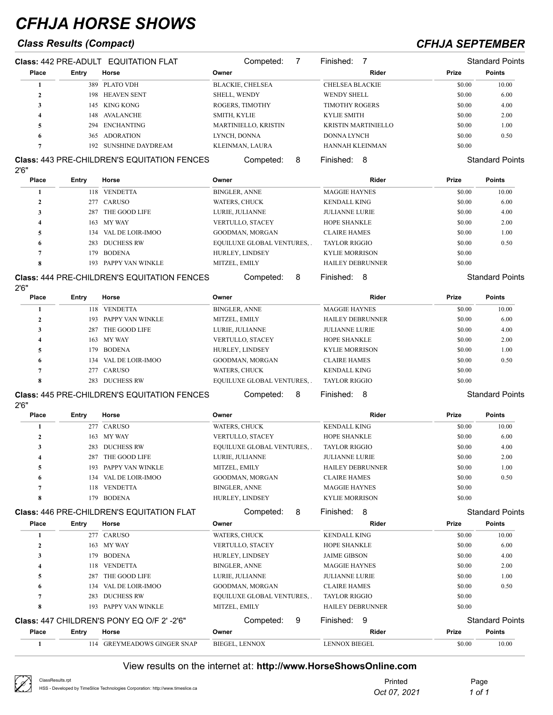## *Class Results (Compact) CFHJA SEPTEMBER*

| <b>Class: 442 PRE-ADULT EQUITATION FLAT</b> |       | Competed:                                          | Finished:                   | <b>Standard Points</b>     |              |                        |
|---------------------------------------------|-------|----------------------------------------------------|-----------------------------|----------------------------|--------------|------------------------|
| Place                                       | Entry | Horse                                              | Owner                       | Rider                      | <b>Prize</b> | <b>Points</b>          |
|                                             | 389   | PLATO VDH                                          | <b>BLACKIE, CHELSEA</b>     | <b>CHELSEA BLACKIE</b>     | \$0.00       | 10.00                  |
| $\mathbf{2}$                                | 198   | <b>HEAVEN SENT</b>                                 | <b>SHELL, WENDY</b>         | <b>WENDY SHELL</b>         | \$0.00       | 6.00                   |
| 3                                           | 145   | KING KONG                                          | ROGERS, TIMOTHY             | <b>TIMOTHY ROGERS</b>      | \$0.00       | 4.00                   |
| 4                                           | 148   | AVALANCHE                                          | SMITH, KYLIE                | <b>KYLIE SMITH</b>         | \$0.00       | 2.00                   |
| 5                                           | 294   | <b>ENCHANTING</b>                                  | <b>MARTINIELLO, KRISTIN</b> | <b>KRISTIN MARTINIELLO</b> | \$0.00       | 1.00                   |
| 6                                           | 365   | <b>ADORATION</b>                                   | LYNCH, DONNA                | <b>DONNA LYNCH</b>         | \$0.00       | 0.50                   |
|                                             | 192.  | <b>SUNSHINE DAYDREAM</b>                           | KLEINMAN, LAURA             | HANNAH KLEINMAN            | \$0.00       |                        |
| 2'6"                                        |       | <b>Class: 443 PRE-CHILDREN'S EQUITATION FENCES</b> | 8<br>Competed:              | Finished:<br>8             |              | <b>Standard Points</b> |
| Place                                       | Entry | Horse                                              | Owner                       | Rider                      | <b>Prize</b> | <b>Points</b>          |
|                                             | 118   | <b>VENDETTA</b>                                    | <b>BINGLER, ANNE</b>        | <b>MAGGIE HAYNES</b>       | \$0.00       | 10.00                  |
| $\mathbf{2}$                                | 277   | CARUSO                                             | <b>WATERS, CHUCK</b>        | <b>KENDALL KING</b>        | \$0.00       | 6.00                   |

|                                  |      | <b>Class: 444 PRE-CHILDREN'S EQUITATION FENCES</b> |               | Competed:<br>8                   | Finished:<br>8          | <b>Standard Points</b> |      |
|----------------------------------|------|----------------------------------------------------|---------------|----------------------------------|-------------------------|------------------------|------|
| $\Omega$<br>$\ddot{\phantom{a}}$ |      | 193 PAPPY VAN WINKLE                               | MITZEL, EMILY |                                  | <b>HAILEY DEBRUNNER</b> | \$0.00                 |      |
|                                  | 179. | <b>BODENA</b>                                      |               | <b>HURLEY, LINDSEY</b>           | <b>KYLIE MORRISON</b>   | \$0.00                 |      |
| 6                                | 283  | <b>DUCHESS RW</b>                                  |               | <b>EQUILUXE GLOBAL VENTURES,</b> | <b>TAYLOR RIGGIO</b>    | \$0.00                 | 0.50 |
|                                  |      | 134 VAL DE LOIR-IMOO                               |               | <b>GOODMAN, MORGAN</b>           | <b>CLAIRE HAMES</b>     | \$0.00                 | 1.00 |
|                                  |      | 163 MY WAY                                         |               | <b>VERTULLO, STACEY</b>          | <b>HOPE SHANKLE</b>     | \$0.00                 | 2.00 |
|                                  | 287  | THE GOOD LIFE                                      |               | LURIE, JULIANNE                  | <b>JULIANNE LURIE</b>   | \$0.00                 | 4.00 |
|                                  |      | 277 CAROSO                                         | WALERS, UHUUN |                                  | KENDALL KING            | <b>SU.UU</b>           | 0.00 |

### **Class:** 444 PRE-CHILDREN'S EQUITATION FENCES

| 2'6''        |       |                                                    |                                  |                         |        |                        |
|--------------|-------|----------------------------------------------------|----------------------------------|-------------------------|--------|------------------------|
| Place        | Entry | Horse                                              | Owner                            | Rider                   | Prize  | <b>Points</b>          |
|              |       | 118 VENDETTA                                       | <b>BINGLER, ANNE</b>             | <b>MAGGIE HAYNES</b>    | \$0.00 | 10.00                  |
| $\mathbf{2}$ | 193   | PAPPY VAN WINKLE                                   | MITZEL, EMILY                    | <b>HAILEY DEBRUNNER</b> | \$0.00 | 6.00                   |
| 3            | 287   | THE GOOD LIFE                                      | LURIE, JULIANNE                  | <b>JULIANNE LURIE</b>   | \$0.00 | 4.00                   |
|              |       | 163 MY WAY                                         | <b>VERTULLO, STACEY</b>          | <b>HOPE SHANKLE</b>     | \$0.00 | 2.00                   |
|              | 179.  | <b>BODENA</b>                                      | HURLEY, LINDSEY                  | <b>KYLIE MORRISON</b>   | \$0.00 | 1.00                   |
| 0            | 134   | VAL DE LOIR-IMOO                                   | <b>GOODMAN, MORGAN</b>           | <b>CLAIRE HAMES</b>     | \$0.00 | 0.50                   |
|              |       | 277 CARUSO                                         | <b>WATERS, CHUCK</b>             | <b>KENDALL KING</b>     | \$0.00 |                        |
| 8            | 283   | <b>DUCHESS RW</b>                                  | <b>EQUILUXE GLOBAL VENTURES,</b> | <b>TAYLOR RIGGIO</b>    | \$0.00 |                        |
|              |       | <b>Class: 445 PRE-CHILDREN'S EQUITATION FENCES</b> | 8<br>Competed:                   | Finished:<br>8          |        | <b>Standard Points</b> |

### **Class:** 445 PRE-CHILDREN'S EQUITATION FENCES

| 2'6'' |       |                      |                            |                         |        |               |
|-------|-------|----------------------|----------------------------|-------------------------|--------|---------------|
| Place | Entry | Horse                | Owner                      | Rider                   | Prize  | <b>Points</b> |
|       |       | 277 CARUSO           | WATERS, CHUCK              | <b>KENDALL KING</b>     | \$0.00 | 10.00         |
|       | 163   | MY WAY               | <b>VERTULLO, STACEY</b>    | <b>HOPE SHANKLE</b>     | \$0.00 | 6.00          |
|       | 283   | <b>DUCHESS RW</b>    | EQUILUXE GLOBAL VENTURES,. | <b>TAYLOR RIGGIO</b>    | \$0.00 | 4.00          |
|       | 287   | THE GOOD LIFE        | LURIE, JULIANNE            | <b>JULIANNE LURIE</b>   | \$0.00 | 2.00          |
|       |       | 193 PAPPY VAN WINKLE | MITZEL, EMILY              | <b>HAILEY DEBRUNNER</b> | \$0.00 | 1.00          |
| 6.    | 134   | VAL DE LOIR-IMOO     | <b>GOODMAN, MORGAN</b>     | <b>CLAIRE HAMES</b>     | \$0.00 | 0.50          |
|       | 118   | <b>VENDETTA</b>      | <b>BINGLER, ANNE</b>       | <b>MAGGIE HAYNES</b>    | \$0.00 |               |
|       | 179   | <b>BODENA</b>        | HURLEY, LINDSEY            | <b>KYLIE MORRISON</b>   | \$0.00 |               |

### Class: 446 PRE-CHILDREN'S EQUITATION FLAT Competed: 8 Finished: 8 Standard Points

| Place          | Entry | Horse                                             | Owner                           | Rider                   | Prize  | <b>Points</b>          |
|----------------|-------|---------------------------------------------------|---------------------------------|-------------------------|--------|------------------------|
|                |       | 277 CARUSO                                        | <b>WATERS, CHUCK</b>            | <b>KENDALL KING</b>     | \$0.00 | 10.00                  |
| $\mathbf{2}$   |       | 163 MY WAY                                        | <b>VERTULLO, STACEY</b>         | <b>HOPE SHANKLE</b>     | \$0.00 | 6.00                   |
| 4              | 179   | <b>BODENA</b>                                     | HURLEY, LINDSEY                 | <b>JAIME GIBSON</b>     | \$0.00 | 4.00                   |
| 4              | 118   | <b>VENDETTA</b>                                   | <b>BINGLER, ANNE</b>            | <b>MAGGIE HAYNES</b>    | \$0.00 | 2.00                   |
| 5              | 287   | THE GOOD LIFE                                     | LURIE, JULIANNE                 | <b>JULIANNE LURIE</b>   | \$0.00 | 1.00                   |
| 6              | 134   | VAL DE LOIR-IMOO                                  | GOODMAN, MORGAN                 | <b>CLAIRE HAMES</b>     | \$0.00 | 0.50                   |
| $\overline{ }$ | 283   | <b>DUCHESS RW</b>                                 | <b>EQUILUXE GLOBAL VENTURES</b> | <b>TAYLOR RIGGIO</b>    | \$0.00 |                        |
| 8              | 193   | PAPPY VAN WINKLE                                  | MITZEL, EMILY                   | <b>HAILEY DEBRUNNER</b> | \$0.00 |                        |
|                |       | <b>Class: 447 CHILDREN'S PONY EQ O/F 2' -2'6"</b> | Competed:<br>9                  | Finished:<br>9          |        | <b>Standard Points</b> |
| Place          | Entry | Horse                                             | Owner                           | Rider                   | Prize  | <b>Points</b>          |
|                | 114   | <b>GREYMEADOWS GINGER SNAP</b>                    | <b>BIEGEL, LENNOX</b>           | <b>LENNOX BIEGEL</b>    | \$0.00 | 10.00                  |

| Ø<br>ClassResults.rpt<br>HSS - Developed by TimeSlice Technologies Corporation: http://www.timeslice.ca | Printed<br>Oct 07, 2021 | Page<br>1 of 1 |
|---------------------------------------------------------------------------------------------------------|-------------------------|----------------|
|---------------------------------------------------------------------------------------------------------|-------------------------|----------------|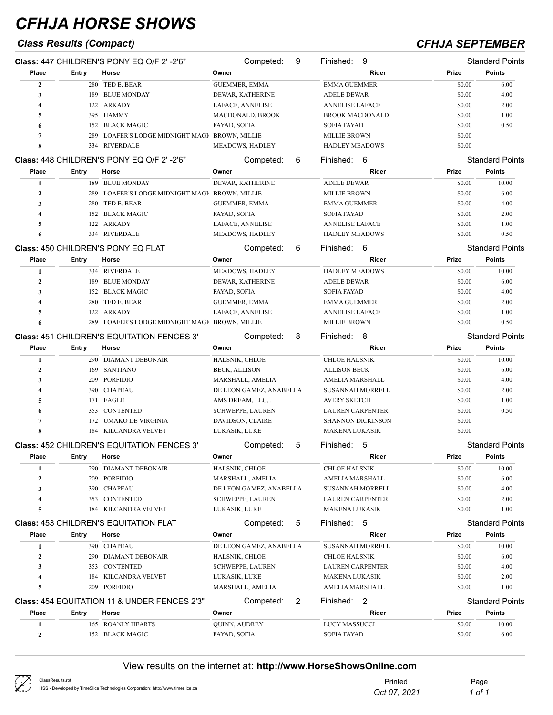## *Class Results (Compact) CFHJA SEPTEMBER*

|                  |       | Class: 447 CHILDREN'S PONY EQ O/F 2' -2'6"              | Competed:               | 9 | 9<br>Finished:           |        | <b>Standard Points</b> |
|------------------|-------|---------------------------------------------------------|-------------------------|---|--------------------------|--------|------------------------|
| Place            | Entry | Horse                                                   | Owner                   |   | Rider                    | Prize  | <b>Points</b>          |
| $\mathbf{2}$     |       | 280 TED E. BEAR                                         | <b>GUEMMER, EMMA</b>    |   | <b>EMMA GUEMMER</b>      | \$0.00 | 6.00                   |
| 3                |       | 189 BLUE MONDAY                                         | DEWAR, KATHERINE        |   | ADELE DEWAR              | \$0.00 | 4.00                   |
| 4                |       | 122 ARKADY                                              | LAFACE, ANNELISE        |   | <b>ANNELISE LAFACE</b>   | \$0.00 | 2.00                   |
| 5                |       | 395 HAMMY                                               | MACDONALD, BROOK        |   | <b>BROOK MACDONALD</b>   | \$0.00 | 1.00                   |
| 6                |       | 152 BLACK MAGIC                                         | FAYAD, SOFIA            |   | <b>SOFIA FAYAD</b>       | \$0.00 | 0.50                   |
| 7                | 289   | LOAFER'S LODGE MIDNIGHT MAGIC BROWN, MILLIE             |                         |   | <b>MILLIE BROWN</b>      | \$0.00 |                        |
| 8                |       | 334 RIVERDALE                                           | MEADOWS, HADLEY         |   | <b>HADLEY MEADOWS</b>    | \$0.00 |                        |
|                  |       | Class: 448 CHILDREN'S PONY EQ O/F 2' -2'6"              | Competed:               | 6 | Finished:<br>6           |        | <b>Standard Points</b> |
| Place            | Entry | Horse                                                   | Owner                   |   | Rider                    | Prize  | <b>Points</b>          |
| 1                |       | 189 BLUE MONDAY                                         | DEWAR, KATHERINE        |   | <b>ADELE DEWAR</b>       | \$0.00 | 10.00                  |
| $\boldsymbol{2}$ | 289   | LOAFER'S LODGE MIDNIGHT MAGI BROWN, MILLIE              |                         |   | <b>MILLIE BROWN</b>      | \$0.00 | 6.00                   |
| 3                | 280   | TED E. BEAR                                             | <b>GUEMMER, EMMA</b>    |   | <b>EMMA GUEMMER</b>      | \$0.00 | 4.00                   |
| 4                |       | 152 BLACK MAGIC                                         | FAYAD, SOFIA            |   | <b>SOFIA FAYAD</b>       | \$0.00 | 2.00                   |
| 5                |       | 122 ARKADY                                              | LAFACE, ANNELISE        |   | <b>ANNELISE LAFACE</b>   | \$0.00 | 1.00                   |
| 6                |       | 334 RIVERDALE                                           | MEADOWS, HADLEY         |   | <b>HADLEY MEADOWS</b>    | \$0.00 | 0.50                   |
|                  |       | <b>Class: 450 CHILDREN'S PONY EQ FLAT</b>               | Competed:               | 6 | Finished: 6              |        | <b>Standard Points</b> |
| Place            | Entry | Horse                                                   | Owner                   |   | Rider                    | Prize  | <b>Points</b>          |
| 1                |       | 334 RIVERDALE                                           | MEADOWS, HADLEY         |   | <b>HADLEY MEADOWS</b>    | \$0.00 | 10.00                  |
| $\boldsymbol{2}$ | 189   | BLUE MONDAY                                             | DEWAR, KATHERINE        |   | ADELE DEWAR              | \$0.00 | 6.00                   |
| 3                |       | 152 BLACK MAGIC                                         | FAYAD, SOFIA            |   | <b>SOFIA FAYAD</b>       | \$0.00 | 4.00                   |
| 4                | 280   | TED E. BEAR                                             | <b>GUEMMER, EMMA</b>    |   | <b>EMMA GUEMMER</b>      | \$0.00 | 2.00                   |
| 5                |       | 122 ARKADY                                              | LAFACE, ANNELISE        |   | <b>ANNELISE LAFACE</b>   | \$0.00 | 1.00                   |
|                  |       | 289 LOAFER'S LODGE MIDNIGHT MAGI BROWN, MILLIE          |                         |   | <b>MILLIE BROWN</b>      | \$0.00 | 0.50                   |
|                  |       | <b>Class: 451 CHILDREN'S EQUITATION FENCES 3'</b>       | Competed:               | 8 | Finished:<br>8           |        | <b>Standard Points</b> |
| Place            | Entry | Horse                                                   | Owner                   |   | Rider                    | Prize  | <b>Points</b>          |
| 1                |       | 290 DIAMANT DEBONAIR                                    | HALSNIK, CHLOE          |   | <b>CHLOE HALSNIK</b>     | \$0.00 | 10.00                  |
| 2                |       | 169 SANTIANO                                            | BECK, ALLISON           |   | <b>ALLISON BECK</b>      | \$0.00 | 6.00                   |
| 3                |       | 209 PORFIDIO                                            | MARSHALL, AMELIA        |   | AMELIA MARSHALL          | \$0.00 | 4.00                   |
| 4                | 390   | CHAPEAU                                                 | DE LEON GAMEZ, ANABELLA |   | <b>SUSANNAH MORRELL</b>  | \$0.00 | 2.00                   |
| 5                | 171   | EAGLE                                                   | AMS DREAM, LLC, .       |   | <b>AVERY SKETCH</b>      | \$0.00 | 1.00                   |
| 6                | 353   | <b>CONTENTED</b>                                        | <b>SCHWEPPE, LAUREN</b> |   | <b>LAUREN CARPENTER</b>  | \$0.00 | 0.50                   |
| 7                | 172   | UMAKO DE VIRGINIA                                       | DAVIDSON, CLAIRE        |   | <b>SHANNON DICKINSON</b> | \$0.00 |                        |
| 8                |       | 184 KILCANDRA VELVET                                    | LUKASIK, LUKE           |   | <b>MAKENA LUKASIK</b>    | \$0.00 |                        |
|                  |       | <b>Class: 452 CHILDREN'S EQUITATION FENCES 3'</b>       | Competed:               | 5 | Finished:<br>5           |        | <b>Standard Points</b> |
| Place            | Entry | Horse                                                   | Owner                   |   | Rider                    | Prize  | <b>Points</b>          |
| 1                |       | 290 DIAMANT DEBONAIR                                    | HALSNIK, CHLOE          |   | <b>CHLOE HALSNIK</b>     | \$0.00 | 10.00                  |
| 2                | 209   | PORFIDIO                                                | MARSHALL, AMELIA        |   | AMELIA MARSHALL          | \$0.00 | 6.00                   |
| 3                | 390   | <b>CHAPEAU</b>                                          | DE LEON GAMEZ, ANABELLA |   | <b>SUSANNAH MORRELL</b>  | \$0.00 | 4.00                   |
| 4                |       | 353 CONTENTED                                           | <b>SCHWEPPE, LAUREN</b> |   | <b>LAUREN CARPENTER</b>  | \$0.00 | 2.00                   |
| 5                |       | 184 KILCANDRA VELVET                                    | LUKASIK, LUKE           |   | MAKENA LUKASIK           | \$0.00 | 1.00                   |
|                  |       | <b>Class: 453 CHILDREN'S EQUITATION FLAT</b>            | Competed:               | 5 | Finished: 5              |        | <b>Standard Points</b> |
| Place            | Entry | Horse                                                   | Owner                   |   | Rider                    | Prize  | <b>Points</b>          |
| 1                |       | 390 CHAPEAU                                             | DE LEON GAMEZ, ANABELLA |   | SUSANNAH MORRELL         | \$0.00 | 10.00                  |
| $\boldsymbol{2}$ |       | 290 DIAMANT DEBONAIR                                    | HALSNIK, CHLOE          |   | <b>CHLOE HALSNIK</b>     | \$0.00 | 6.00                   |
| 3                |       | 353 CONTENTED                                           | <b>SCHWEPPE, LAUREN</b> |   | <b>LAUREN CARPENTER</b>  | \$0.00 | 4.00                   |
| 4                |       | 184 KILCANDRA VELVET                                    | LUKASIK, LUKE           |   | MAKENA LUKASIK           | \$0.00 | 2.00                   |
| 5                |       | 209 PORFIDIO                                            | MARSHALL, AMELIA        |   | AMELIA MARSHALL          | \$0.00 | 1.00                   |
|                  |       |                                                         |                         |   |                          |        |                        |
|                  |       | <b>Class: 454 EQUITATION 11 &amp; UNDER FENCES 2'3"</b> | Competed:               | 2 | Finished: 2              |        | <b>Standard Points</b> |
| Place            | Entry | Horse                                                   | Owner                   |   | Rider                    | Prize  | <b>Points</b>          |
| 1                |       | 165 ROANLY HEARTS                                       | QUINN, AUDREY           |   | LUCY MASSUCCI            | \$0.00 | 10.00                  |
| $\boldsymbol{2}$ |       | 152 BLACK MAGIC                                         | FAYAD, SOFIA            |   | <b>SOFIA FAYAD</b>       | \$0.00 | 6.00                   |

| ClassResults.rpt<br>HSS - Developed by TimeSlice Technologies Corporation: http://www.timeslice.ca | Printed      | Page   |
|----------------------------------------------------------------------------------------------------|--------------|--------|
|                                                                                                    | Oct 07, 2021 | 1 of 1 |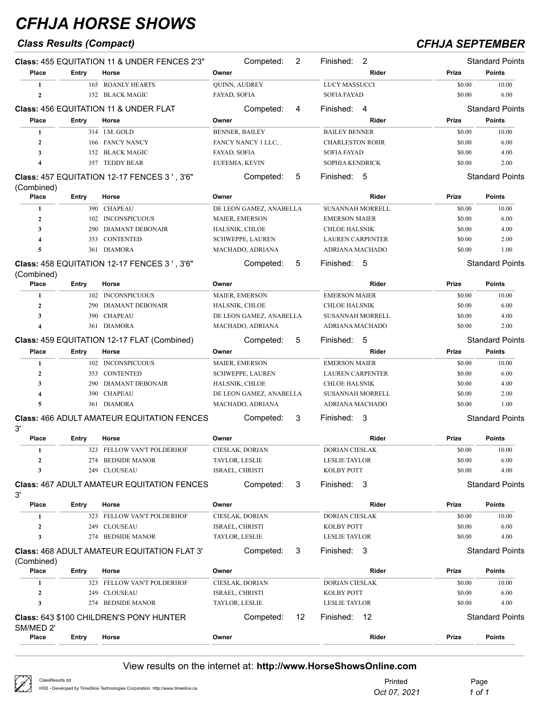## *Class Results (Compact) CFHJA SEPTEMBER*

|                         |            | <b>Class: 455 EQUITATION 11 &amp; UNDER FENCES 2'3"</b> | Competed:               | 2  | 2<br>Finished:          |                  | <b>Standard Points</b> |
|-------------------------|------------|---------------------------------------------------------|-------------------------|----|-------------------------|------------------|------------------------|
| Place                   | Entry      | Horse                                                   | Owner                   |    | Rider                   | Prize            | <b>Points</b>          |
| 1                       |            | <b>165 ROANLY HEARTS</b>                                | QUINN, AUDREY           |    | <b>LUCY MASSUCCI</b>    | \$0.00           | 10.00                  |
| $\overline{2}$          |            | 152 BLACK MAGIC                                         | FAYAD, SOFIA            |    | <b>SOFIA FAYAD</b>      | \$0.00           | 6.00                   |
|                         |            | <b>Class: 456 EQUITATION 11 &amp; UNDER FLAT</b>        | Competed:               | 4  | Finished:<br>4          |                  | <b>Standard Points</b> |
| Place                   | Entry      | Horse                                                   | Owner                   |    | Rider                   | Prize            | <b>Points</b>          |
| 1                       |            | 314 I.M. GOLD                                           | <b>BENNER, BAILEY</b>   |    | <b>BAILEY BENNER</b>    | \$0.00           | 10.00                  |
| $\overline{2}$          |            | 166 FANCY NANCY                                         | FANCY NANCY 1 LLC,.     |    | <b>CHARLESTON ROHR</b>  | \$0.00           | 6.00                   |
| 3                       | 152        | <b>BLACK MAGIC</b>                                      | FAYAD, SOFIA            |    | <b>SOFIA FAYAD</b>      | \$0.00           | 4.00                   |
| 4                       | 357        | <b>TEDDY BEAR</b>                                       | EUFEMIA, KEVIN          |    | SOPHIA KENDRICK         | \$0.00           | 2.00                   |
|                         |            |                                                         |                         |    |                         |                  |                        |
|                         |            | Class: 457 EQUITATION 12-17 FENCES 3', 3'6"             | Competed:               | 5  | Finished:<br>-5         |                  | <b>Standard Points</b> |
| (Combined)              |            |                                                         |                         |    |                         |                  |                        |
| Place                   | Entry      | Horse                                                   | Owner                   |    | Rider                   | Prize            | <b>Points</b>          |
| 1                       |            | 390 CHAPEAU                                             | DE LEON GAMEZ, ANABELLA |    | <b>SUSANNAH MORRELL</b> | \$0.00           | 10.00                  |
| $\mathbf{2}$            | 102        | <b>INCONSPICUOUS</b>                                    | <b>MAIER, EMERSON</b>   |    | <b>EMERSON MAIER</b>    | \$0.00           | 6.00                   |
| 3                       | 290        | <b>DIAMANT DEBONAIR</b>                                 | HALSNIK, CHLOE          |    | CHLOE HALSNIK           | \$0.00           | 4.00                   |
| $\overline{\mathbf{4}}$ | 353        | CONTENTED                                               | <b>SCHWEPPE, LAUREN</b> |    | LAUREN CARPENTER        | \$0.00           | 2.00                   |
| 5                       | 361        | <b>DIAMORA</b>                                          | MACHADO, ADRIANA        |    | ADRIANA MACHADO         | \$0.00           | 1.00                   |
|                         |            | Class: 458 EQUITATION 12-17 FENCES 3', 3'6"             | Competed:               | 5  | Finished: 5             |                  | <b>Standard Points</b> |
| (Combined)              |            |                                                         |                         |    |                         |                  |                        |
| Place                   | Entry      | Horse                                                   | Owner                   |    | Rider                   | Prize            | <b>Points</b>          |
| 1                       |            | 102 INCONSPICUOUS                                       | <b>MAIER, EMERSON</b>   |    | <b>EMERSON MAIER</b>    | \$0.00           | 10.00                  |
| $\mathbf{2}$            | 290        | <b>DIAMANT DEBONAIR</b>                                 | HALSNIK, CHLOE          |    | <b>CHLOE HALSNIK</b>    | \$0.00           | 6.00                   |
| 3                       | 390        | <b>CHAPEAU</b>                                          | DE LEON GAMEZ, ANABELLA |    | <b>SUSANNAH MORRELL</b> | \$0.00           | 4.00                   |
| $\overline{\mathbf{4}}$ | 361        | DIAMORA                                                 | MACHADO, ADRIANA        |    | ADRIANA MACHADO         | \$0.00           | 2.00                   |
|                         |            | Class: 459 EQUITATION 12-17 FLAT (Combined)             | Competed:               | 5  | 5<br>Finished:          |                  | <b>Standard Points</b> |
| Place                   | Entry      | Horse                                                   | Owner                   |    | Rider                   | Prize            | <b>Points</b>          |
| 1                       |            |                                                         |                         |    | <b>EMERSON MAIER</b>    |                  | 10.00                  |
| $\boldsymbol{2}$        | 353        | 102 INCONSPICUOUS<br>CONTENTED                          | <b>MAIER, EMERSON</b>   |    |                         | \$0.00<br>\$0.00 | 6.00                   |
|                         |            |                                                         | <b>SCHWEPPE, LAUREN</b> |    | <b>LAUREN CARPENTER</b> |                  |                        |
| 3                       | 290        | DIAMANT DEBONAIR                                        | HALSNIK, CHLOE          |    | CHLOE HALSNIK           | \$0.00           | 4.00                   |
| 4                       | 390        | <b>CHAPEAU</b>                                          | DE LEON GAMEZ, ANABELLA |    | <b>SUSANNAH MORRELL</b> | \$0.00           | 2.00                   |
| 5                       | 361        | DIAMORA                                                 | MACHADO, ADRIANA        |    | ADRIANA MACHADO         | \$0.00           | 1.00                   |
| 3'                      |            | <b>Class: 466 ADULT AMATEUR EQUITATION FENCES</b>       | Competed:               | 3  | Finished: 3             |                  | <b>Standard Points</b> |
| Place                   | Entry      | Horse                                                   | Owner                   |    | Rider                   | Prize            | <b>Points</b>          |
| 1                       |            | 323 FELLOW VAN'T POLDERHOF                              | CIESLAK, DORIAN         |    | DORIAN CIESLAK          | \$0.00           | 10.00                  |
| 2                       |            | 274 BEDSIDE MANOR                                       | TAYLOR, LESLIE          |    | <b>LESLIE TAYLOR</b>    | \$0.00           | 6.00                   |
| 3                       |            | 249 CLOUSEAU                                            | ISRAEL, CHRISTI         |    | KOLBY POTT              | \$0.00           | 4.00                   |
|                         |            | <b>Class: 467 ADULT AMATEUR EQUITATION FENCES</b>       | Competed:               | 3  | Finished: 3             |                  | <b>Standard Points</b> |
| 3'<br>Place             | Entry      | Horse                                                   | Owner                   |    | Rider                   | Prize            | <b>Points</b>          |
| 1                       |            | 323 FELLOW VAN'T POLDERHOF                              | CIESLAK, DORIAN         |    | DORIAN CIESLAK          | \$0.00           | 10.00                  |
|                         |            |                                                         |                         |    |                         | \$0.00           |                        |
| $\boldsymbol{2}$        | 249<br>274 | CLOUSEAU<br><b>BEDSIDE MANOR</b>                        | ISRAEL, CHRISTI         |    | KOLBY POTT              |                  | 6.00<br>4.00           |
| 3                       |            |                                                         | TAYLOR, LESLIE          |    | <b>LESLIE TAYLOR</b>    | \$0.00           |                        |
| (Combined)              |            | Class: 468 ADULT AMATEUR EQUITATION FLAT 3'             | Competed:               | 3  | Finished: 3             |                  | <b>Standard Points</b> |
| Place                   | Entry      | Horse                                                   | Owner                   |    | Rider                   | Prize            | <b>Points</b>          |
| 1                       |            | 323 FELLOW VAN'T POLDERHOF                              | CIESLAK, DORIAN         |    | <b>DORIAN CIESLAK</b>   | \$0.00           | 10.00                  |
| $\boldsymbol{2}$        | 249        | CLOUSEAU                                                | ISRAEL, CHRISTI         |    | KOLBY POTT              | \$0.00           | 6.00                   |
| 3                       |            | 274 BEDSIDE MANOR                                       | TAYLOR, LESLIE          |    | LESLIE TAYLOR           | \$0.00           | 4.00                   |
|                         |            | <b>Class: 643 \$100 CHILDREN'S PONY HUNTER</b>          | Competed:               | 12 | Finished:<br>12         |                  | <b>Standard Points</b> |
| SM/MED 2'               |            |                                                         |                         |    |                         |                  |                        |
| Place                   | Entry      | Horse                                                   | Owner                   |    | Rider                   | Prize            | <b>Points</b>          |
|                         |            |                                                         |                         |    |                         |                  |                        |

| ClassResults.rpt<br>HSS - Developed by TimeSlice Technologies Corporation: http://www.timeslice.ca | Printed      | Page   |
|----------------------------------------------------------------------------------------------------|--------------|--------|
|                                                                                                    | Oct 07, 2021 | 1 of 1 |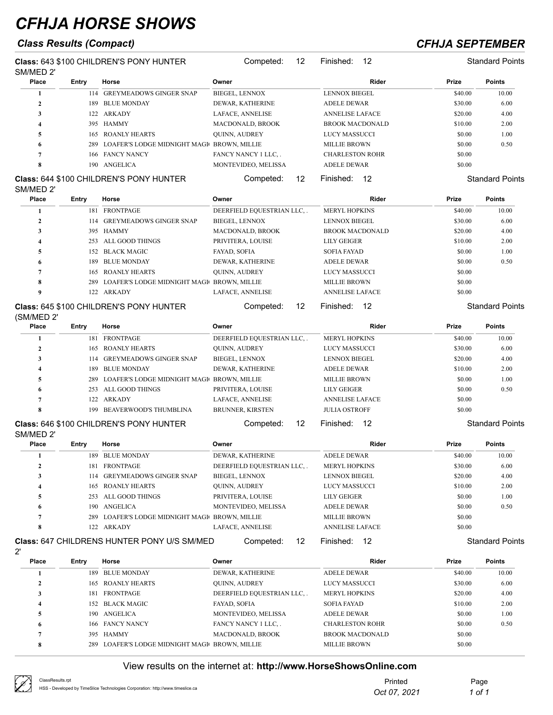## *Class Results (Compact) CFHJA SEPTEMBER*

Competed: 12 Finished: 12 Standard Points

**Class:** 643 \$100 CHILDREN'S PONY HUNTER SM/MED 2' Competed: 12 Finished: 12 Standard Points **Place Entry Horse Owner Rider Prize Points** 114 GREYMEADOWS GINGER SNAP BIEGEL, LENNOX **LENNOX BIEGEL 540.00** 10.00 189 BLUE MONDAY DEWAR, KATHERINE ADELE DEWAR \$30.00 6.00 122 ARKADY LAFACE, ANNELISE ANNELISE LAFACE \$20.00 4.00 395 HAMMY MACDONALD, BROOK BROOK MACDONALD \$10.00 2.00 165 ROANLY HEARTS QUINN, AUDREY LUCY MASSUCCI \$0.00 1.00

 166 FANCY NANCY FANCY NANCY 1 LLC, . CHARLESTON ROHR \$0.00 190 ANGELICA MONTEVIDEO, MELISSA ADELE DEWAR \$0.00

### **Class:** 644 \$100 CHILDREN'S PONY HUNTER SM/MED 2'

| <b>Place</b> | Entry | Horse                                      | Owner                      | Rider                  | Prize   | <b>Points</b>          |
|--------------|-------|--------------------------------------------|----------------------------|------------------------|---------|------------------------|
|              | 181   | <b>FRONTPAGE</b>                           | DEERFIELD EQUESTRIAN LLC,. | <b>MERYL HOPKINS</b>   | \$40.00 | 10.00                  |
|              | 114   | <b>GREYMEADOWS GINGER SNAP</b>             | <b>BIEGEL, LENNOX</b>      | <b>LENNOX BIEGEL</b>   | \$30.00 | 6.00                   |
| 3            |       | 395 HAMMY                                  | <b>MACDONALD, BROOK</b>    | <b>BROOK MACDONALD</b> | \$20.00 | 4.00                   |
| 4            | 253   | ALL GOOD THINGS                            | PRIVITERA, LOUISE          | <b>LILY GEIGER</b>     | \$10.00 | 2.00                   |
| 5            |       | 152 BLACK MAGIC                            | <b>FAYAD, SOFIA</b>        | <b>SOFIA FAYAD</b>     | \$0.00  | 1.00                   |
| 6            | 189.  | <b>BLUE MONDAY</b>                         | DEWAR, KATHERINE           | <b>ADELE DEWAR</b>     | \$0.00  | 0.50                   |
|              | 165   | <b>ROANLY HEARTS</b>                       | <b>QUINN, AUDREY</b>       | <b>LUCY MASSUCCI</b>   | \$0.00  |                        |
| 8            | 289   | LOAFER'S LODGE MIDNIGHT MAGI BROWN, MILLIE |                            | <b>MILLIE BROWN</b>    | \$0.00  |                        |
| 9            | 122   | <b>ARKADY</b>                              | LAFACE, ANNELISE           | <b>ANNELISE LAFACE</b> | \$0.00  |                        |
|              |       | Class: 645 \$100 CHILDREN'S PONY HUNTER    | 12<br>Competed:            | 12<br>Finished:        |         | <b>Standard Points</b> |

289 LOAFER'S LODGE MIDNIGHT MAGIC BROWN, MILLIE MILLIE BROWN \$0.00 0.50

### **Class:** 645 \$100 CHILDREN'S PONY HUNTER (SM/MED 2'

| ------------<br>Place | Entry | Horse                                           | Owner                      | Rider                  | <b>Prize</b> | <b>Points</b>          |
|-----------------------|-------|-------------------------------------------------|----------------------------|------------------------|--------------|------------------------|
|                       | 181   | FRONTPAGE                                       | DEERFIELD EQUESTRIAN LLC,. | <b>MERYL HOPKINS</b>   | \$40.00      | 10.00                  |
|                       | 165   | <b>ROANLY HEARTS</b>                            | <b>QUINN, AUDREY</b>       | <b>LUCY MASSUCCI</b>   | \$30.00      | 6.00                   |
|                       | 114   | <b>GREYMEADOWS GINGER SNAP</b>                  | <b>BIEGEL, LENNOX</b>      | <b>LENNOX BIEGEL</b>   | \$20.00      | 4.00                   |
|                       | 189.  | <b>BLUE MONDAY</b>                              | DEWAR, KATHERINE           | <b>ADELE DEWAR</b>     | \$10.00      | 2.00                   |
|                       |       | 289 LOAFER'S LODGE MIDNIGHT MAGIC BROWN, MILLIE |                            | <b>MILLIE BROWN</b>    | \$0.00       | 1.00                   |
| 6                     |       | 253 ALL GOOD THINGS                             | PRIVITERA, LOUISE          | <b>LILY GEIGER</b>     | \$0.00       | 0.50                   |
|                       | 122   | <b>ARKADY</b>                                   | LAFACE, ANNELISE           | <b>ANNELISE LAFACE</b> | \$0.00       |                        |
| 8                     | 199   | BEAVERWOOD'S THUMBLINA                          | <b>BRUNNER, KIRSTEN</b>    | <b>JULIA OSTROFF</b>   | \$0.00       |                        |
|                       |       | <b>Class:</b> 646 \$100 CHILDREN'S PONY HUNTER  | 12<br>Competed:            | 12<br>Finished:        |              | <b>Standard Points</b> |

### **Class:** 646 \$100 CHILDREN'S PONY HUNTER  $OMMED 2'$

| SIVI/IVIED Z<br><b>Place</b> | Entry | Horse                                              | Owner                    | Rider                  | Prize   | <b>Points</b>          |
|------------------------------|-------|----------------------------------------------------|--------------------------|------------------------|---------|------------------------|
|                              | 189   | <b>BLUE MONDAY</b>                                 | <b>DEWAR, KATHERINE</b>  | <b>ADELE DEWAR</b>     | \$40.00 | 10.00                  |
|                              | 181   | <b>FRONTPAGE</b>                                   | DEERFIELD EQUESTRIAN LLC | <b>MERYL HOPKINS</b>   | \$30.00 | 6.00                   |
| 3                            |       | 114 GREYMEADOWS GINGER SNAP                        | <b>BIEGEL, LENNOX</b>    | <b>LENNOX BIEGEL</b>   | \$20.00 | 4.00                   |
|                              | 165   | <b>ROANLY HEARTS</b>                               | <b>QUINN, AUDREY</b>     | <b>LUCY MASSUCCI</b>   | \$10.00 | 2.00                   |
|                              | 253   | ALL GOOD THINGS                                    | PRIVITERA, LOUISE        | <b>LILY GEIGER</b>     | \$0.00  | 1.00                   |
| 6                            | 190.  | ANGELICA                                           | MONTEVIDEO, MELISSA      | <b>ADELE DEWAR</b>     | \$0.00  | 0.50                   |
|                              | 289   | LOAFER'S LODGE MIDNIGHT MAGIC BROWN, MILLIE        |                          | <b>MILLIE BROWN</b>    | \$0.00  |                        |
| 8                            | 122   | ARKADY                                             | <b>LAFACE, ANNELISE</b>  | <b>ANNELISE LAFACE</b> | \$0.00  |                        |
|                              |       | <b>Class: 647 CHILDRENS HUNTER PONY U/S SM/MED</b> | 12<br>Competed:          | Finished:<br>12        |         | <b>Standard Points</b> |

### **Class:** 647 CHILDRENS HUNTER PONY U/S SM/MED

|--|

| Place                   | Entry | Horse                                      | Owner                     | Rider                  | Prize   | <b>Points</b> |
|-------------------------|-------|--------------------------------------------|---------------------------|------------------------|---------|---------------|
|                         | 189   | <b>BLUE MONDAY</b>                         | <b>DEWAR, KATHERINE</b>   | <b>ADELE DEWAR</b>     | \$40.00 | 10.00         |
|                         | 165   | <b>ROANLY HEARTS</b>                       | <b>QUINN, AUDREY</b>      | <b>LUCY MASSUCCI</b>   | \$30.00 | 6.00          |
|                         | 181.  | <b>FRONTPAGE</b>                           | DEERFIELD EQUESTRIAN LLC. | <b>MERYL HOPKINS</b>   | \$20.00 | 4.00          |
|                         |       | 152 BLACK MAGIC                            | FAYAD, SOFIA              | <b>SOFIA FAYAD</b>     | \$10.00 | 2.00          |
|                         | 190-  | ANGELICA                                   | MONTEVIDEO, MELISSA       | <b>ADELE DEWAR</b>     | \$0.00  | 1.00          |
| 6                       |       | 166 FANCY NANCY                            | FANCY NANCY 1 LLC,.       | <b>CHARLESTON ROHR</b> | \$0.00  | 0.50          |
|                         |       | 395 HAMMY                                  | <b>MACDONALD, BROOK</b>   | <b>BROOK MACDONALD</b> | \$0.00  |               |
| $\Omega$<br>$\mathbf o$ | 289   | LOAFER'S LODGE MIDNIGHT MAGI BROWN, MILLIE |                           | <b>MILLIE BROWN</b>    | \$0.00  |               |

ClassResu HSS - Dev

| Printed      | Page   |
|--------------|--------|
| Oct 07, 2021 | 1 of 1 |
|              |        |